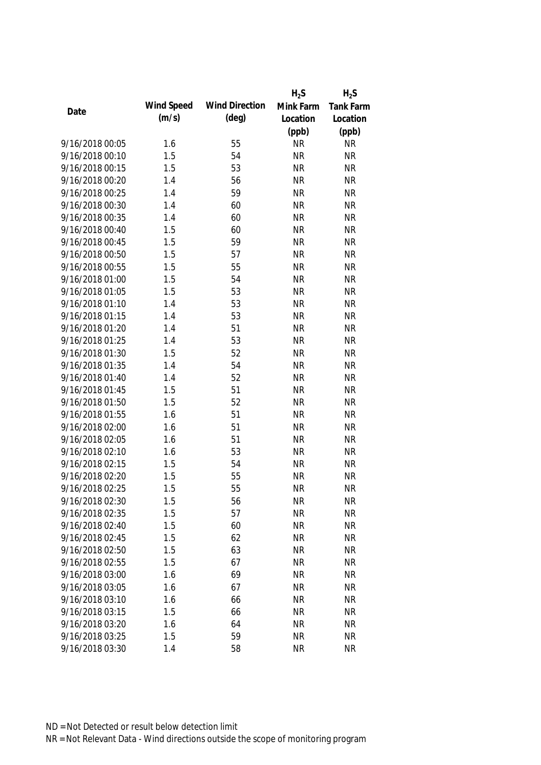|                 |            |                       | $H_2S$    | $H_2S$    |
|-----------------|------------|-----------------------|-----------|-----------|
|                 | Wind Speed | <b>Wind Direction</b> | Mink Farm | Tank Farm |
| Date            | (m/s)      | $(\text{deg})$        | Location  | Location  |
|                 |            |                       | (ppb)     | (ppb)     |
| 9/16/2018 00:05 | 1.6        | 55                    | <b>NR</b> | <b>NR</b> |
| 9/16/2018 00:10 | 1.5        | 54                    | <b>NR</b> | <b>NR</b> |
| 9/16/2018 00:15 | 1.5        | 53                    | <b>NR</b> | <b>NR</b> |
| 9/16/2018 00:20 | 1.4        | 56                    | <b>NR</b> | <b>NR</b> |
| 9/16/2018 00:25 | 1.4        | 59                    | <b>NR</b> | <b>NR</b> |
| 9/16/2018 00:30 | 1.4        | 60                    | <b>NR</b> | <b>NR</b> |
| 9/16/2018 00:35 | 1.4        | 60                    | <b>NR</b> | <b>NR</b> |
| 9/16/2018 00:40 | 1.5        | 60                    | <b>NR</b> | <b>NR</b> |
| 9/16/2018 00:45 | 1.5        | 59                    | <b>NR</b> | <b>NR</b> |
| 9/16/2018 00:50 | 1.5        | 57                    | <b>NR</b> | <b>NR</b> |
| 9/16/2018 00:55 | 1.5        | 55                    | <b>NR</b> | <b>NR</b> |
| 9/16/2018 01:00 | 1.5        | 54                    | <b>NR</b> | <b>NR</b> |
| 9/16/2018 01:05 | 1.5        | 53                    | <b>NR</b> | <b>NR</b> |
| 9/16/2018 01:10 | 1.4        | 53                    | <b>NR</b> | <b>NR</b> |
| 9/16/2018 01:15 | 1.4        | 53                    | <b>NR</b> | <b>NR</b> |
| 9/16/2018 01:20 | 1.4        | 51                    | <b>NR</b> | <b>NR</b> |
| 9/16/2018 01:25 | 1.4        | 53                    | <b>NR</b> | <b>NR</b> |
| 9/16/2018 01:30 | 1.5        | 52                    | <b>NR</b> | <b>NR</b> |
| 9/16/2018 01:35 | 1.4        | 54                    | <b>NR</b> | <b>NR</b> |
| 9/16/2018 01:40 | 1.4        | 52                    | <b>NR</b> | <b>NR</b> |
| 9/16/2018 01:45 | 1.5        | 51                    | <b>NR</b> | <b>NR</b> |
| 9/16/2018 01:50 | 1.5        | 52                    | <b>NR</b> | <b>NR</b> |
| 9/16/2018 01:55 | 1.6        | 51                    | <b>NR</b> | <b>NR</b> |
| 9/16/2018 02:00 | 1.6        | 51                    | <b>NR</b> | <b>NR</b> |
| 9/16/2018 02:05 | 1.6        | 51                    | <b>NR</b> | <b>NR</b> |
| 9/16/2018 02:10 | 1.6        | 53                    | <b>NR</b> | <b>NR</b> |
| 9/16/2018 02:15 | 1.5        | 54                    | <b>NR</b> | <b>NR</b> |
| 9/16/2018 02:20 | 1.5        | 55                    | <b>NR</b> | <b>NR</b> |
| 9/16/2018 02:25 | 1.5        | 55                    | <b>NR</b> | <b>NR</b> |
| 9/16/2018 02:30 | 1.5        | 56                    | <b>NR</b> | <b>NR</b> |
| 9/16/2018 02:35 | 1.5        | 57                    | <b>NR</b> | <b>NR</b> |
| 9/16/2018 02:40 | 1.5        | 60                    | <b>NR</b> | <b>NR</b> |
| 9/16/2018 02:45 | 1.5        | 62                    | <b>NR</b> | <b>NR</b> |
| 9/16/2018 02:50 | 1.5        | 63                    | <b>NR</b> | <b>NR</b> |
| 9/16/2018 02:55 | 1.5        | 67                    | <b>NR</b> | <b>NR</b> |
| 9/16/2018 03:00 | 1.6        | 69                    | <b>NR</b> | <b>NR</b> |
| 9/16/2018 03:05 | 1.6        | 67                    | <b>NR</b> | <b>NR</b> |
| 9/16/2018 03:10 | 1.6        |                       | <b>NR</b> | <b>NR</b> |
|                 |            | 66                    |           |           |
| 9/16/2018 03:15 | 1.5        | 66                    | <b>NR</b> | <b>NR</b> |
| 9/16/2018 03:20 | 1.6        | 64                    | <b>NR</b> | <b>NR</b> |
| 9/16/2018 03:25 | 1.5        | 59                    | <b>NR</b> | <b>NR</b> |
| 9/16/2018 03:30 | 1.4        | 58                    | <b>NR</b> | <b>NR</b> |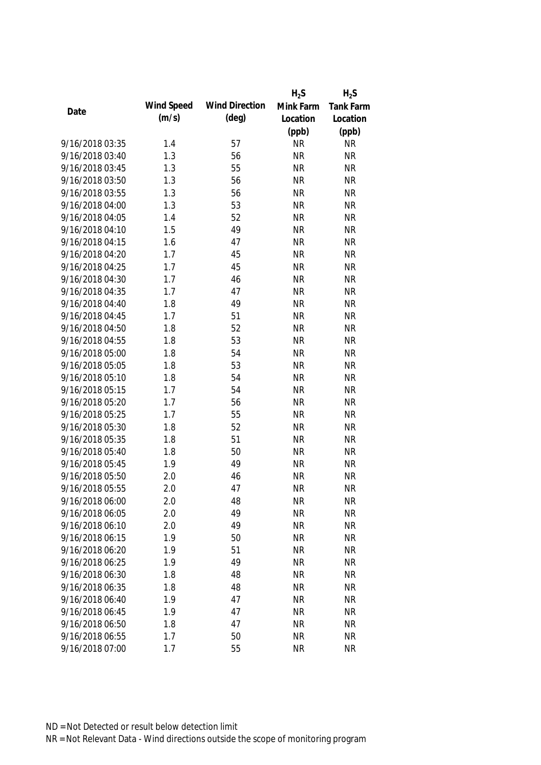|                 |            |                       | $H_2S$    | $H_2S$    |
|-----------------|------------|-----------------------|-----------|-----------|
|                 | Wind Speed | <b>Wind Direction</b> | Mink Farm | Tank Farm |
| Date            | (m/s)      | $(\text{deg})$        | Location  | Location  |
|                 |            |                       | (ppb)     | (ppb)     |
| 9/16/2018 03:35 | 1.4        | 57                    | <b>NR</b> | <b>NR</b> |
| 9/16/2018 03:40 | 1.3        | 56                    | <b>NR</b> | <b>NR</b> |
| 9/16/2018 03:45 | 1.3        | 55                    | <b>NR</b> | <b>NR</b> |
| 9/16/2018 03:50 | 1.3        | 56                    | <b>NR</b> | <b>NR</b> |
| 9/16/2018 03:55 | 1.3        | 56                    | <b>NR</b> | <b>NR</b> |
| 9/16/2018 04:00 | 1.3        | 53                    | <b>NR</b> | <b>NR</b> |
| 9/16/2018 04:05 | 1.4        | 52                    | <b>NR</b> | <b>NR</b> |
| 9/16/2018 04:10 | 1.5        | 49                    | <b>NR</b> | <b>NR</b> |
| 9/16/2018 04:15 | 1.6        | 47                    | <b>NR</b> | <b>NR</b> |
| 9/16/2018 04:20 | 1.7        | 45                    | <b>NR</b> | <b>NR</b> |
| 9/16/2018 04:25 | 1.7        | 45                    | <b>NR</b> | <b>NR</b> |
| 9/16/2018 04:30 | 1.7        | 46                    | <b>NR</b> | <b>NR</b> |
| 9/16/2018 04:35 | 1.7        | 47                    | <b>NR</b> | <b>NR</b> |
| 9/16/2018 04:40 | 1.8        | 49                    | <b>NR</b> | <b>NR</b> |
| 9/16/2018 04:45 | 1.7        | 51                    | <b>NR</b> | <b>NR</b> |
| 9/16/2018 04:50 | 1.8        | 52                    | <b>NR</b> | <b>NR</b> |
| 9/16/2018 04:55 | 1.8        | 53                    | <b>NR</b> | <b>NR</b> |
| 9/16/2018 05:00 | 1.8        | 54                    | <b>NR</b> | <b>NR</b> |
| 9/16/2018 05:05 | 1.8        | 53                    | <b>NR</b> | <b>NR</b> |
| 9/16/2018 05:10 | 1.8        | 54                    | <b>NR</b> | <b>NR</b> |
| 9/16/2018 05:15 | 1.7        | 54                    | <b>NR</b> | <b>NR</b> |
| 9/16/2018 05:20 | 1.7        | 56                    | <b>NR</b> | <b>NR</b> |
| 9/16/2018 05:25 | 1.7        | 55                    | <b>NR</b> | <b>NR</b> |
| 9/16/2018 05:30 | 1.8        | 52                    | <b>NR</b> | <b>NR</b> |
| 9/16/2018 05:35 | 1.8        | 51                    | <b>NR</b> | <b>NR</b> |
| 9/16/2018 05:40 | 1.8        | 50                    | <b>NR</b> | <b>NR</b> |
| 9/16/2018 05:45 | 1.9        | 49                    | <b>NR</b> | <b>NR</b> |
| 9/16/2018 05:50 | 2.0        | 46                    | <b>NR</b> | <b>NR</b> |
| 9/16/2018 05:55 | 2.0        | 47                    | <b>NR</b> | <b>NR</b> |
| 9/16/2018 06:00 | 2.0        | 48                    | <b>NR</b> | <b>NR</b> |
| 9/16/2018 06:05 | 2.0        | 49                    | <b>NR</b> | <b>NR</b> |
| 9/16/2018 06:10 | 2.0        | 49                    | <b>NR</b> | <b>NR</b> |
| 9/16/2018 06:15 | 1.9        | 50                    | <b>NR</b> | <b>NR</b> |
| 9/16/2018 06:20 | 1.9        | 51                    | <b>NR</b> | <b>NR</b> |
| 9/16/2018 06:25 | 1.9        | 49                    | <b>NR</b> | <b>NR</b> |
| 9/16/2018 06:30 | 1.8        | 48                    | <b>NR</b> | <b>NR</b> |
| 9/16/2018 06:35 | 1.8        | 48                    | <b>NR</b> | <b>NR</b> |
| 9/16/2018 06:40 | 1.9        | 47                    | <b>NR</b> | <b>NR</b> |
| 9/16/2018 06:45 | 1.9        | 47                    | <b>NR</b> | <b>NR</b> |
| 9/16/2018 06:50 | 1.8        | 47                    | <b>NR</b> | <b>NR</b> |
| 9/16/2018 06:55 | 1.7        | 50                    | <b>NR</b> | <b>NR</b> |
| 9/16/2018 07:00 | 1.7        | 55                    | <b>NR</b> | <b>NR</b> |
|                 |            |                       |           |           |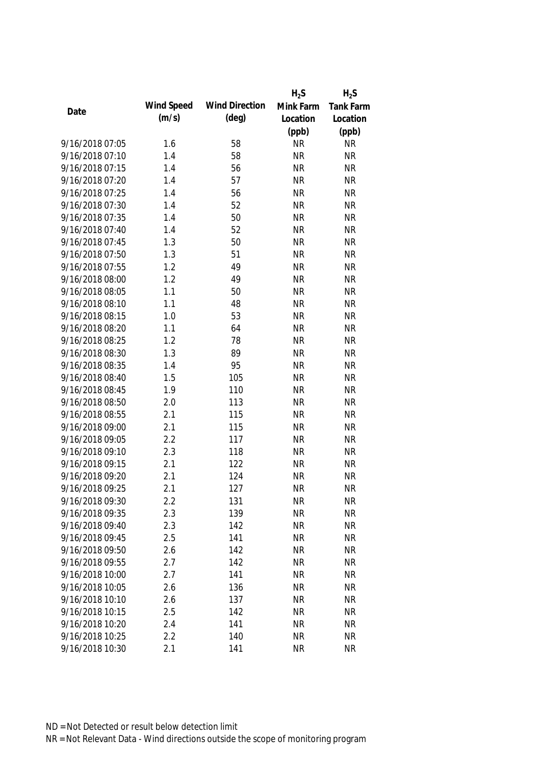|                 |            |                       | $H_2S$    | $H_2S$           |
|-----------------|------------|-----------------------|-----------|------------------|
| Date            | Wind Speed | <b>Wind Direction</b> | Mink Farm | <b>Tank Farm</b> |
|                 | (m/s)      | $(\text{deg})$        | Location  | Location         |
|                 |            |                       | (ppb)     | (ppb)            |
| 9/16/2018 07:05 | 1.6        | 58                    | <b>NR</b> | <b>NR</b>        |
| 9/16/2018 07:10 | 1.4        | 58                    | <b>NR</b> | <b>NR</b>        |
| 9/16/2018 07:15 | 1.4        | 56                    | <b>NR</b> | <b>NR</b>        |
| 9/16/2018 07:20 | 1.4        | 57                    | <b>NR</b> | <b>NR</b>        |
| 9/16/2018 07:25 | 1.4        | 56                    | <b>NR</b> | <b>NR</b>        |
| 9/16/2018 07:30 | 1.4        | 52                    | <b>NR</b> | <b>NR</b>        |
| 9/16/2018 07:35 | 1.4        | 50                    | <b>NR</b> | <b>NR</b>        |
| 9/16/2018 07:40 | 1.4        | 52                    | <b>NR</b> | <b>NR</b>        |
| 9/16/2018 07:45 | 1.3        | 50                    | <b>NR</b> | <b>NR</b>        |
| 9/16/2018 07:50 | 1.3        | 51                    | <b>NR</b> | <b>NR</b>        |
| 9/16/2018 07:55 | 1.2        | 49                    | <b>NR</b> | <b>NR</b>        |
| 9/16/2018 08:00 | 1.2        | 49                    | <b>NR</b> | <b>NR</b>        |
| 9/16/2018 08:05 | 1.1        | 50                    | <b>NR</b> | <b>NR</b>        |
| 9/16/2018 08:10 | 1.1        | 48                    | <b>NR</b> | <b>NR</b>        |
| 9/16/2018 08:15 | 1.0        | 53                    | <b>NR</b> | <b>NR</b>        |
| 9/16/2018 08:20 | 1.1        | 64                    | <b>NR</b> | <b>NR</b>        |
| 9/16/2018 08:25 | 1.2        | 78                    | <b>NR</b> | <b>NR</b>        |
| 9/16/2018 08:30 | 1.3        | 89                    | <b>NR</b> | <b>NR</b>        |
| 9/16/2018 08:35 | 1.4        | 95                    | <b>NR</b> | <b>NR</b>        |
| 9/16/2018 08:40 | 1.5        | 105                   | <b>NR</b> | <b>NR</b>        |
| 9/16/2018 08:45 | 1.9        | 110                   | <b>NR</b> | <b>NR</b>        |
| 9/16/2018 08:50 | 2.0        | 113                   | <b>NR</b> | <b>NR</b>        |
| 9/16/2018 08:55 | 2.1        | 115                   | <b>NR</b> | <b>NR</b>        |
| 9/16/2018 09:00 | 2.1        | 115                   | <b>NR</b> | <b>NR</b>        |
| 9/16/2018 09:05 | 2.2        | 117                   | <b>NR</b> | <b>NR</b>        |
| 9/16/2018 09:10 | 2.3        | 118                   | <b>NR</b> | <b>NR</b>        |
| 9/16/2018 09:15 | 2.1        | 122                   | <b>NR</b> | <b>NR</b>        |
| 9/16/2018 09:20 | 2.1        | 124                   | <b>NR</b> | <b>NR</b>        |
| 9/16/2018 09:25 | 2.1        | 127                   | <b>NR</b> | <b>NR</b>        |
| 9/16/2018 09:30 | 2.2        | 131                   | <b>NR</b> | <b>NR</b>        |
| 9/16/2018 09:35 | 2.3        | 139                   | <b>NR</b> | <b>NR</b>        |
| 9/16/2018 09:40 | 2.3        | 142                   | <b>NR</b> | <b>NR</b>        |
| 9/16/2018 09:45 | 2.5        | 141                   | <b>NR</b> | <b>NR</b>        |
| 9/16/2018 09:50 | 2.6        | 142                   | <b>NR</b> | <b>NR</b>        |
| 9/16/2018 09:55 | 2.7        | 142                   | <b>NR</b> | <b>NR</b>        |
| 9/16/2018 10:00 | 2.7        | 141                   | <b>NR</b> | <b>NR</b>        |
| 9/16/2018 10:05 | 2.6        | 136                   | <b>NR</b> | <b>NR</b>        |
| 9/16/2018 10:10 | 2.6        | 137                   | <b>NR</b> | <b>NR</b>        |
| 9/16/2018 10:15 | 2.5        | 142                   | <b>NR</b> | <b>NR</b>        |
| 9/16/2018 10:20 | 2.4        | 141                   | <b>NR</b> | <b>NR</b>        |
| 9/16/2018 10:25 | 2.2        | 140                   | <b>NR</b> | <b>NR</b>        |
| 9/16/2018 10:30 | 2.1        | 141                   | <b>NR</b> | <b>NR</b>        |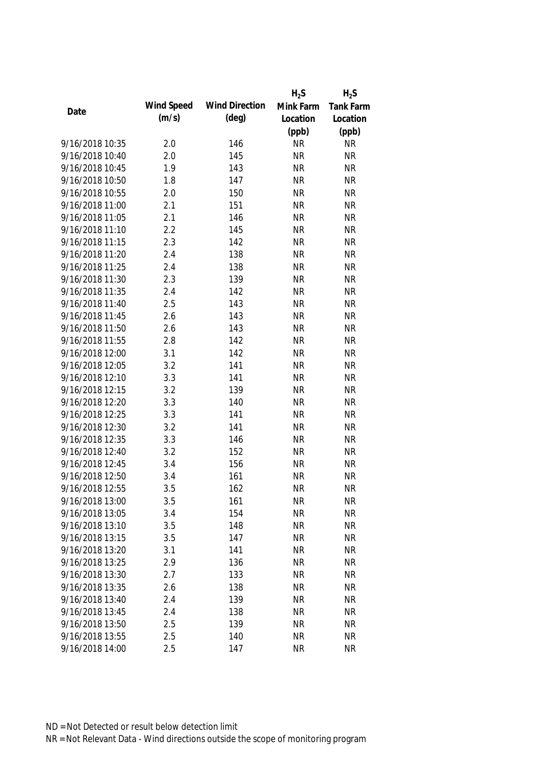|                 |            |                       | $H_2S$    | $H_2S$           |
|-----------------|------------|-----------------------|-----------|------------------|
|                 | Wind Speed | <b>Wind Direction</b> | Mink Farm | <b>Tank Farm</b> |
| Date            | (m/s)      | $(\text{deg})$        | Location  | Location         |
|                 |            |                       | (ppb)     | (ppb)            |
| 9/16/2018 10:35 | 2.0        | 146                   | <b>NR</b> | <b>NR</b>        |
| 9/16/2018 10:40 | 2.0        | 145                   | <b>NR</b> | <b>NR</b>        |
| 9/16/2018 10:45 | 1.9        | 143                   | <b>NR</b> | <b>NR</b>        |
| 9/16/2018 10:50 | 1.8        | 147                   | <b>NR</b> | <b>NR</b>        |
| 9/16/2018 10:55 | 2.0        | 150                   | <b>NR</b> | <b>NR</b>        |
| 9/16/2018 11:00 | 2.1        | 151                   | <b>NR</b> | <b>NR</b>        |
| 9/16/2018 11:05 | 2.1        | 146                   | <b>NR</b> | <b>NR</b>        |
| 9/16/2018 11:10 | 2.2        | 145                   | <b>NR</b> | <b>NR</b>        |
| 9/16/2018 11:15 | 2.3        | 142                   | <b>NR</b> | <b>NR</b>        |
| 9/16/2018 11:20 | 2.4        | 138                   | <b>NR</b> | <b>NR</b>        |
| 9/16/2018 11:25 | 2.4        | 138                   | <b>NR</b> | <b>NR</b>        |
| 9/16/2018 11:30 | 2.3        | 139                   | <b>NR</b> | <b>NR</b>        |
| 9/16/2018 11:35 | 2.4        | 142                   | <b>NR</b> | <b>NR</b>        |
| 9/16/2018 11:40 | 2.5        | 143                   | <b>NR</b> | <b>NR</b>        |
| 9/16/2018 11:45 | 2.6        | 143                   | <b>NR</b> | <b>NR</b>        |
| 9/16/2018 11:50 | 2.6        | 143                   | <b>NR</b> | <b>NR</b>        |
| 9/16/2018 11:55 | 2.8        | 142                   | <b>NR</b> | <b>NR</b>        |
| 9/16/2018 12:00 | 3.1        | 142                   | <b>NR</b> | <b>NR</b>        |
| 9/16/2018 12:05 | 3.2        | 141                   | <b>NR</b> | <b>NR</b>        |
| 9/16/2018 12:10 | 3.3        | 141                   | <b>NR</b> | <b>NR</b>        |
| 9/16/2018 12:15 | 3.2        | 139                   | <b>NR</b> | <b>NR</b>        |
| 9/16/2018 12:20 | 3.3        | 140                   | <b>NR</b> | <b>NR</b>        |
| 9/16/2018 12:25 | 3.3        | 141                   | <b>NR</b> | <b>NR</b>        |
| 9/16/2018 12:30 | 3.2        | 141                   | <b>NR</b> | <b>NR</b>        |
| 9/16/2018 12:35 | 3.3        | 146                   | <b>NR</b> | <b>NR</b>        |
| 9/16/2018 12:40 | 3.2        | 152                   | <b>NR</b> | <b>NR</b>        |
| 9/16/2018 12:45 | 3.4        | 156                   | <b>NR</b> | <b>NR</b>        |
| 9/16/2018 12:50 | 3.4        | 161                   | <b>NR</b> | <b>NR</b>        |
| 9/16/2018 12:55 | 3.5        | 162                   | <b>NR</b> | <b>NR</b>        |
| 9/16/2018 13:00 | 3.5        | 161                   | <b>NR</b> | <b>NR</b>        |
| 9/16/2018 13:05 | 3.4        | 154                   | <b>NR</b> | <b>NR</b>        |
| 9/16/2018 13:10 | 3.5        | 148                   | <b>NR</b> | <b>NR</b>        |
| 9/16/2018 13:15 | 3.5        | 147                   | <b>NR</b> | <b>NR</b>        |
| 9/16/2018 13:20 | 3.1        | 141                   | <b>NR</b> | <b>NR</b>        |
| 9/16/2018 13:25 | 2.9        | 136                   | <b>NR</b> | <b>NR</b>        |
| 9/16/2018 13:30 | 2.7        | 133                   | <b>NR</b> | <b>NR</b>        |
| 9/16/2018 13:35 | 2.6        | 138                   | <b>NR</b> | <b>NR</b>        |
| 9/16/2018 13:40 | 2.4        | 139                   | <b>NR</b> | <b>NR</b>        |
| 9/16/2018 13:45 | 2.4        | 138                   | <b>NR</b> | <b>NR</b>        |
|                 |            |                       |           | <b>NR</b>        |
| 9/16/2018 13:50 | 2.5        | 139                   | <b>NR</b> |                  |
| 9/16/2018 13:55 | 2.5        | 140                   | <b>NR</b> | <b>NR</b>        |
| 9/16/2018 14:00 | 2.5        | 147                   | <b>NR</b> | <b>NR</b>        |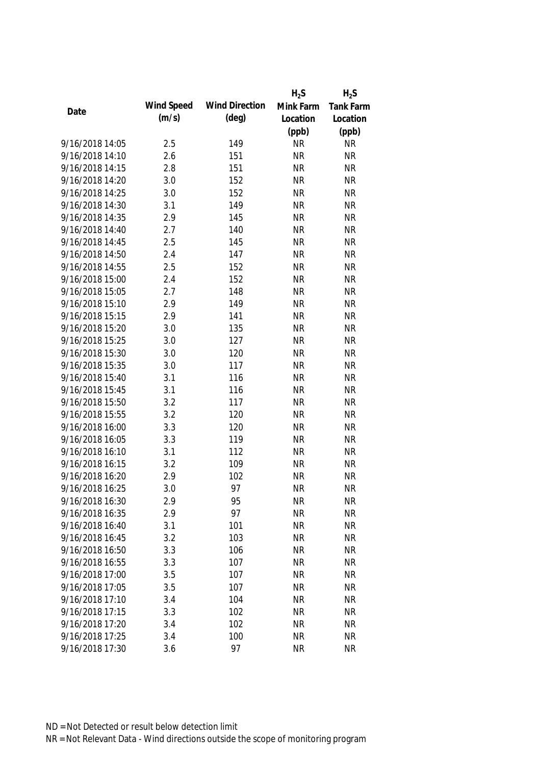|                 |            |                       | $H_2S$    | $H_2S$           |
|-----------------|------------|-----------------------|-----------|------------------|
|                 | Wind Speed | <b>Wind Direction</b> | Mink Farm | <b>Tank Farm</b> |
| Date            | (m/s)      | $(\text{deg})$        | Location  | Location         |
|                 |            |                       | (ppb)     | (ppb)            |
| 9/16/2018 14:05 | 2.5        | 149                   | <b>NR</b> | <b>NR</b>        |
| 9/16/2018 14:10 | 2.6        | 151                   | <b>NR</b> | <b>NR</b>        |
| 9/16/2018 14:15 | 2.8        | 151                   | <b>NR</b> | <b>NR</b>        |
| 9/16/2018 14:20 | 3.0        | 152                   | <b>NR</b> | <b>NR</b>        |
| 9/16/2018 14:25 | 3.0        | 152                   | <b>NR</b> | <b>NR</b>        |
| 9/16/2018 14:30 | 3.1        | 149                   | <b>NR</b> | <b>NR</b>        |
| 9/16/2018 14:35 | 2.9        | 145                   | <b>NR</b> | <b>NR</b>        |
| 9/16/2018 14:40 | 2.7        | 140                   | <b>NR</b> | <b>NR</b>        |
| 9/16/2018 14:45 | 2.5        | 145                   | <b>NR</b> | <b>NR</b>        |
| 9/16/2018 14:50 | 2.4        | 147                   | <b>NR</b> | <b>NR</b>        |
| 9/16/2018 14:55 | 2.5        | 152                   | <b>NR</b> | <b>NR</b>        |
| 9/16/2018 15:00 | 2.4        | 152                   | <b>NR</b> | <b>NR</b>        |
| 9/16/2018 15:05 | 2.7        | 148                   | <b>NR</b> | <b>NR</b>        |
| 9/16/2018 15:10 | 2.9        | 149                   | <b>NR</b> | <b>NR</b>        |
| 9/16/2018 15:15 | 2.9        | 141                   | <b>NR</b> | <b>NR</b>        |
| 9/16/2018 15:20 | 3.0        | 135                   | <b>NR</b> | <b>NR</b>        |
| 9/16/2018 15:25 | 3.0        | 127                   | <b>NR</b> | <b>NR</b>        |
| 9/16/2018 15:30 | 3.0        | 120                   | <b>NR</b> | <b>NR</b>        |
| 9/16/2018 15:35 | 3.0        | 117                   | <b>NR</b> | <b>NR</b>        |
| 9/16/2018 15:40 | 3.1        | 116                   | <b>NR</b> | <b>NR</b>        |
| 9/16/2018 15:45 | 3.1        | 116                   | <b>NR</b> | <b>NR</b>        |
| 9/16/2018 15:50 | 3.2        | 117                   | <b>NR</b> | <b>NR</b>        |
| 9/16/2018 15:55 | 3.2        | 120                   | <b>NR</b> | <b>NR</b>        |
| 9/16/2018 16:00 | 3.3        | 120                   | <b>NR</b> | <b>NR</b>        |
| 9/16/2018 16:05 | 3.3        | 119                   | <b>NR</b> | <b>NR</b>        |
| 9/16/2018 16:10 | 3.1        | 112                   | <b>NR</b> | <b>NR</b>        |
| 9/16/2018 16:15 | 3.2        | 109                   | <b>NR</b> | <b>NR</b>        |
| 9/16/2018 16:20 | 2.9        | 102                   | <b>NR</b> | <b>NR</b>        |
| 9/16/2018 16:25 | 3.0        | 97                    | <b>NR</b> | <b>NR</b>        |
| 9/16/2018 16:30 | 2.9        | 95                    | <b>NR</b> | <b>NR</b>        |
| 9/16/2018 16:35 | 2.9        | 97                    | <b>NR</b> | <b>NR</b>        |
| 9/16/2018 16:40 | 3.1        | 101                   | <b>NR</b> | <b>NR</b>        |
| 9/16/2018 16:45 | 3.2        | 103                   | <b>NR</b> | <b>NR</b>        |
| 9/16/2018 16:50 | 3.3        | 106                   | <b>NR</b> | <b>NR</b>        |
| 9/16/2018 16:55 | 3.3        | 107                   | <b>NR</b> | <b>NR</b>        |
| 9/16/2018 17:00 | 3.5        | 107                   | <b>NR</b> | <b>NR</b>        |
| 9/16/2018 17:05 | 3.5        | 107                   | <b>NR</b> | <b>NR</b>        |
| 9/16/2018 17:10 | 3.4        | 104                   | <b>NR</b> | <b>NR</b>        |
| 9/16/2018 17:15 | 3.3        | 102                   | <b>NR</b> | <b>NR</b>        |
| 9/16/2018 17:20 | 3.4        | 102                   | <b>NR</b> | <b>NR</b>        |
| 9/16/2018 17:25 | 3.4        | 100                   | <b>NR</b> | <b>NR</b>        |
|                 |            | 97                    |           |                  |
| 9/16/2018 17:30 | 3.6        |                       | <b>NR</b> | <b>NR</b>        |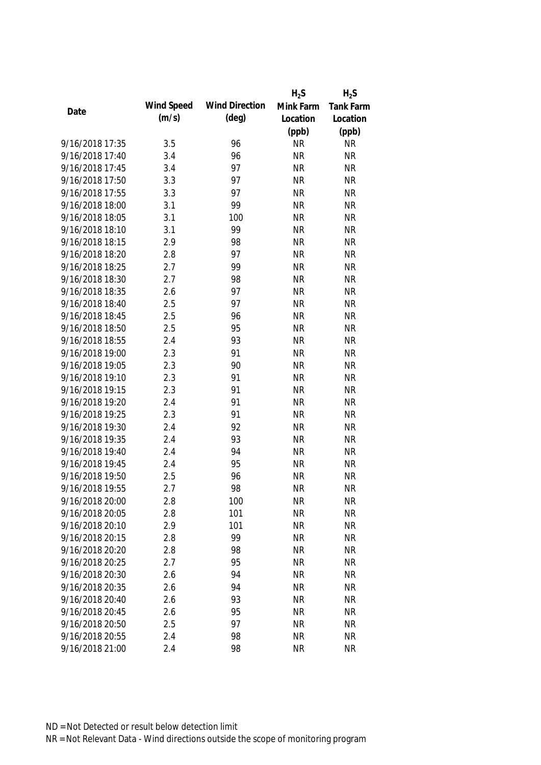|                 |            |                       | $H_2S$    | $H_2S$    |
|-----------------|------------|-----------------------|-----------|-----------|
|                 | Wind Speed | <b>Wind Direction</b> | Mink Farm | Tank Farm |
| Date            | (m/s)      | $(\text{deg})$        | Location  | Location  |
|                 |            |                       | (ppb)     | (ppb)     |
| 9/16/2018 17:35 | 3.5        | 96                    | <b>NR</b> | <b>NR</b> |
| 9/16/2018 17:40 | 3.4        | 96                    | <b>NR</b> | <b>NR</b> |
| 9/16/2018 17:45 | 3.4        | 97                    | <b>NR</b> | <b>NR</b> |
| 9/16/2018 17:50 | 3.3        | 97                    | <b>NR</b> | <b>NR</b> |
| 9/16/2018 17:55 | 3.3        | 97                    | <b>NR</b> | <b>NR</b> |
| 9/16/2018 18:00 | 3.1        | 99                    | <b>NR</b> | <b>NR</b> |
| 9/16/2018 18:05 | 3.1        | 100                   | <b>NR</b> | <b>NR</b> |
| 9/16/2018 18:10 | 3.1        | 99                    | <b>NR</b> | <b>NR</b> |
| 9/16/2018 18:15 | 2.9        | 98                    | <b>NR</b> | <b>NR</b> |
| 9/16/2018 18:20 | 2.8        | 97                    | <b>NR</b> | <b>NR</b> |
| 9/16/2018 18:25 | 2.7        | 99                    | <b>NR</b> | <b>NR</b> |
| 9/16/2018 18:30 | 2.7        | 98                    | <b>NR</b> | <b>NR</b> |
| 9/16/2018 18:35 | 2.6        | 97                    | <b>NR</b> | <b>NR</b> |
| 9/16/2018 18:40 | 2.5        | 97                    | <b>NR</b> | <b>NR</b> |
| 9/16/2018 18:45 | 2.5        | 96                    | <b>NR</b> | <b>NR</b> |
| 9/16/2018 18:50 | 2.5        | 95                    | <b>NR</b> | <b>NR</b> |
| 9/16/2018 18:55 | 2.4        | 93                    | <b>NR</b> | <b>NR</b> |
| 9/16/2018 19:00 | 2.3        | 91                    | <b>NR</b> | <b>NR</b> |
| 9/16/2018 19:05 | 2.3        | 90                    | <b>NR</b> | <b>NR</b> |
| 9/16/2018 19:10 | 2.3        | 91                    | <b>NR</b> | <b>NR</b> |
| 9/16/2018 19:15 | 2.3        | 91                    | <b>NR</b> | <b>NR</b> |
| 9/16/2018 19:20 | 2.4        | 91                    | <b>NR</b> | <b>NR</b> |
| 9/16/2018 19:25 | 2.3        | 91                    | <b>NR</b> | <b>NR</b> |
| 9/16/2018 19:30 | 2.4        | 92                    | <b>NR</b> | <b>NR</b> |
| 9/16/2018 19:35 | 2.4        | 93                    | <b>NR</b> | <b>NR</b> |
| 9/16/2018 19:40 | 2.4        | 94                    | <b>NR</b> | <b>NR</b> |
| 9/16/2018 19:45 | 2.4        | 95                    | <b>NR</b> | <b>NR</b> |
| 9/16/2018 19:50 | 2.5        | 96                    | <b>NR</b> | <b>NR</b> |
| 9/16/2018 19:55 | 2.7        | 98                    | <b>NR</b> | <b>NR</b> |
| 9/16/2018 20:00 | 2.8        | 100                   | <b>NR</b> | NR        |
| 9/16/2018 20:05 | 2.8        | 101                   | <b>NR</b> | <b>NR</b> |
| 9/16/2018 20:10 | 2.9        | 101                   | <b>NR</b> | <b>NR</b> |
| 9/16/2018 20:15 | 2.8        | 99                    | <b>NR</b> | <b>NR</b> |
| 9/16/2018 20:20 | 2.8        | 98                    | <b>NR</b> | <b>NR</b> |
| 9/16/2018 20:25 | 2.7        | 95                    | <b>NR</b> | <b>NR</b> |
| 9/16/2018 20:30 | 2.6        | 94                    | <b>NR</b> | <b>NR</b> |
| 9/16/2018 20:35 | 2.6        | 94                    | <b>NR</b> | <b>NR</b> |
| 9/16/2018 20:40 | 2.6        | 93                    | <b>NR</b> | <b>NR</b> |
| 9/16/2018 20:45 | 2.6        | 95                    | <b>NR</b> | <b>NR</b> |
| 9/16/2018 20:50 | 2.5        | 97                    | <b>NR</b> | <b>NR</b> |
| 9/16/2018 20:55 | 2.4        | 98                    | <b>NR</b> | <b>NR</b> |
| 9/16/2018 21:00 | 2.4        | 98                    | <b>NR</b> | <b>NR</b> |
|                 |            |                       |           |           |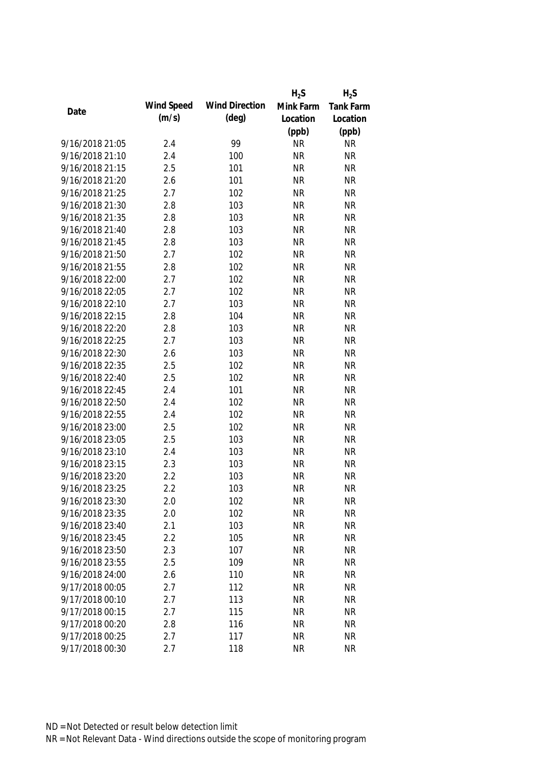|                 |            |                       | $H_2S$    | $H_2S$    |
|-----------------|------------|-----------------------|-----------|-----------|
|                 | Wind Speed | <b>Wind Direction</b> | Mink Farm | Tank Farm |
| Date            | (m/s)      | $(\text{deg})$        | Location  | Location  |
|                 |            |                       | (ppb)     | (ppb)     |
| 9/16/2018 21:05 | 2.4        | 99                    | <b>NR</b> | <b>NR</b> |
| 9/16/2018 21:10 | 2.4        | 100                   | <b>NR</b> | <b>NR</b> |
| 9/16/2018 21:15 | 2.5        | 101                   | <b>NR</b> | <b>NR</b> |
| 9/16/2018 21:20 | 2.6        | 101                   | <b>NR</b> | <b>NR</b> |
| 9/16/2018 21:25 | 2.7        | 102                   | <b>NR</b> | <b>NR</b> |
| 9/16/2018 21:30 | 2.8        | 103                   | <b>NR</b> | <b>NR</b> |
| 9/16/2018 21:35 | 2.8        | 103                   | <b>NR</b> | <b>NR</b> |
| 9/16/2018 21:40 | 2.8        | 103                   | <b>NR</b> | <b>NR</b> |
| 9/16/2018 21:45 | 2.8        | 103                   | <b>NR</b> | <b>NR</b> |
| 9/16/2018 21:50 | 2.7        | 102                   | <b>NR</b> | <b>NR</b> |
| 9/16/2018 21:55 | 2.8        | 102                   | <b>NR</b> | <b>NR</b> |
| 9/16/2018 22:00 | 2.7        | 102                   | <b>NR</b> | <b>NR</b> |
| 9/16/2018 22:05 | 2.7        | 102                   | <b>NR</b> | <b>NR</b> |
| 9/16/2018 22:10 | 2.7        | 103                   | <b>NR</b> | <b>NR</b> |
| 9/16/2018 22:15 | 2.8        | 104                   | <b>NR</b> | <b>NR</b> |
| 9/16/2018 22:20 | 2.8        | 103                   | <b>NR</b> | <b>NR</b> |
| 9/16/2018 22:25 | 2.7        | 103                   | <b>NR</b> | <b>NR</b> |
| 9/16/2018 22:30 | 2.6        | 103                   | <b>NR</b> | <b>NR</b> |
| 9/16/2018 22:35 | 2.5        | 102                   | <b>NR</b> | <b>NR</b> |
| 9/16/2018 22:40 | 2.5        | 102                   | <b>NR</b> | <b>NR</b> |
| 9/16/2018 22:45 | 2.4        | 101                   | <b>NR</b> | <b>NR</b> |
| 9/16/2018 22:50 | 2.4        | 102                   | <b>NR</b> | <b>NR</b> |
| 9/16/2018 22:55 | 2.4        | 102                   | <b>NR</b> | <b>NR</b> |
| 9/16/2018 23:00 | 2.5        | 102                   | <b>NR</b> | <b>NR</b> |
| 9/16/2018 23:05 | 2.5        | 103                   | <b>NR</b> | <b>NR</b> |
| 9/16/2018 23:10 | 2.4        | 103                   | <b>NR</b> | <b>NR</b> |
| 9/16/2018 23:15 | 2.3        | 103                   | <b>NR</b> | <b>NR</b> |
| 9/16/2018 23:20 | 2.2        | 103                   | <b>NR</b> | <b>NR</b> |
| 9/16/2018 23:25 | 2.2        | 103                   | <b>NR</b> | <b>NR</b> |
| 9/16/2018 23:30 | 2.0        | 102                   | <b>NR</b> | <b>NR</b> |
| 9/16/2018 23:35 | 2.0        | 102                   | <b>NR</b> | <b>NR</b> |
| 9/16/2018 23:40 | 2.1        | 103                   | <b>NR</b> | <b>NR</b> |
| 9/16/2018 23:45 | 2.2        | 105                   | <b>NR</b> | <b>NR</b> |
| 9/16/2018 23:50 | 2.3        | 107                   | <b>NR</b> | <b>NR</b> |
| 9/16/2018 23:55 | 2.5        | 109                   | <b>NR</b> | <b>NR</b> |
| 9/16/2018 24:00 | 2.6        | 110                   | <b>NR</b> | <b>NR</b> |
| 9/17/2018 00:05 | 2.7        | 112                   | <b>NR</b> | <b>NR</b> |
| 9/17/2018 00:10 | 2.7        | 113                   | <b>NR</b> | <b>NR</b> |
| 9/17/2018 00:15 | 2.7        | 115                   | <b>NR</b> | <b>NR</b> |
| 9/17/2018 00:20 | 2.8        | 116                   | <b>NR</b> | <b>NR</b> |
| 9/17/2018 00:25 | 2.7        | 117                   | <b>NR</b> | <b>NR</b> |
| 9/17/2018 00:30 | 2.7        | 118                   | <b>NR</b> | <b>NR</b> |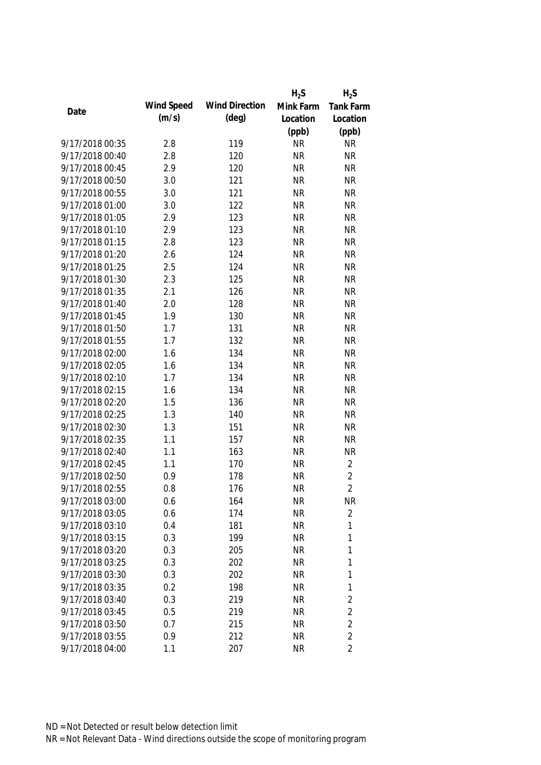|                 |            |                       | $H_2S$    | $H_2S$           |
|-----------------|------------|-----------------------|-----------|------------------|
| Date            | Wind Speed | <b>Wind Direction</b> | Mink Farm | <b>Tank Farm</b> |
|                 | (m/s)      | (deg)                 | Location  | Location         |
|                 |            |                       | (ppb)     | (ppb)            |
| 9/17/2018 00:35 | 2.8        | 119                   | <b>NR</b> | <b>NR</b>        |
| 9/17/2018 00:40 | 2.8        | 120                   | <b>NR</b> | <b>NR</b>        |
| 9/17/2018 00:45 | 2.9        | 120                   | <b>NR</b> | <b>NR</b>        |
| 9/17/2018 00:50 | 3.0        | 121                   | <b>NR</b> | <b>NR</b>        |
| 9/17/2018 00:55 | 3.0        | 121                   | <b>NR</b> | <b>NR</b>        |
| 9/17/2018 01:00 | 3.0        | 122                   | <b>NR</b> | <b>NR</b>        |
| 9/17/2018 01:05 | 2.9        | 123                   | <b>NR</b> | <b>NR</b>        |
| 9/17/2018 01:10 | 2.9        | 123                   | <b>NR</b> | <b>NR</b>        |
| 9/17/2018 01:15 | 2.8        | 123                   | <b>NR</b> | <b>NR</b>        |
| 9/17/2018 01:20 | 2.6        | 124                   | <b>NR</b> | <b>NR</b>        |
| 9/17/2018 01:25 | 2.5        | 124                   | <b>NR</b> | <b>NR</b>        |
| 9/17/2018 01:30 | 2.3        | 125                   | <b>NR</b> | <b>NR</b>        |
| 9/17/2018 01:35 | 2.1        | 126                   | <b>NR</b> | <b>NR</b>        |
| 9/17/2018 01:40 | 2.0        | 128                   | <b>NR</b> | <b>NR</b>        |
| 9/17/2018 01:45 | 1.9        | 130                   | <b>NR</b> | <b>NR</b>        |
| 9/17/2018 01:50 | 1.7        | 131                   | <b>NR</b> | <b>NR</b>        |
| 9/17/2018 01:55 | 1.7        | 132                   | <b>NR</b> | <b>NR</b>        |
| 9/17/2018 02:00 | 1.6        | 134                   | <b>NR</b> | <b>NR</b>        |
| 9/17/2018 02:05 | 1.6        | 134                   | <b>NR</b> | <b>NR</b>        |
| 9/17/2018 02:10 | 1.7        | 134                   | <b>NR</b> | <b>NR</b>        |
| 9/17/2018 02:15 | 1.6        | 134                   | <b>NR</b> | <b>NR</b>        |
| 9/17/2018 02:20 | 1.5        | 136                   | <b>NR</b> | <b>NR</b>        |
| 9/17/2018 02:25 | 1.3        | 140                   | <b>NR</b> | <b>NR</b>        |
| 9/17/2018 02:30 | 1.3        | 151                   | <b>NR</b> | <b>NR</b>        |
| 9/17/2018 02:35 | 1.1        | 157                   | <b>NR</b> | <b>NR</b>        |
| 9/17/2018 02:40 | 1.1        | 163                   | <b>NR</b> | <b>NR</b>        |
| 9/17/2018 02:45 | 1.1        | 170                   | <b>NR</b> | $\overline{2}$   |
| 9/17/2018 02:50 | 0.9        | 178                   | <b>NR</b> | $\overline{2}$   |
| 9/17/2018 02:55 | 0.8        | 176                   | <b>NR</b> | $\overline{2}$   |
| 9/17/2018 03:00 | 0.6        | 164                   | <b>NR</b> | NR               |
| 9/17/2018 03:05 | 0.6        | 174                   | <b>NR</b> | $\overline{2}$   |
| 9/17/2018 03:10 | 0.4        | 181                   | <b>NR</b> | 1                |
| 9/17/2018 03:15 | 0.3        | 199                   | <b>NR</b> | 1                |
| 9/17/2018 03:20 | 0.3        | 205                   | <b>NR</b> | 1                |
| 9/17/2018 03:25 | 0.3        | 202                   | <b>NR</b> | 1                |
| 9/17/2018 03:30 | 0.3        | 202                   | <b>NR</b> | 1                |
| 9/17/2018 03:35 | 0.2        | 198                   | <b>NR</b> | 1                |
| 9/17/2018 03:40 | 0.3        | 219                   | <b>NR</b> | $\overline{2}$   |
| 9/17/2018 03:45 | 0.5        | 219                   | <b>NR</b> | $\overline{2}$   |
| 9/17/2018 03:50 | 0.7        | 215                   | <b>NR</b> | $\overline{2}$   |
| 9/17/2018 03:55 | 0.9        | 212                   | <b>NR</b> | $\overline{2}$   |
| 9/17/2018 04:00 | 1.1        | 207                   | <b>NR</b> | $\overline{2}$   |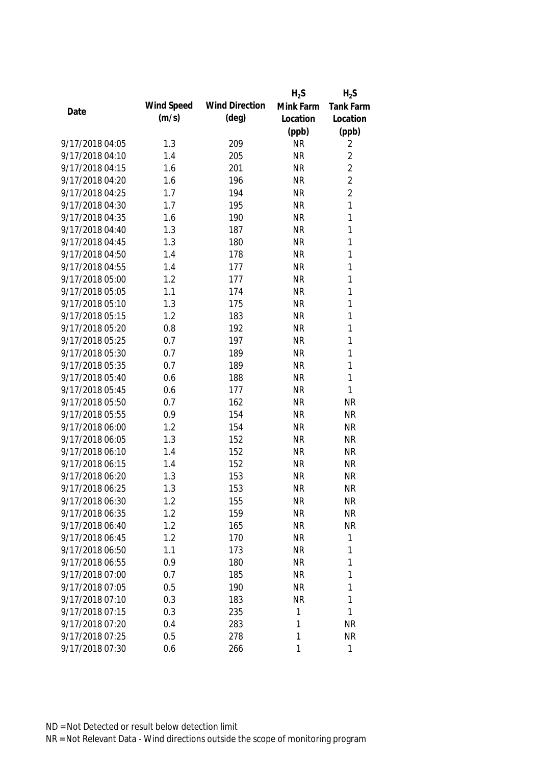|                 |            |                       | $H_2S$    | $H_2S$         |
|-----------------|------------|-----------------------|-----------|----------------|
| Date            | Wind Speed | <b>Wind Direction</b> | Mink Farm | Tank Farm      |
|                 | (m/s)      | $(\text{deg})$        | Location  | Location       |
|                 |            |                       | (ppb)     | (ppb)          |
| 9/17/2018 04:05 | 1.3        | 209                   | <b>NR</b> | 2              |
| 9/17/2018 04:10 | 1.4        | 205                   | <b>NR</b> | 2              |
| 9/17/2018 04:15 | 1.6        | 201                   | <b>NR</b> | $\overline{2}$ |
| 9/17/2018 04:20 | 1.6        | 196                   | <b>NR</b> | $\overline{2}$ |
| 9/17/2018 04:25 | 1.7        | 194                   | <b>NR</b> | $\overline{2}$ |
| 9/17/2018 04:30 | 1.7        | 195                   | <b>NR</b> | $\mathbf{1}$   |
| 9/17/2018 04:35 | 1.6        | 190                   | <b>NR</b> | $\mathbf{1}$   |
| 9/17/2018 04:40 | 1.3        | 187                   | <b>NR</b> | $\mathbf{1}$   |
| 9/17/2018 04:45 | 1.3        | 180                   | <b>NR</b> | $\mathbf{1}$   |
| 9/17/2018 04:50 | 1.4        | 178                   | <b>NR</b> | $\mathbf{1}$   |
| 9/17/2018 04:55 | 1.4        | 177                   | <b>NR</b> | $\mathbf{1}$   |
| 9/17/2018 05:00 | 1.2        | 177                   | <b>NR</b> | $\mathbf{1}$   |
| 9/17/2018 05:05 | 1.1        | 174                   | <b>NR</b> | $\mathbf{1}$   |
| 9/17/2018 05:10 | 1.3        | 175                   | <b>NR</b> | $\mathbf{1}$   |
| 9/17/2018 05:15 | 1.2        | 183                   | <b>NR</b> | $\mathbf{1}$   |
| 9/17/2018 05:20 | 0.8        | 192                   | <b>NR</b> | $\mathbf{1}$   |
| 9/17/2018 05:25 | 0.7        | 197                   | <b>NR</b> | $\mathbf{1}$   |
| 9/17/2018 05:30 | 0.7        | 189                   | <b>NR</b> | $\mathbf{1}$   |
| 9/17/2018 05:35 | 0.7        | 189                   | <b>NR</b> | $\mathbf{1}$   |
| 9/17/2018 05:40 | 0.6        | 188                   | <b>NR</b> | 1              |
| 9/17/2018 05:45 | 0.6        | 177                   | <b>NR</b> | 1              |
| 9/17/2018 05:50 | 0.7        | 162                   | <b>NR</b> | <b>NR</b>      |
| 9/17/2018 05:55 | 0.9        | 154                   | <b>NR</b> | <b>NR</b>      |
| 9/17/2018 06:00 | 1.2        | 154                   | <b>NR</b> | <b>NR</b>      |
| 9/17/2018 06:05 | 1.3        | 152                   | <b>NR</b> | <b>NR</b>      |
| 9/17/2018 06:10 | 1.4        | 152                   | <b>NR</b> | <b>NR</b>      |
| 9/17/2018 06:15 | 1.4        | 152                   | <b>NR</b> | <b>NR</b>      |
| 9/17/2018 06:20 | 1.3        | 153                   | <b>NR</b> | <b>NR</b>      |
| 9/17/2018 06:25 | 1.3        | 153                   | <b>NR</b> | <b>NR</b>      |
| 9/17/2018 06:30 | 1.2        | 155                   | <b>NR</b> | NR             |
| 9/17/2018 06:35 | 1.2        | 159                   | <b>NR</b> | <b>NR</b>      |
| 9/17/2018 06:40 | 1.2        | 165                   | <b>NR</b> | <b>NR</b>      |
| 9/17/2018 06:45 | 1.2        | 170                   | <b>NR</b> | $\mathbf 1$    |
| 9/17/2018 06:50 | 1.1        | 173                   | <b>NR</b> | 1              |
| 9/17/2018 06:55 | 0.9        | 180                   | <b>NR</b> | 1              |
| 9/17/2018 07:00 | 0.7        | 185                   | <b>NR</b> | $\mathbf 1$    |
| 9/17/2018 07:05 | 0.5        | 190                   | <b>NR</b> | 1              |
| 9/17/2018 07:10 | 0.3        | 183                   | <b>NR</b> | 1              |
| 9/17/2018 07:15 | 0.3        | 235                   | 1         | 1              |
| 9/17/2018 07:20 | 0.4        | 283                   | 1         | <b>NR</b>      |
| 9/17/2018 07:25 | 0.5        | 278                   | 1         | <b>NR</b>      |
| 9/17/2018 07:30 | 0.6        | 266                   | 1         | 1              |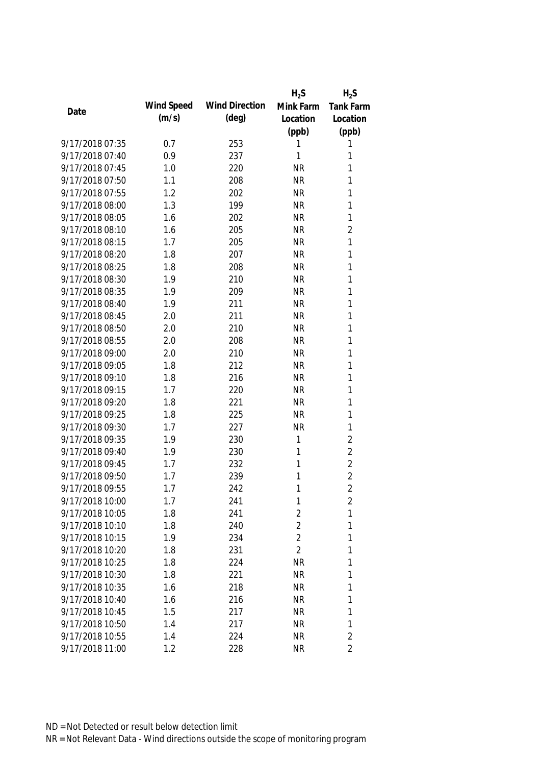|                 |            |                       | $H_2S$         | $H_2S$           |
|-----------------|------------|-----------------------|----------------|------------------|
| Date            | Wind Speed | <b>Wind Direction</b> | Mink Farm      | <b>Tank Farm</b> |
|                 | (m/s)      | $(\text{deg})$        | Location       | Location         |
|                 |            |                       | (ppb)          | (ppb)            |
| 9/17/2018 07:35 | 0.7        | 253                   | 1              | 1                |
| 9/17/2018 07:40 | 0.9        | 237                   | 1              | 1                |
| 9/17/2018 07:45 | 1.0        | 220                   | <b>NR</b>      | 1                |
| 9/17/2018 07:50 | 1.1        | 208                   | <b>NR</b>      | 1                |
| 9/17/2018 07:55 | 1.2        | 202                   | <b>NR</b>      | 1                |
| 9/17/2018 08:00 | 1.3        | 199                   | <b>NR</b>      | 1                |
| 9/17/2018 08:05 | 1.6        | 202                   | <b>NR</b>      | 1                |
| 9/17/2018 08:10 | 1.6        | 205                   | <b>NR</b>      | $\overline{2}$   |
| 9/17/2018 08:15 | 1.7        | 205                   | <b>NR</b>      | 1                |
| 9/17/2018 08:20 | 1.8        | 207                   | <b>NR</b>      | 1                |
| 9/17/2018 08:25 | 1.8        | 208                   | <b>NR</b>      | 1                |
| 9/17/2018 08:30 | 1.9        | 210                   | <b>NR</b>      | 1                |
| 9/17/2018 08:35 | 1.9        | 209                   | <b>NR</b>      | 1                |
| 9/17/2018 08:40 | 1.9        | 211                   | <b>NR</b>      | 1                |
| 9/17/2018 08:45 | 2.0        | 211                   | <b>NR</b>      | 1                |
| 9/17/2018 08:50 | 2.0        | 210                   | <b>NR</b>      | 1                |
| 9/17/2018 08:55 | 2.0        | 208                   | <b>NR</b>      | 1                |
| 9/17/2018 09:00 | 2.0        | 210                   | <b>NR</b>      | 1                |
| 9/17/2018 09:05 | 1.8        | 212                   | <b>NR</b>      | 1                |
| 9/17/2018 09:10 | 1.8        | 216                   | <b>NR</b>      | 1                |
| 9/17/2018 09:15 | 1.7        | 220                   | <b>NR</b>      | 1                |
| 9/17/2018 09:20 | 1.8        | 221                   | <b>NR</b>      | 1                |
| 9/17/2018 09:25 | 1.8        | 225                   | <b>NR</b>      | 1                |
| 9/17/2018 09:30 | 1.7        | 227                   | <b>NR</b>      | 1                |
| 9/17/2018 09:35 | 1.9        | 230                   | 1              | $\sqrt{2}$       |
| 9/17/2018 09:40 | 1.9        | 230                   | 1              | $\overline{2}$   |
| 9/17/2018 09:45 | 1.7        | 232                   | 1              | $\overline{2}$   |
| 9/17/2018 09:50 | 1.7        | 239                   | 1              | $\overline{2}$   |
| 9/17/2018 09:55 | 1.7        | 242                   | 1              | $\overline{2}$   |
| 9/17/2018 10:00 | 1.7        | 241                   | 1              | 2                |
| 9/17/2018 10:05 | 1.8        | 241                   | 2              | 1                |
| 9/17/2018 10:10 | 1.8        | 240                   | $\overline{2}$ | 1                |
| 9/17/2018 10:15 | 1.9        | 234                   | $\overline{2}$ | 1                |
| 9/17/2018 10:20 | 1.8        | 231                   | $\overline{2}$ | 1                |
| 9/17/2018 10:25 | 1.8        | 224                   | <b>NR</b>      | 1                |
| 9/17/2018 10:30 | 1.8        | 221                   | <b>NR</b>      | 1                |
| 9/17/2018 10:35 | 1.6        | 218                   | <b>NR</b>      | 1                |
| 9/17/2018 10:40 | 1.6        | 216                   | <b>NR</b>      | 1                |
| 9/17/2018 10:45 | 1.5        | 217                   | <b>NR</b>      | 1                |
| 9/17/2018 10:50 | 1.4        | 217                   | <b>NR</b>      | 1                |
| 9/17/2018 10:55 | 1.4        | 224                   | <b>NR</b>      | $\overline{2}$   |
| 9/17/2018 11:00 | 1.2        | 228                   | <b>NR</b>      | $\overline{2}$   |
|                 |            |                       |                |                  |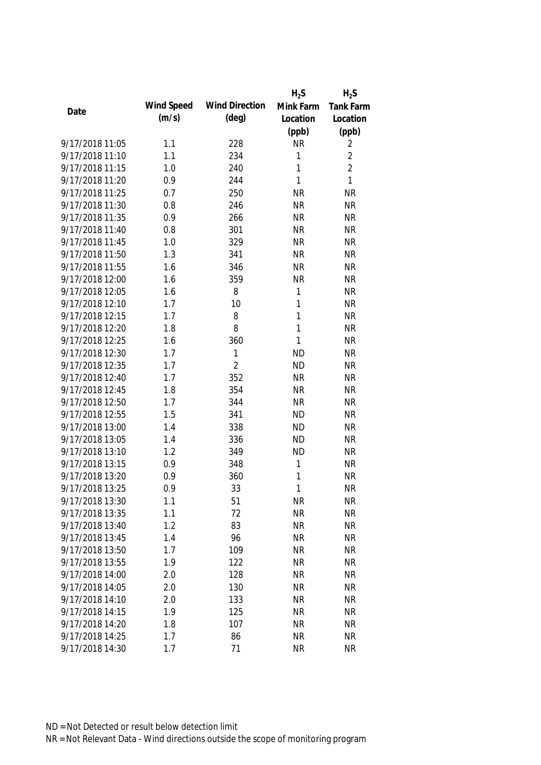|                 |            |                       | $H_2S$       | $H_2S$         |
|-----------------|------------|-----------------------|--------------|----------------|
| Date            | Wind Speed | <b>Wind Direction</b> | Mink Farm    | Tank Farm      |
|                 | (m/s)      | $(\text{deg})$        | Location     | Location       |
|                 |            |                       | (ppb)        | (ppb)          |
| 9/17/2018 11:05 | 1.1        | 228                   | <b>NR</b>    | 2              |
| 9/17/2018 11:10 | 1.1        | 234                   | 1            | $\overline{2}$ |
| 9/17/2018 11:15 | 1.0        | 240                   | 1            | $\overline{2}$ |
| 9/17/2018 11:20 | 0.9        | 244                   | 1            | $\mathbf{1}$   |
| 9/17/2018 11:25 | 0.7        | 250                   | <b>NR</b>    | <b>NR</b>      |
| 9/17/2018 11:30 | 0.8        | 246                   | <b>NR</b>    | <b>NR</b>      |
| 9/17/2018 11:35 | 0.9        | 266                   | <b>NR</b>    | <b>NR</b>      |
| 9/17/2018 11:40 | 0.8        | 301                   | <b>NR</b>    | <b>NR</b>      |
| 9/17/2018 11:45 | 1.0        | 329                   | <b>NR</b>    | <b>NR</b>      |
| 9/17/2018 11:50 | 1.3        | 341                   | <b>NR</b>    | <b>NR</b>      |
| 9/17/2018 11:55 | 1.6        | 346                   | <b>NR</b>    | <b>NR</b>      |
| 9/17/2018 12:00 | 1.6        | 359                   | <b>NR</b>    | <b>NR</b>      |
| 9/17/2018 12:05 | 1.6        | 8                     | 1            | <b>NR</b>      |
| 9/17/2018 12:10 | 1.7        | 10                    | 1            | <b>NR</b>      |
| 9/17/2018 12:15 | 1.7        | 8                     | 1            | <b>NR</b>      |
| 9/17/2018 12:20 | 1.8        | 8                     | $\mathbf{1}$ | <b>NR</b>      |
| 9/17/2018 12:25 | 1.6        | 360                   | 1            | <b>NR</b>      |
| 9/17/2018 12:30 | 1.7        | 1                     | <b>ND</b>    | <b>NR</b>      |
| 9/17/2018 12:35 | 1.7        | $\overline{2}$        | <b>ND</b>    | <b>NR</b>      |
| 9/17/2018 12:40 | 1.7        | 352                   | <b>NR</b>    | <b>NR</b>      |
| 9/17/2018 12:45 | 1.8        | 354                   | <b>NR</b>    | <b>NR</b>      |
| 9/17/2018 12:50 | 1.7        | 344                   | <b>NR</b>    | <b>NR</b>      |
| 9/17/2018 12:55 | 1.5        | 341                   | <b>ND</b>    | <b>NR</b>      |
| 9/17/2018 13:00 | 1.4        | 338                   | <b>ND</b>    | <b>NR</b>      |
| 9/17/2018 13:05 | 1.4        | 336                   | <b>ND</b>    | <b>NR</b>      |
| 9/17/2018 13:10 | 1.2        | 349                   | <b>ND</b>    | <b>NR</b>      |
| 9/17/2018 13:15 | 0.9        | 348                   | 1            | <b>NR</b>      |
| 9/17/2018 13:20 | 0.9        | 360                   | 1            | <b>NR</b>      |
| 9/17/2018 13:25 | 0.9        | 33                    | 1            | <b>NR</b>      |
| 9/17/2018 13:30 | 1.1        | 51                    | <b>NR</b>    | <b>NR</b>      |
| 9/17/2018 13:35 | 1.1        | 72                    | <b>NR</b>    | <b>NR</b>      |
| 9/17/2018 13:40 | 1.2        | 83                    | <b>NR</b>    | <b>NR</b>      |
| 9/17/2018 13:45 | 1.4        | 96                    | <b>NR</b>    | <b>NR</b>      |
| 9/17/2018 13:50 | 1.7        | 109                   | <b>NR</b>    | <b>NR</b>      |
| 9/17/2018 13:55 | 1.9        | 122                   | <b>NR</b>    | <b>NR</b>      |
| 9/17/2018 14:00 | 2.0        | 128                   | <b>NR</b>    | <b>NR</b>      |
| 9/17/2018 14:05 | 2.0        | 130                   | <b>NR</b>    | <b>NR</b>      |
| 9/17/2018 14:10 | 2.0        | 133                   | <b>NR</b>    | <b>NR</b>      |
| 9/17/2018 14:15 | 1.9        | 125                   | <b>NR</b>    | <b>NR</b>      |
| 9/17/2018 14:20 | 1.8        | 107                   | <b>NR</b>    | <b>NR</b>      |
| 9/17/2018 14:25 | 1.7        | 86                    | <b>NR</b>    | <b>NR</b>      |
| 9/17/2018 14:30 | 1.7        | 71                    | <b>NR</b>    | <b>NR</b>      |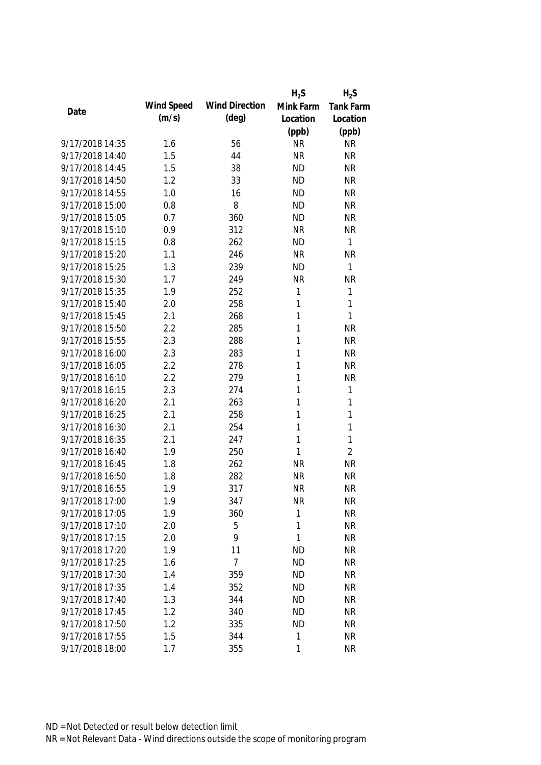|                 |            |                       | $H_2S$    | $H_2S$         |
|-----------------|------------|-----------------------|-----------|----------------|
|                 | Wind Speed | <b>Wind Direction</b> | Mink Farm | Tank Farm      |
| Date            | (m/s)      | $(\text{deg})$        | Location  | Location       |
|                 |            |                       | (ppb)     | (ppb)          |
| 9/17/2018 14:35 | 1.6        | 56                    | <b>NR</b> | <b>NR</b>      |
| 9/17/2018 14:40 | 1.5        | 44                    | <b>NR</b> | <b>NR</b>      |
| 9/17/2018 14:45 | 1.5        | 38                    | <b>ND</b> | <b>NR</b>      |
| 9/17/2018 14:50 | 1.2        | 33                    | <b>ND</b> | <b>NR</b>      |
| 9/17/2018 14:55 | 1.0        | 16                    | <b>ND</b> | <b>NR</b>      |
| 9/17/2018 15:00 | 0.8        | 8                     | <b>ND</b> | <b>NR</b>      |
| 9/17/2018 15:05 | 0.7        | 360                   | <b>ND</b> | <b>NR</b>      |
| 9/17/2018 15:10 | 0.9        | 312                   | <b>NR</b> | <b>NR</b>      |
| 9/17/2018 15:15 | 0.8        | 262                   | <b>ND</b> | 1              |
| 9/17/2018 15:20 | 1.1        | 246                   | <b>NR</b> | <b>NR</b>      |
| 9/17/2018 15:25 | 1.3        | 239                   | <b>ND</b> | $\mathbf{1}$   |
| 9/17/2018 15:30 | 1.7        | 249                   | <b>NR</b> | <b>NR</b>      |
| 9/17/2018 15:35 | 1.9        | 252                   | 1         | 1              |
| 9/17/2018 15:40 | 2.0        | 258                   | 1         | 1              |
| 9/17/2018 15:45 | 2.1        | 268                   | 1         | $\mathbf{1}$   |
| 9/17/2018 15:50 | 2.2        | 285                   | 1         | <b>NR</b>      |
| 9/17/2018 15:55 | 2.3        | 288                   | 1         | <b>NR</b>      |
| 9/17/2018 16:00 | 2.3        | 283                   | 1         | <b>NR</b>      |
| 9/17/2018 16:05 | 2.2        | 278                   | 1         | <b>NR</b>      |
| 9/17/2018 16:10 | 2.2        | 279                   | 1         | <b>NR</b>      |
| 9/17/2018 16:15 | 2.3        | 274                   | 1         | 1              |
| 9/17/2018 16:20 | 2.1        | 263                   | 1         | $\mathbf{1}$   |
| 9/17/2018 16:25 | 2.1        | 258                   | 1         | $\mathbf{1}$   |
| 9/17/2018 16:30 | 2.1        | 254                   | 1         | $\mathbf{1}$   |
| 9/17/2018 16:35 | 2.1        | 247                   | 1         | $\mathbf{1}$   |
| 9/17/2018 16:40 | 1.9        | 250                   | 1         | $\overline{2}$ |
| 9/17/2018 16:45 | 1.8        | 262                   | <b>NR</b> | <b>NR</b>      |
| 9/17/2018 16:50 | 1.8        | 282                   | <b>NR</b> | <b>NR</b>      |
| 9/17/2018 16:55 | 1.9        | 317                   | <b>NR</b> | <b>NR</b>      |
| 9/17/2018 17:00 | 1.9        | 347                   | <b>NR</b> | <b>NR</b>      |
| 9/17/2018 17:05 | 1.9        | 360                   | 1         | <b>NR</b>      |
| 9/17/2018 17:10 | 2.0        | 5                     | 1         | <b>NR</b>      |
| 9/17/2018 17:15 | 2.0        | 9                     | 1         | <b>NR</b>      |
| 9/17/2018 17:20 | 1.9        | 11                    | <b>ND</b> | <b>NR</b>      |
| 9/17/2018 17:25 | 1.6        | $\overline{7}$        | <b>ND</b> | <b>NR</b>      |
| 9/17/2018 17:30 | 1.4        | 359                   | <b>ND</b> | <b>NR</b>      |
| 9/17/2018 17:35 | 1.4        | 352                   | <b>ND</b> | <b>NR</b>      |
| 9/17/2018 17:40 | 1.3        | 344                   | <b>ND</b> | <b>NR</b>      |
| 9/17/2018 17:45 | 1.2        | 340                   | <b>ND</b> | <b>NR</b>      |
| 9/17/2018 17:50 | 1.2        | 335                   | <b>ND</b> | <b>NR</b>      |
| 9/17/2018 17:55 | 1.5        | 344                   | 1         | <b>NR</b>      |
| 9/17/2018 18:00 | 1.7        | 355                   | 1         | <b>NR</b>      |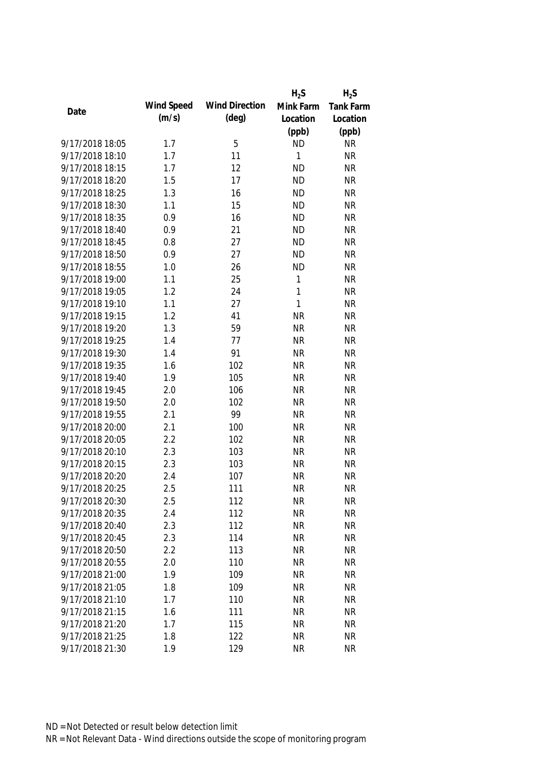|                 |            |                       | $H_2S$       | $H_2S$    |
|-----------------|------------|-----------------------|--------------|-----------|
|                 | Wind Speed | <b>Wind Direction</b> | Mink Farm    | Tank Farm |
| Date            | (m/s)      | $(\text{deg})$        | Location     | Location  |
|                 |            |                       | (ppb)        | (ppb)     |
| 9/17/2018 18:05 | 1.7        | 5                     | <b>ND</b>    | <b>NR</b> |
| 9/17/2018 18:10 | 1.7        | 11                    | 1            | <b>NR</b> |
| 9/17/2018 18:15 | 1.7        | 12                    | <b>ND</b>    | <b>NR</b> |
| 9/17/2018 18:20 | 1.5        | 17                    | <b>ND</b>    | <b>NR</b> |
| 9/17/2018 18:25 | 1.3        | 16                    | <b>ND</b>    | <b>NR</b> |
| 9/17/2018 18:30 | 1.1        | 15                    | <b>ND</b>    | <b>NR</b> |
| 9/17/2018 18:35 | 0.9        | 16                    | <b>ND</b>    | <b>NR</b> |
| 9/17/2018 18:40 | 0.9        | 21                    | <b>ND</b>    | <b>NR</b> |
| 9/17/2018 18:45 | 0.8        | 27                    | <b>ND</b>    | <b>NR</b> |
| 9/17/2018 18:50 | 0.9        | 27                    | <b>ND</b>    | <b>NR</b> |
| 9/17/2018 18:55 | 1.0        | 26                    | <b>ND</b>    | <b>NR</b> |
| 9/17/2018 19:00 | 1.1        | 25                    | 1            | <b>NR</b> |
| 9/17/2018 19:05 | 1.2        | 24                    | $\mathbf{1}$ | <b>NR</b> |
| 9/17/2018 19:10 | 1.1        | 27                    | $\mathbf{1}$ | <b>NR</b> |
| 9/17/2018 19:15 | 1.2        | 41                    | <b>NR</b>    | <b>NR</b> |
| 9/17/2018 19:20 | 1.3        | 59                    | <b>NR</b>    | <b>NR</b> |
| 9/17/2018 19:25 | 1.4        | 77                    | <b>NR</b>    | <b>NR</b> |
| 9/17/2018 19:30 | 1.4        | 91                    | <b>NR</b>    | <b>NR</b> |
| 9/17/2018 19:35 | 1.6        | 102                   | <b>NR</b>    | <b>NR</b> |
| 9/17/2018 19:40 | 1.9        | 105                   | <b>NR</b>    | <b>NR</b> |
| 9/17/2018 19:45 | 2.0        | 106                   | <b>NR</b>    | <b>NR</b> |
| 9/17/2018 19:50 | 2.0        | 102                   | <b>NR</b>    | <b>NR</b> |
| 9/17/2018 19:55 | 2.1        | 99                    | <b>NR</b>    | <b>NR</b> |
| 9/17/2018 20:00 | 2.1        | 100                   | <b>NR</b>    | <b>NR</b> |
| 9/17/2018 20:05 | 2.2        | 102                   | <b>NR</b>    | <b>NR</b> |
| 9/17/2018 20:10 | 2.3        | 103                   | <b>NR</b>    | <b>NR</b> |
| 9/17/2018 20:15 | 2.3        | 103                   | <b>NR</b>    | <b>NR</b> |
| 9/17/2018 20:20 | 2.4        | 107                   | <b>NR</b>    | <b>NR</b> |
| 9/17/2018 20:25 | 2.5        | 111                   | <b>NR</b>    | <b>NR</b> |
| 9/17/2018 20:30 | 2.5        | 112                   | <b>NR</b>    | <b>NR</b> |
| 9/17/2018 20:35 | 2.4        | 112                   | <b>NR</b>    | <b>NR</b> |
| 9/17/2018 20:40 | 2.3        | 112                   | <b>NR</b>    | <b>NR</b> |
| 9/17/2018 20:45 | 2.3        | 114                   | <b>NR</b>    | <b>NR</b> |
| 9/17/2018 20:50 | 2.2        | 113                   | <b>NR</b>    | <b>NR</b> |
| 9/17/2018 20:55 | 2.0        | 110                   | <b>NR</b>    | <b>NR</b> |
| 9/17/2018 21:00 | 1.9        | 109                   | <b>NR</b>    | <b>NR</b> |
| 9/17/2018 21:05 | 1.8        | 109                   | <b>NR</b>    | <b>NR</b> |
| 9/17/2018 21:10 | 1.7        | 110                   | <b>NR</b>    | <b>NR</b> |
| 9/17/2018 21:15 | 1.6        | 111                   | <b>NR</b>    | <b>NR</b> |
| 9/17/2018 21:20 | 1.7        | 115                   | <b>NR</b>    | <b>NR</b> |
| 9/17/2018 21:25 | 1.8        | 122                   | <b>NR</b>    | <b>NR</b> |
| 9/17/2018 21:30 | 1.9        | 129                   | <b>NR</b>    | <b>NR</b> |
|                 |            |                       |              |           |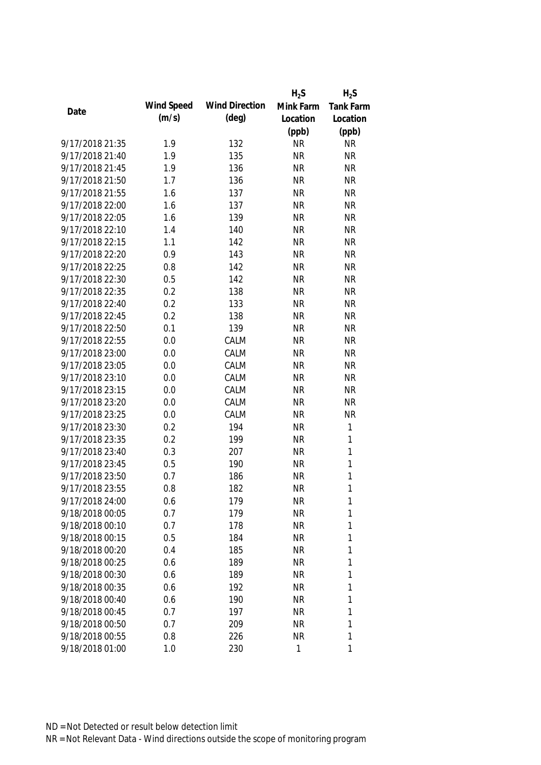|                 |            |                       | $H_2S$    | $H_2S$       |
|-----------------|------------|-----------------------|-----------|--------------|
| Date            | Wind Speed | <b>Wind Direction</b> | Mink Farm | Tank Farm    |
|                 | (m/s)      | $(\text{deg})$        | Location  | Location     |
|                 |            |                       | (ppb)     | (ppb)        |
| 9/17/2018 21:35 | 1.9        | 132                   | <b>NR</b> | <b>NR</b>    |
| 9/17/2018 21:40 | 1.9        | 135                   | <b>NR</b> | <b>NR</b>    |
| 9/17/2018 21:45 | 1.9        | 136                   | <b>NR</b> | <b>NR</b>    |
| 9/17/2018 21:50 | 1.7        | 136                   | <b>NR</b> | <b>NR</b>    |
| 9/17/2018 21:55 | 1.6        | 137                   | <b>NR</b> | <b>NR</b>    |
| 9/17/2018 22:00 | 1.6        | 137                   | <b>NR</b> | <b>NR</b>    |
| 9/17/2018 22:05 | 1.6        | 139                   | <b>NR</b> | <b>NR</b>    |
| 9/17/2018 22:10 | 1.4        | 140                   | <b>NR</b> | <b>NR</b>    |
| 9/17/2018 22:15 | 1.1        | 142                   | <b>NR</b> | <b>NR</b>    |
| 9/17/2018 22:20 | 0.9        | 143                   | <b>NR</b> | <b>NR</b>    |
| 9/17/2018 22:25 | 0.8        | 142                   | <b>NR</b> | <b>NR</b>    |
| 9/17/2018 22:30 | 0.5        | 142                   | <b>NR</b> | <b>NR</b>    |
| 9/17/2018 22:35 | 0.2        | 138                   | <b>NR</b> | <b>NR</b>    |
| 9/17/2018 22:40 | 0.2        | 133                   | <b>NR</b> | <b>NR</b>    |
| 9/17/2018 22:45 | 0.2        | 138                   | <b>NR</b> | <b>NR</b>    |
| 9/17/2018 22:50 | 0.1        | 139                   | <b>NR</b> | <b>NR</b>    |
| 9/17/2018 22:55 | 0.0        | CALM                  | <b>NR</b> | <b>NR</b>    |
| 9/17/2018 23:00 | 0.0        | CALM                  | <b>NR</b> | <b>NR</b>    |
| 9/17/2018 23:05 | 0.0        | CALM                  | <b>NR</b> | <b>NR</b>    |
| 9/17/2018 23:10 | 0.0        | CALM                  | <b>NR</b> | <b>NR</b>    |
| 9/17/2018 23:15 | 0.0        | CALM                  | <b>NR</b> | <b>NR</b>    |
| 9/17/2018 23:20 | 0.0        | CALM                  | <b>NR</b> | <b>NR</b>    |
| 9/17/2018 23:25 | 0.0        | CALM                  | <b>NR</b> | <b>NR</b>    |
| 9/17/2018 23:30 | 0.2        | 194                   | <b>NR</b> | $\mathbf{1}$ |
| 9/17/2018 23:35 | 0.2        | 199                   | <b>NR</b> | $\mathbf{1}$ |
| 9/17/2018 23:40 | 0.3        | 207                   | <b>NR</b> | $\mathbf{1}$ |
| 9/17/2018 23:45 | 0.5        | 190                   | <b>NR</b> | 1            |
| 9/17/2018 23:50 | 0.7        | 186                   | <b>NR</b> | 1            |
| 9/17/2018 23:55 | 0.8        | 182                   | <b>NR</b> | 1            |
| 9/17/2018 24:00 | 0.6        | 179                   | <b>NR</b> | 1            |
| 9/18/2018 00:05 | 0.7        | 179                   | <b>NR</b> | 1            |
| 9/18/2018 00:10 | 0.7        | 178                   | <b>NR</b> | 1            |
| 9/18/2018 00:15 | 0.5        | 184                   | <b>NR</b> | 1            |
| 9/18/2018 00:20 | 0.4        | 185                   | <b>NR</b> | 1            |
| 9/18/2018 00:25 | 0.6        | 189                   | <b>NR</b> | 1            |
| 9/18/2018 00:30 | 0.6        | 189                   | <b>NR</b> | 1            |
| 9/18/2018 00:35 | 0.6        | 192                   | <b>NR</b> | 1            |
| 9/18/2018 00:40 | 0.6        | 190                   | <b>NR</b> | 1            |
| 9/18/2018 00:45 | 0.7        | 197                   | <b>NR</b> | 1            |
| 9/18/2018 00:50 | 0.7        | 209                   | <b>NR</b> | 1            |
| 9/18/2018 00:55 | 0.8        | 226                   | <b>NR</b> | 1            |
| 9/18/2018 01:00 | 1.0        | 230                   | 1         | 1            |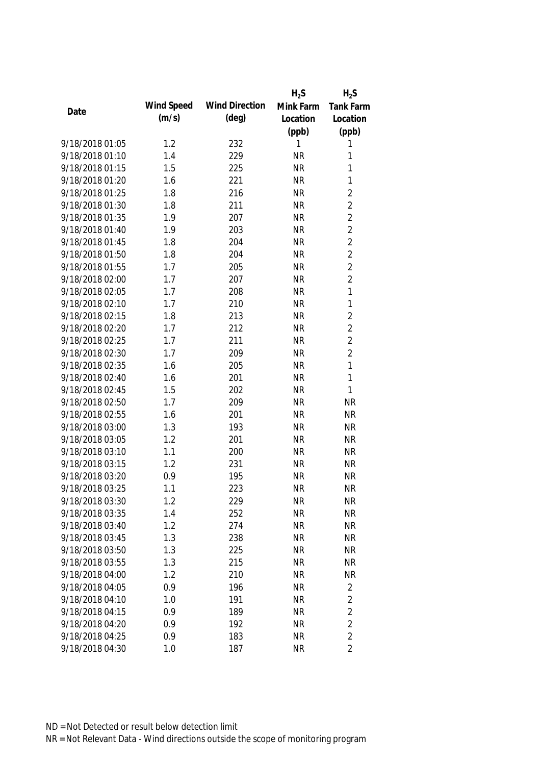|                 |            |                       | $H_2S$    | $H_2S$           |
|-----------------|------------|-----------------------|-----------|------------------|
| Date            | Wind Speed | <b>Wind Direction</b> | Mink Farm | <b>Tank Farm</b> |
|                 | (m/s)      | $(\text{deg})$        | Location  | Location         |
|                 |            |                       | (ppb)     | (ppb)            |
| 9/18/2018 01:05 | 1.2        | 232                   | 1         | 1                |
| 9/18/2018 01:10 | 1.4        | 229                   | <b>NR</b> | 1                |
| 9/18/2018 01:15 | 1.5        | 225                   | <b>NR</b> | 1                |
| 9/18/2018 01:20 | 1.6        | 221                   | <b>NR</b> | 1                |
| 9/18/2018 01:25 | 1.8        | 216                   | <b>NR</b> | $\overline{2}$   |
| 9/18/2018 01:30 | 1.8        | 211                   | <b>NR</b> | $\overline{2}$   |
| 9/18/2018 01:35 | 1.9        | 207                   | <b>NR</b> | $\overline{2}$   |
| 9/18/2018 01:40 | 1.9        | 203                   | <b>NR</b> | $\overline{2}$   |
| 9/18/2018 01:45 | 1.8        | 204                   | <b>NR</b> | $\overline{2}$   |
| 9/18/2018 01:50 | 1.8        | 204                   | <b>NR</b> | $\overline{2}$   |
| 9/18/2018 01:55 | 1.7        | 205                   | <b>NR</b> | $\overline{2}$   |
| 9/18/2018 02:00 | 1.7        | 207                   | <b>NR</b> | $\overline{2}$   |
| 9/18/2018 02:05 | 1.7        | 208                   | <b>NR</b> | 1                |
| 9/18/2018 02:10 | 1.7        | 210                   | <b>NR</b> | 1                |
| 9/18/2018 02:15 | 1.8        | 213                   | <b>NR</b> | $\overline{2}$   |
| 9/18/2018 02:20 | 1.7        | 212                   | <b>NR</b> | $\overline{2}$   |
| 9/18/2018 02:25 | 1.7        | 211                   | <b>NR</b> | $\overline{2}$   |
| 9/18/2018 02:30 | 1.7        | 209                   | <b>NR</b> | $\overline{2}$   |
| 9/18/2018 02:35 | 1.6        | 205                   | <b>NR</b> | $\mathbf{1}$     |
| 9/18/2018 02:40 | 1.6        | 201                   | <b>NR</b> | 1                |
| 9/18/2018 02:45 | 1.5        | 202                   | <b>NR</b> | 1                |
| 9/18/2018 02:50 | 1.7        | 209                   | <b>NR</b> | <b>NR</b>        |
| 9/18/2018 02:55 | 1.6        | 201                   | <b>NR</b> | <b>NR</b>        |
| 9/18/2018 03:00 | 1.3        | 193                   | <b>NR</b> | <b>NR</b>        |
| 9/18/2018 03:05 | 1.2        | 201                   | <b>NR</b> | <b>NR</b>        |
| 9/18/2018 03:10 | 1.1        | 200                   | <b>NR</b> | <b>NR</b>        |
| 9/18/2018 03:15 | 1.2        | 231                   | <b>NR</b> | <b>NR</b>        |
| 9/18/2018 03:20 | 0.9        | 195                   | <b>NR</b> | <b>NR</b>        |
| 9/18/2018 03:25 | 1.1        | 223                   | <b>NR</b> | <b>NR</b>        |
| 9/18/2018 03:30 | 1.2        | 229                   | <b>NR</b> | <b>NR</b>        |
| 9/18/2018 03:35 | 1.4        | 252                   | <b>NR</b> | <b>NR</b>        |
| 9/18/2018 03:40 | 1.2        | 274                   | <b>NR</b> | <b>NR</b>        |
| 9/18/2018 03:45 | 1.3        | 238                   | <b>NR</b> | <b>NR</b>        |
| 9/18/2018 03:50 | 1.3        | 225                   | <b>NR</b> | <b>NR</b>        |
| 9/18/2018 03:55 | 1.3        | 215                   | <b>NR</b> | <b>NR</b>        |
| 9/18/2018 04:00 | 1.2        | 210                   | <b>NR</b> | <b>NR</b>        |
| 9/18/2018 04:05 | 0.9        | 196                   | <b>NR</b> | 2                |
| 9/18/2018 04:10 | 1.0        | 191                   | <b>NR</b> | 2                |
| 9/18/2018 04:15 | 0.9        | 189                   | <b>NR</b> | $\overline{2}$   |
| 9/18/2018 04:20 | 0.9        | 192                   | <b>NR</b> | $\overline{2}$   |
| 9/18/2018 04:25 | 0.9        | 183                   | <b>NR</b> | $\overline{2}$   |
| 9/18/2018 04:30 | 1.0        | 187                   | <b>NR</b> | $\overline{2}$   |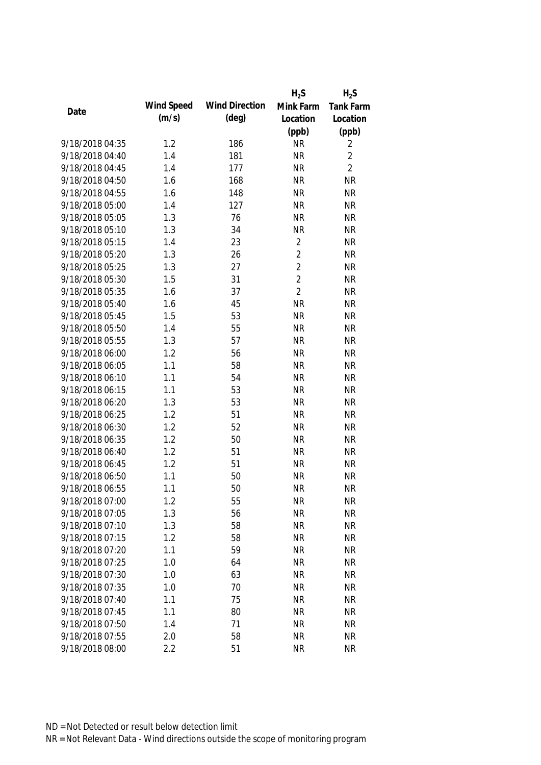|                 |            |                       | $H_2S$         | $H_2S$           |
|-----------------|------------|-----------------------|----------------|------------------|
| Date            | Wind Speed | <b>Wind Direction</b> | Mink Farm      | <b>Tank Farm</b> |
|                 | (m/s)      | $(\text{deg})$        | Location       | Location         |
|                 |            |                       | (ppb)          | (ppb)            |
| 9/18/2018 04:35 | 1.2        | 186                   | <b>NR</b>      | 2                |
| 9/18/2018 04:40 | 1.4        | 181                   | <b>NR</b>      | $\overline{2}$   |
| 9/18/2018 04:45 | 1.4        | 177                   | <b>NR</b>      | $\overline{2}$   |
| 9/18/2018 04:50 | 1.6        | 168                   | <b>NR</b>      | <b>NR</b>        |
| 9/18/2018 04:55 | 1.6        | 148                   | <b>NR</b>      | <b>NR</b>        |
| 9/18/2018 05:00 | 1.4        | 127                   | <b>NR</b>      | <b>NR</b>        |
| 9/18/2018 05:05 | 1.3        | 76                    | <b>NR</b>      | <b>NR</b>        |
| 9/18/2018 05:10 | 1.3        | 34                    | <b>NR</b>      | <b>NR</b>        |
| 9/18/2018 05:15 | 1.4        | 23                    | $\overline{2}$ | <b>NR</b>        |
| 9/18/2018 05:20 | 1.3        | 26                    | $\overline{2}$ | <b>NR</b>        |
| 9/18/2018 05:25 | 1.3        | 27                    | $\overline{2}$ | <b>NR</b>        |
| 9/18/2018 05:30 | 1.5        | 31                    | $\overline{2}$ | <b>NR</b>        |
| 9/18/2018 05:35 | 1.6        | 37                    | $\overline{2}$ | <b>NR</b>        |
| 9/18/2018 05:40 | 1.6        | 45                    | <b>NR</b>      | <b>NR</b>        |
| 9/18/2018 05:45 | 1.5        | 53                    | <b>NR</b>      | <b>NR</b>        |
| 9/18/2018 05:50 | 1.4        | 55                    | <b>NR</b>      | <b>NR</b>        |
| 9/18/2018 05:55 | 1.3        | 57                    | <b>NR</b>      | <b>NR</b>        |
| 9/18/2018 06:00 | 1.2        | 56                    | <b>NR</b>      | <b>NR</b>        |
| 9/18/2018 06:05 | 1.1        | 58                    | <b>NR</b>      | <b>NR</b>        |
| 9/18/2018 06:10 | 1.1        | 54                    | <b>NR</b>      | <b>NR</b>        |
| 9/18/2018 06:15 | 1.1        | 53                    | <b>NR</b>      | <b>NR</b>        |
| 9/18/2018 06:20 | 1.3        | 53                    | <b>NR</b>      | <b>NR</b>        |
| 9/18/2018 06:25 | 1.2        | 51                    | <b>NR</b>      | <b>NR</b>        |
| 9/18/2018 06:30 | 1.2        | 52                    | <b>NR</b>      | <b>NR</b>        |
| 9/18/2018 06:35 | 1.2        | 50                    | <b>NR</b>      | <b>NR</b>        |
| 9/18/2018 06:40 | 1.2        | 51                    | <b>NR</b>      | <b>NR</b>        |
| 9/18/2018 06:45 | 1.2        | 51                    | <b>NR</b>      | <b>NR</b>        |
| 9/18/2018 06:50 | 1.1        | 50                    | <b>NR</b>      | <b>NR</b>        |
| 9/18/2018 06:55 | 1.1        | 50                    | <b>NR</b>      | <b>NR</b>        |
| 9/18/2018 07:00 | 1.2        | 55                    | <b>NR</b>      | <b>NR</b>        |
| 9/18/2018 07:05 | 1.3        | 56                    | <b>NR</b>      | <b>NR</b>        |
| 9/18/2018 07:10 | 1.3        | 58                    | <b>NR</b>      | <b>NR</b>        |
| 9/18/2018 07:15 | 1.2        | 58                    | <b>NR</b>      | <b>NR</b>        |
| 9/18/2018 07:20 | 1.1        | 59                    | <b>NR</b>      | <b>NR</b>        |
| 9/18/2018 07:25 | 1.0        | 64                    | <b>NR</b>      | <b>NR</b>        |
| 9/18/2018 07:30 | 1.0        | 63                    | <b>NR</b>      | <b>NR</b>        |
| 9/18/2018 07:35 | 1.0        | 70                    | <b>NR</b>      | <b>NR</b>        |
| 9/18/2018 07:40 | 1.1        | 75                    | <b>NR</b>      | <b>NR</b>        |
| 9/18/2018 07:45 | 1.1        | 80                    | <b>NR</b>      | <b>NR</b>        |
| 9/18/2018 07:50 | 1.4        | 71                    | <b>NR</b>      | <b>NR</b>        |
| 9/18/2018 07:55 | 2.0        | 58                    | <b>NR</b>      | <b>NR</b>        |
| 9/18/2018 08:00 | 2.2        | 51                    | <b>NR</b>      | <b>NR</b>        |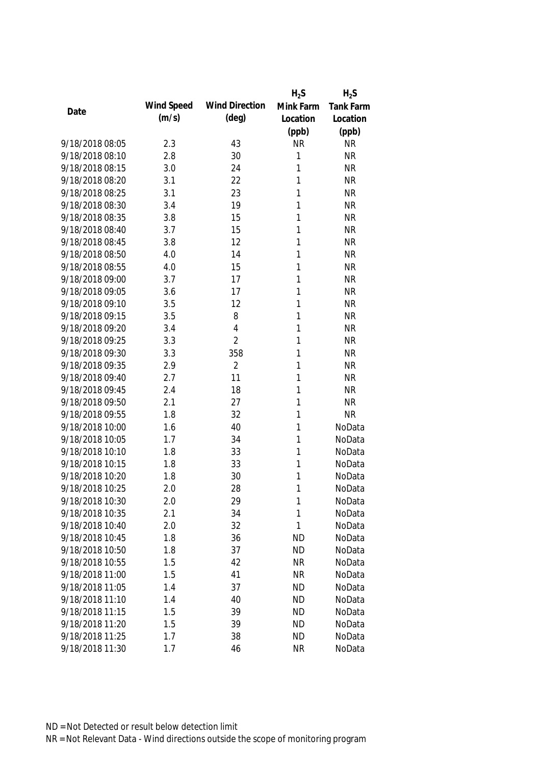|                 |            |                       | $H_2S$       | $H_2S$           |
|-----------------|------------|-----------------------|--------------|------------------|
|                 | Wind Speed | <b>Wind Direction</b> | Mink Farm    | <b>Tank Farm</b> |
| Date            | (m/s)      | $(\text{deg})$        | Location     | Location         |
|                 |            |                       | (ppb)        | (ppb)            |
| 9/18/2018 08:05 | 2.3        | 43                    | <b>NR</b>    | <b>NR</b>        |
| 9/18/2018 08:10 | 2.8        | 30                    | 1            | <b>NR</b>        |
| 9/18/2018 08:15 | 3.0        | 24                    | 1            | NR               |
| 9/18/2018 08:20 | 3.1        | 22                    | 1            | <b>NR</b>        |
| 9/18/2018 08:25 | 3.1        | 23                    | 1            | <b>NR</b>        |
| 9/18/2018 08:30 | 3.4        | 19                    | 1            | <b>NR</b>        |
| 9/18/2018 08:35 | 3.8        | 15                    | 1            | <b>NR</b>        |
| 9/18/2018 08:40 | 3.7        | 15                    | 1            | <b>NR</b>        |
| 9/18/2018 08:45 | 3.8        | 12                    | $\mathbf{1}$ | <b>NR</b>        |
| 9/18/2018 08:50 | 4.0        | 14                    | $\mathbf{1}$ | <b>NR</b>        |
| 9/18/2018 08:55 | 4.0        | 15                    | 1            | <b>NR</b>        |
| 9/18/2018 09:00 | 3.7        | 17                    | 1            | <b>NR</b>        |
| 9/18/2018 09:05 | 3.6        | 17                    | 1            | <b>NR</b>        |
| 9/18/2018 09:10 | 3.5        | 12                    | 1            | <b>NR</b>        |
| 9/18/2018 09:15 | 3.5        | 8                     | 1            | <b>NR</b>        |
| 9/18/2018 09:20 | 3.4        | $\overline{4}$        | 1            | <b>NR</b>        |
| 9/18/2018 09:25 | 3.3        | $\overline{2}$        | 1            | <b>NR</b>        |
| 9/18/2018 09:30 | 3.3        | 358                   | $\mathbf{1}$ | <b>NR</b>        |
| 9/18/2018 09:35 | 2.9        | $\overline{2}$        | 1            | <b>NR</b>        |
| 9/18/2018 09:40 | 2.7        | 11                    | 1            | <b>NR</b>        |
| 9/18/2018 09:45 | 2.4        | 18                    | 1            | <b>NR</b>        |
| 9/18/2018 09:50 | 2.1        | 27                    | 1            | NR               |
| 9/18/2018 09:55 | 1.8        | 32                    | 1            | <b>NR</b>        |
| 9/18/2018 10:00 | 1.6        | 40                    | 1            | NoData           |
| 9/18/2018 10:05 | 1.7        | 34                    | 1            | NoData           |
| 9/18/2018 10:10 | 1.8        | 33                    | 1            | NoData           |
| 9/18/2018 10:15 | 1.8        | 33                    | 1            | NoData           |
| 9/18/2018 10:20 | 1.8        | 30                    | 1            | NoData           |
| 9/18/2018 10:25 | 2.0        | 28                    | 1            | NoData           |
| 9/18/2018 10:30 | 2.0        | 29                    | 1            | NoData           |
| 9/18/2018 10:35 | 2.1        | 34                    | 1            | NoData           |
| 9/18/2018 10:40 | 2.0        | 32                    | 1            | NoData           |
| 9/18/2018 10:45 | 1.8        | 36                    | <b>ND</b>    | NoData           |
| 9/18/2018 10:50 | 1.8        | 37                    | <b>ND</b>    | NoData           |
| 9/18/2018 10:55 | 1.5        | 42                    | <b>NR</b>    | NoData           |
| 9/18/2018 11:00 | 1.5        | 41                    | <b>NR</b>    | NoData           |
| 9/18/2018 11:05 | 1.4        | 37                    | <b>ND</b>    | NoData           |
| 9/18/2018 11:10 | 1.4        | 40                    | ND           | NoData           |
| 9/18/2018 11:15 | 1.5        | 39                    | <b>ND</b>    | NoData           |
| 9/18/2018 11:20 | 1.5        | 39                    | <b>ND</b>    | NoData           |
| 9/18/2018 11:25 | 1.7        | 38                    | <b>ND</b>    | NoData           |
| 9/18/2018 11:30 | 1.7        | 46                    | <b>NR</b>    | NoData           |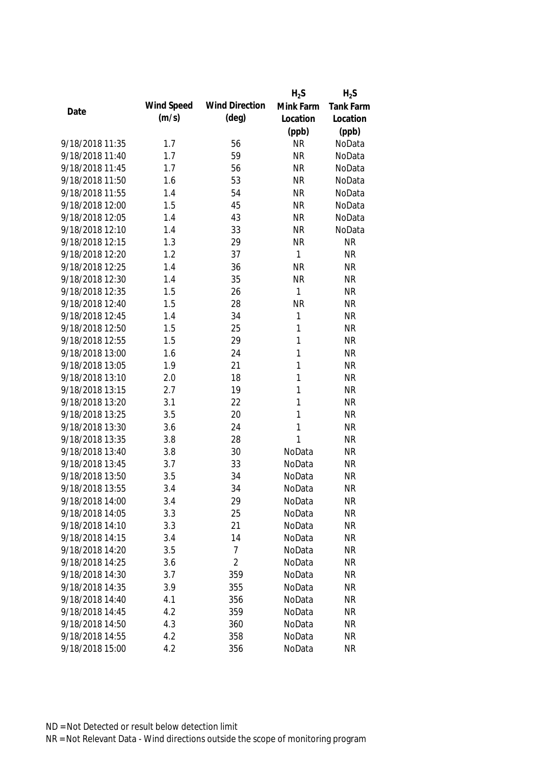|                 |            |                       | $H_2S$       | $H_2S$    |
|-----------------|------------|-----------------------|--------------|-----------|
| Date            | Wind Speed | <b>Wind Direction</b> | Mink Farm    | Tank Farm |
|                 | (m/s)      | $(\text{deg})$        | Location     | Location  |
|                 |            |                       | (ppb)        | (ppb)     |
| 9/18/2018 11:35 | 1.7        | 56                    | <b>NR</b>    | NoData    |
| 9/18/2018 11:40 | 1.7        | 59                    | <b>NR</b>    | NoData    |
| 9/18/2018 11:45 | 1.7        | 56                    | <b>NR</b>    | NoData    |
| 9/18/2018 11:50 | 1.6        | 53                    | <b>NR</b>    | NoData    |
| 9/18/2018 11:55 | 1.4        | 54                    | <b>NR</b>    | NoData    |
| 9/18/2018 12:00 | 1.5        | 45                    | <b>NR</b>    | NoData    |
| 9/18/2018 12:05 | 1.4        | 43                    | <b>NR</b>    | NoData    |
| 9/18/2018 12:10 | 1.4        | 33                    | <b>NR</b>    | NoData    |
| 9/18/2018 12:15 | 1.3        | 29                    | <b>NR</b>    | <b>NR</b> |
| 9/18/2018 12:20 | 1.2        | 37                    | 1            | <b>NR</b> |
| 9/18/2018 12:25 | 1.4        | 36                    | <b>NR</b>    | <b>NR</b> |
| 9/18/2018 12:30 | 1.4        | 35                    | <b>NR</b>    | <b>NR</b> |
| 9/18/2018 12:35 | 1.5        | 26                    | $\mathbf{1}$ | <b>NR</b> |
| 9/18/2018 12:40 | 1.5        | 28                    | <b>NR</b>    | <b>NR</b> |
| 9/18/2018 12:45 | 1.4        | 34                    | 1            | <b>NR</b> |
| 9/18/2018 12:50 | 1.5        | 25                    | 1            | <b>NR</b> |
| 9/18/2018 12:55 | 1.5        | 29                    | $\mathbf{1}$ | <b>NR</b> |
| 9/18/2018 13:00 | 1.6        | 24                    | 1            | <b>NR</b> |
| 9/18/2018 13:05 | 1.9        | 21                    | 1            | <b>NR</b> |
| 9/18/2018 13:10 | 2.0        | 18                    | $\mathbf{1}$ | <b>NR</b> |
| 9/18/2018 13:15 | 2.7        | 19                    | 1            | <b>NR</b> |
| 9/18/2018 13:20 | 3.1        | 22                    | 1            | <b>NR</b> |
| 9/18/2018 13:25 | 3.5        | 20                    | 1            | <b>NR</b> |
| 9/18/2018 13:30 | 3.6        | 24                    | $\mathbf{1}$ | <b>NR</b> |
| 9/18/2018 13:35 | 3.8        | 28                    | 1            | <b>NR</b> |
| 9/18/2018 13:40 | 3.8        | 30                    | NoData       | <b>NR</b> |
| 9/18/2018 13:45 | 3.7        | 33                    | NoData       | <b>NR</b> |
| 9/18/2018 13:50 | 3.5        | 34                    | NoData       | <b>NR</b> |
| 9/18/2018 13:55 | 3.4        | 34                    | NoData       | <b>NR</b> |
| 9/18/2018 14:00 | 3.4        | 29                    | NoData       | <b>NR</b> |
| 9/18/2018 14:05 | 3.3        | 25                    | NoData       | <b>NR</b> |
| 9/18/2018 14:10 | 3.3        | 21                    | NoData       | <b>NR</b> |
| 9/18/2018 14:15 | 3.4        | 14                    | NoData       | <b>NR</b> |
| 9/18/2018 14:20 | 3.5        | 7                     | NoData       | <b>NR</b> |
| 9/18/2018 14:25 | 3.6        | $\overline{2}$        | NoData       | <b>NR</b> |
| 9/18/2018 14:30 | 3.7        | 359                   | NoData       | <b>NR</b> |
| 9/18/2018 14:35 | 3.9        | 355                   | NoData       | <b>NR</b> |
| 9/18/2018 14:40 | 4.1        | 356                   | NoData       | <b>NR</b> |
| 9/18/2018 14:45 | 4.2        | 359                   | NoData       | <b>NR</b> |
| 9/18/2018 14:50 | 4.3        | 360                   | NoData       | <b>NR</b> |
| 9/18/2018 14:55 | 4.2        | 358                   | NoData       | <b>NR</b> |
| 9/18/2018 15:00 | 4.2        | 356                   | NoData       | <b>NR</b> |
|                 |            |                       |              |           |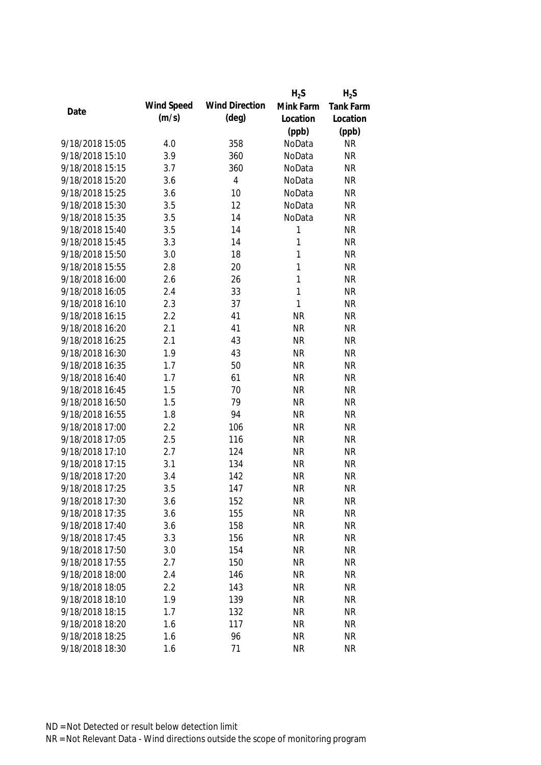|                 |            |                       | $H_2S$       | $H_2S$    |
|-----------------|------------|-----------------------|--------------|-----------|
| Date            | Wind Speed | <b>Wind Direction</b> | Mink Farm    | Tank Farm |
|                 | (m/s)      | $(\text{deg})$        | Location     | Location  |
|                 |            |                       | (ppb)        | (ppb)     |
| 9/18/2018 15:05 | 4.0        | 358                   | NoData       | <b>NR</b> |
| 9/18/2018 15:10 | 3.9        | 360                   | NoData       | <b>NR</b> |
| 9/18/2018 15:15 | 3.7        | 360                   | NoData       | <b>NR</b> |
| 9/18/2018 15:20 | 3.6        | $\overline{4}$        | NoData       | <b>NR</b> |
| 9/18/2018 15:25 | 3.6        | 10                    | NoData       | <b>NR</b> |
| 9/18/2018 15:30 | 3.5        | 12                    | NoData       | <b>NR</b> |
| 9/18/2018 15:35 | 3.5        | 14                    | NoData       | <b>NR</b> |
| 9/18/2018 15:40 | 3.5        | 14                    | $\mathbf{1}$ | <b>NR</b> |
| 9/18/2018 15:45 | 3.3        | 14                    | 1            | <b>NR</b> |
| 9/18/2018 15:50 | 3.0        | 18                    | 1            | <b>NR</b> |
| 9/18/2018 15:55 | 2.8        | 20                    | 1            | <b>NR</b> |
| 9/18/2018 16:00 | 2.6        | 26                    | 1            | <b>NR</b> |
| 9/18/2018 16:05 | 2.4        | 33                    | 1            | <b>NR</b> |
| 9/18/2018 16:10 | 2.3        | 37                    | $\mathbf{1}$ | <b>NR</b> |
| 9/18/2018 16:15 | 2.2        | 41                    | <b>NR</b>    | <b>NR</b> |
| 9/18/2018 16:20 | 2.1        | 41                    | <b>NR</b>    | <b>NR</b> |
| 9/18/2018 16:25 | 2.1        | 43                    | <b>NR</b>    | <b>NR</b> |
| 9/18/2018 16:30 | 1.9        | 43                    | <b>NR</b>    | <b>NR</b> |
| 9/18/2018 16:35 | 1.7        | 50                    | <b>NR</b>    | <b>NR</b> |
| 9/18/2018 16:40 | 1.7        | 61                    | <b>NR</b>    | <b>NR</b> |
| 9/18/2018 16:45 | 1.5        | 70                    | <b>NR</b>    | <b>NR</b> |
| 9/18/2018 16:50 | 1.5        | 79                    | <b>NR</b>    | <b>NR</b> |
| 9/18/2018 16:55 | 1.8        | 94                    | <b>NR</b>    | <b>NR</b> |
| 9/18/2018 17:00 | 2.2        | 106                   | <b>NR</b>    | <b>NR</b> |
| 9/18/2018 17:05 | 2.5        | 116                   | <b>NR</b>    | <b>NR</b> |
| 9/18/2018 17:10 | 2.7        | 124                   | <b>NR</b>    | <b>NR</b> |
| 9/18/2018 17:15 | 3.1        | 134                   | <b>NR</b>    | <b>NR</b> |
| 9/18/2018 17:20 | 3.4        | 142                   | <b>NR</b>    | <b>NR</b> |
| 9/18/2018 17:25 | 3.5        | 147                   | <b>NR</b>    | <b>NR</b> |
| 9/18/2018 17:30 | 3.6        | 152                   | <b>NR</b>    | <b>NR</b> |
| 9/18/2018 17:35 | 3.6        | 155                   | <b>NR</b>    | <b>NR</b> |
| 9/18/2018 17:40 | 3.6        | 158                   | <b>NR</b>    | <b>NR</b> |
| 9/18/2018 17:45 | 3.3        | 156                   | <b>NR</b>    | <b>NR</b> |
| 9/18/2018 17:50 | 3.0        | 154                   | <b>NR</b>    | <b>NR</b> |
| 9/18/2018 17:55 | 2.7        | 150                   | <b>NR</b>    | <b>NR</b> |
| 9/18/2018 18:00 | 2.4        | 146                   | <b>NR</b>    | <b>NR</b> |
| 9/18/2018 18:05 | 2.2        | 143                   | <b>NR</b>    | <b>NR</b> |
| 9/18/2018 18:10 | 1.9        | 139                   | <b>NR</b>    | <b>NR</b> |
| 9/18/2018 18:15 | 1.7        | 132                   | <b>NR</b>    | <b>NR</b> |
| 9/18/2018 18:20 | 1.6        | 117                   | <b>NR</b>    | <b>NR</b> |
| 9/18/2018 18:25 | 1.6        | 96                    | <b>NR</b>    | <b>NR</b> |
| 9/18/2018 18:30 | 1.6        | 71                    | <b>NR</b>    | <b>NR</b> |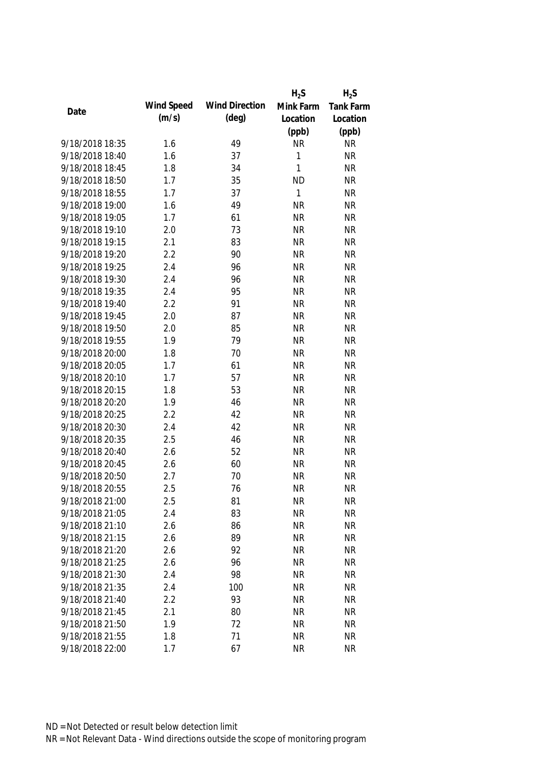|                 |            |                       | $H_2S$    | $H_2S$    |
|-----------------|------------|-----------------------|-----------|-----------|
|                 | Wind Speed | <b>Wind Direction</b> | Mink Farm | Tank Farm |
| Date            | (m/s)      | $(\text{deg})$        | Location  | Location  |
|                 |            |                       | (ppb)     | (ppb)     |
| 9/18/2018 18:35 | 1.6        | 49                    | <b>NR</b> | <b>NR</b> |
| 9/18/2018 18:40 | 1.6        | 37                    | 1         | <b>NR</b> |
| 9/18/2018 18:45 | 1.8        | 34                    | 1         | <b>NR</b> |
| 9/18/2018 18:50 | 1.7        | 35                    | <b>ND</b> | <b>NR</b> |
| 9/18/2018 18:55 | 1.7        | 37                    | 1         | <b>NR</b> |
| 9/18/2018 19:00 | 1.6        | 49                    | <b>NR</b> | <b>NR</b> |
| 9/18/2018 19:05 | 1.7        | 61                    | <b>NR</b> | <b>NR</b> |
| 9/18/2018 19:10 | 2.0        | 73                    | <b>NR</b> | <b>NR</b> |
| 9/18/2018 19:15 | 2.1        | 83                    | <b>NR</b> | <b>NR</b> |
| 9/18/2018 19:20 | 2.2        | 90                    | <b>NR</b> | <b>NR</b> |
| 9/18/2018 19:25 | 2.4        | 96                    | <b>NR</b> | <b>NR</b> |
| 9/18/2018 19:30 | 2.4        | 96                    | <b>NR</b> | <b>NR</b> |
| 9/18/2018 19:35 | 2.4        | 95                    | <b>NR</b> | <b>NR</b> |
| 9/18/2018 19:40 | 2.2        | 91                    | <b>NR</b> | <b>NR</b> |
| 9/18/2018 19:45 | 2.0        | 87                    | <b>NR</b> | <b>NR</b> |
| 9/18/2018 19:50 | 2.0        | 85                    | <b>NR</b> | <b>NR</b> |
| 9/18/2018 19:55 | 1.9        | 79                    | <b>NR</b> | <b>NR</b> |
| 9/18/2018 20:00 | 1.8        | 70                    | <b>NR</b> | <b>NR</b> |
| 9/18/2018 20:05 | 1.7        | 61                    | <b>NR</b> | <b>NR</b> |
| 9/18/2018 20:10 | 1.7        | 57                    | <b>NR</b> | <b>NR</b> |
| 9/18/2018 20:15 | 1.8        | 53                    | <b>NR</b> | <b>NR</b> |
| 9/18/2018 20:20 | 1.9        | 46                    | <b>NR</b> | <b>NR</b> |
| 9/18/2018 20:25 | 2.2        | 42                    | <b>NR</b> | <b>NR</b> |
| 9/18/2018 20:30 | 2.4        | 42                    | <b>NR</b> | <b>NR</b> |
| 9/18/2018 20:35 | 2.5        | 46                    | <b>NR</b> | <b>NR</b> |
| 9/18/2018 20:40 | 2.6        | 52                    | <b>NR</b> | <b>NR</b> |
| 9/18/2018 20:45 | 2.6        | 60                    | <b>NR</b> | <b>NR</b> |
| 9/18/2018 20:50 | 2.7        | 70                    | <b>NR</b> | <b>NR</b> |
| 9/18/2018 20:55 | 2.5        | 76                    | <b>NR</b> | <b>NR</b> |
| 9/18/2018 21:00 | 2.5        | 81                    | <b>NR</b> | <b>NR</b> |
| 9/18/2018 21:05 | 2.4        | 83                    | <b>NR</b> | <b>NR</b> |
| 9/18/2018 21:10 | 2.6        | 86                    | <b>NR</b> | <b>NR</b> |
| 9/18/2018 21:15 | 2.6        | 89                    | <b>NR</b> | <b>NR</b> |
| 9/18/2018 21:20 | 2.6        | 92                    | <b>NR</b> | <b>NR</b> |
| 9/18/2018 21:25 | 2.6        | 96                    | <b>NR</b> | <b>NR</b> |
| 9/18/2018 21:30 | 2.4        | 98                    | <b>NR</b> | <b>NR</b> |
| 9/18/2018 21:35 | 2.4        | 100                   | <b>NR</b> | <b>NR</b> |
| 9/18/2018 21:40 | 2.2        | 93                    | <b>NR</b> | <b>NR</b> |
| 9/18/2018 21:45 | 2.1        | 80                    | <b>NR</b> | <b>NR</b> |
| 9/18/2018 21:50 | 1.9        | 72                    | <b>NR</b> | <b>NR</b> |
|                 |            |                       |           |           |
| 9/18/2018 21:55 | 1.8        | 71                    | <b>NR</b> | <b>NR</b> |
| 9/18/2018 22:00 | 1.7        | 67                    | <b>NR</b> | <b>NR</b> |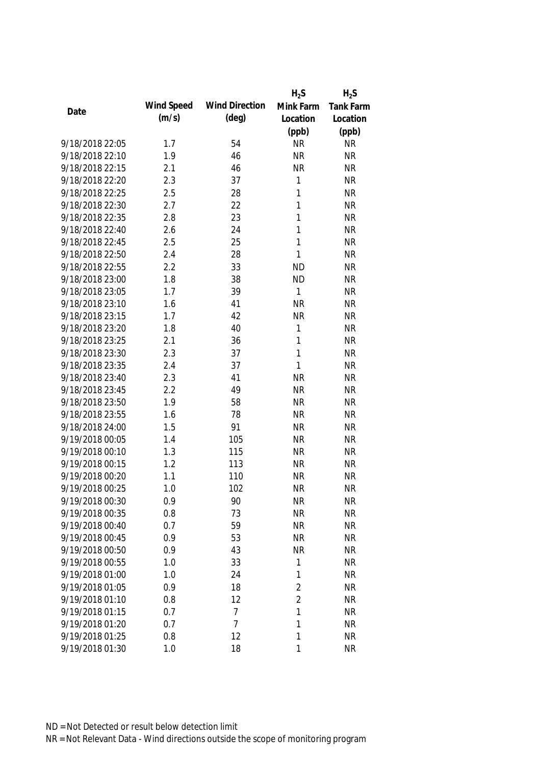|                 |            |                       | $H_2S$         | $H_2S$    |
|-----------------|------------|-----------------------|----------------|-----------|
|                 | Wind Speed | <b>Wind Direction</b> | Mink Farm      | Tank Farm |
| Date            | (m/s)      | $(\text{deg})$        | Location       | Location  |
|                 |            |                       | (ppb)          | (ppb)     |
| 9/18/2018 22:05 | 1.7        | 54                    | <b>NR</b>      | <b>NR</b> |
| 9/18/2018 22:10 | 1.9        | 46                    | <b>NR</b>      | <b>NR</b> |
| 9/18/2018 22:15 | 2.1        | 46                    | <b>NR</b>      | <b>NR</b> |
| 9/18/2018 22:20 | 2.3        | 37                    | 1              | <b>NR</b> |
| 9/18/2018 22:25 | 2.5        | 28                    | 1              | <b>NR</b> |
| 9/18/2018 22:30 | 2.7        | 22                    | 1              | <b>NR</b> |
| 9/18/2018 22:35 | 2.8        | 23                    | 1              | <b>NR</b> |
| 9/18/2018 22:40 | 2.6        | 24                    | 1              | <b>NR</b> |
| 9/18/2018 22:45 | 2.5        | 25                    | $\mathbf{1}$   | <b>NR</b> |
| 9/18/2018 22:50 | 2.4        | 28                    | 1              | <b>NR</b> |
| 9/18/2018 22:55 | 2.2        | 33                    | <b>ND</b>      | <b>NR</b> |
| 9/18/2018 23:00 | 1.8        | 38                    | <b>ND</b>      | <b>NR</b> |
| 9/18/2018 23:05 | 1.7        | 39                    | 1              | <b>NR</b> |
| 9/18/2018 23:10 | 1.6        | 41                    | <b>NR</b>      | <b>NR</b> |
| 9/18/2018 23:15 | 1.7        | 42                    | <b>NR</b>      | <b>NR</b> |
| 9/18/2018 23:20 | 1.8        | 40                    | $\mathbf{1}$   | <b>NR</b> |
| 9/18/2018 23:25 | 2.1        | 36                    | 1              | <b>NR</b> |
| 9/18/2018 23:30 | 2.3        | 37                    | $\mathbf{1}$   | <b>NR</b> |
| 9/18/2018 23:35 | 2.4        | 37                    | 1              | <b>NR</b> |
| 9/18/2018 23:40 | 2.3        | 41                    | <b>NR</b>      | <b>NR</b> |
| 9/18/2018 23:45 | 2.2        | 49                    | <b>NR</b>      | <b>NR</b> |
| 9/18/2018 23:50 | 1.9        | 58                    | <b>NR</b>      | <b>NR</b> |
| 9/18/2018 23:55 | 1.6        | 78                    | <b>NR</b>      | <b>NR</b> |
| 9/18/2018 24:00 | 1.5        | 91                    | <b>NR</b>      | <b>NR</b> |
| 9/19/2018 00:05 | 1.4        | 105                   | <b>NR</b>      | <b>NR</b> |
| 9/19/2018 00:10 | 1.3        | 115                   | <b>NR</b>      | <b>NR</b> |
| 9/19/2018 00:15 | 1.2        | 113                   | <b>NR</b>      | <b>NR</b> |
| 9/19/2018 00:20 | 1.1        | 110                   | <b>NR</b>      | <b>NR</b> |
| 9/19/2018 00:25 | 1.0        | 102                   | <b>NR</b>      | <b>NR</b> |
| 9/19/2018 00:30 | 0.9        | 90                    | <b>NR</b>      | <b>NR</b> |
| 9/19/2018 00:35 | 0.8        | 73                    | <b>NR</b>      | <b>NR</b> |
| 9/19/2018 00:40 | 0.7        | 59                    | <b>NR</b>      | <b>NR</b> |
| 9/19/2018 00:45 | 0.9        | 53                    | <b>NR</b>      | <b>NR</b> |
| 9/19/2018 00:50 | 0.9        | 43                    | <b>NR</b>      | <b>NR</b> |
| 9/19/2018 00:55 | 1.0        | 33                    | 1              | <b>NR</b> |
| 9/19/2018 01:00 | 1.0        | 24                    | 1              | <b>NR</b> |
| 9/19/2018 01:05 | 0.9        | 18                    | $\overline{2}$ | <b>NR</b> |
| 9/19/2018 01:10 | 0.8        | 12                    | $\overline{2}$ | <b>NR</b> |
| 9/19/2018 01:15 | 0.7        | 7                     | 1              | <b>NR</b> |
| 9/19/2018 01:20 | 0.7        | 7                     | 1              | <b>NR</b> |
| 9/19/2018 01:25 | 0.8        | 12                    | 1              | <b>NR</b> |
| 9/19/2018 01:30 | 1.0        | 18                    | 1              | <b>NR</b> |
|                 |            |                       |                |           |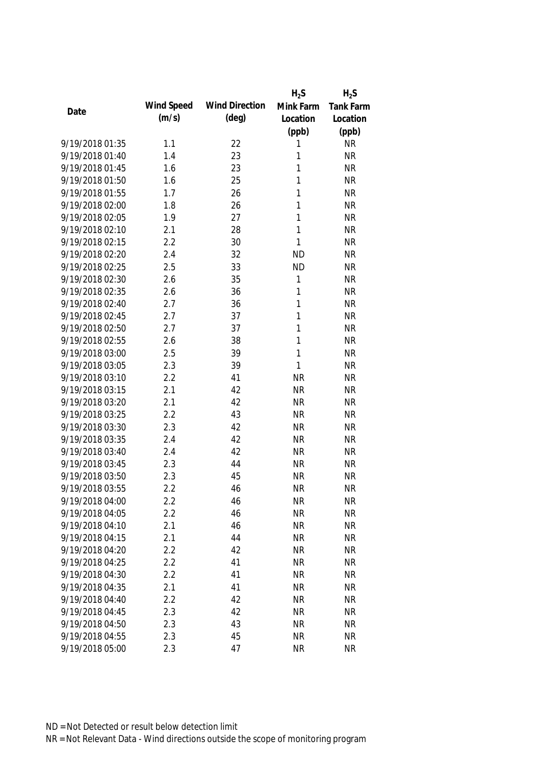|                 |            |                       | $H_2S$       | $H_2S$           |
|-----------------|------------|-----------------------|--------------|------------------|
|                 | Wind Speed | <b>Wind Direction</b> | Mink Farm    | <b>Tank Farm</b> |
| Date            | (m/s)      | $(\text{deg})$        | Location     | Location         |
|                 |            |                       | (ppb)        | (ppb)            |
| 9/19/2018 01:35 | 1.1        | 22                    | 1            | <b>NR</b>        |
| 9/19/2018 01:40 | 1.4        | 23                    | 1            | <b>NR</b>        |
| 9/19/2018 01:45 | 1.6        | 23                    | 1            | <b>NR</b>        |
| 9/19/2018 01:50 | 1.6        | 25                    | 1            | <b>NR</b>        |
| 9/19/2018 01:55 | 1.7        | 26                    | 1            | <b>NR</b>        |
| 9/19/2018 02:00 | 1.8        | 26                    | 1            | <b>NR</b>        |
| 9/19/2018 02:05 | 1.9        | 27                    | 1            | <b>NR</b>        |
| 9/19/2018 02:10 | 2.1        | 28                    | $\mathbf{1}$ | <b>NR</b>        |
| 9/19/2018 02:15 | 2.2        | 30                    | $\mathbf{1}$ | <b>NR</b>        |
| 9/19/2018 02:20 | 2.4        | 32                    | <b>ND</b>    | <b>NR</b>        |
| 9/19/2018 02:25 | 2.5        | 33                    | <b>ND</b>    | <b>NR</b>        |
| 9/19/2018 02:30 | 2.6        | 35                    | 1            | <b>NR</b>        |
| 9/19/2018 02:35 | 2.6        | 36                    | 1            | <b>NR</b>        |
| 9/19/2018 02:40 | 2.7        | 36                    | $\mathbf{1}$ | <b>NR</b>        |
| 9/19/2018 02:45 | 2.7        | 37                    | $\mathbf{1}$ | <b>NR</b>        |
| 9/19/2018 02:50 | 2.7        | 37                    | $\mathbf{1}$ | <b>NR</b>        |
| 9/19/2018 02:55 | 2.6        | 38                    | 1            | <b>NR</b>        |
| 9/19/2018 03:00 | 2.5        | 39                    | $\mathbf{1}$ | <b>NR</b>        |
| 9/19/2018 03:05 | 2.3        | 39                    | 1            | <b>NR</b>        |
| 9/19/2018 03:10 | 2.2        | 41                    | <b>NR</b>    | <b>NR</b>        |
| 9/19/2018 03:15 | 2.1        | 42                    | <b>NR</b>    | <b>NR</b>        |
| 9/19/2018 03:20 | 2.1        | 42                    | <b>NR</b>    | <b>NR</b>        |
| 9/19/2018 03:25 | 2.2        | 43                    | <b>NR</b>    | <b>NR</b>        |
| 9/19/2018 03:30 | 2.3        | 42                    | <b>NR</b>    | <b>NR</b>        |
| 9/19/2018 03:35 | 2.4        | 42                    | <b>NR</b>    | <b>NR</b>        |
| 9/19/2018 03:40 | 2.4        | 42                    | <b>NR</b>    | <b>NR</b>        |
| 9/19/2018 03:45 | 2.3        | 44                    | <b>NR</b>    | <b>NR</b>        |
| 9/19/2018 03:50 | 2.3        | 45                    | <b>NR</b>    | <b>NR</b>        |
| 9/19/2018 03:55 | 2.2        | 46                    | <b>NR</b>    | <b>NR</b>        |
| 9/19/2018 04:00 | 2.2        | 46                    | <b>NR</b>    | NR               |
| 9/19/2018 04:05 | 2.2        | 46                    | <b>NR</b>    | <b>NR</b>        |
| 9/19/2018 04:10 | 2.1        | 46                    | <b>NR</b>    | <b>NR</b>        |
| 9/19/2018 04:15 | 2.1        | 44                    | <b>NR</b>    | <b>NR</b>        |
| 9/19/2018 04:20 | 2.2        | 42                    | <b>NR</b>    | <b>NR</b>        |
| 9/19/2018 04:25 | 2.2        | 41                    | <b>NR</b>    | <b>NR</b>        |
| 9/19/2018 04:30 | 2.2        | 41                    | <b>NR</b>    | <b>NR</b>        |
| 9/19/2018 04:35 | 2.1        | 41                    | <b>NR</b>    | <b>NR</b>        |
| 9/19/2018 04:40 | 2.2        | 42                    | <b>NR</b>    | <b>NR</b>        |
| 9/19/2018 04:45 | 2.3        | 42                    | <b>NR</b>    | <b>NR</b>        |
| 9/19/2018 04:50 | 2.3        | 43                    | <b>NR</b>    | <b>NR</b>        |
| 9/19/2018 04:55 | 2.3        | 45                    | <b>NR</b>    | <b>NR</b>        |
| 9/19/2018 05:00 | 2.3        | 47                    | <b>NR</b>    | <b>NR</b>        |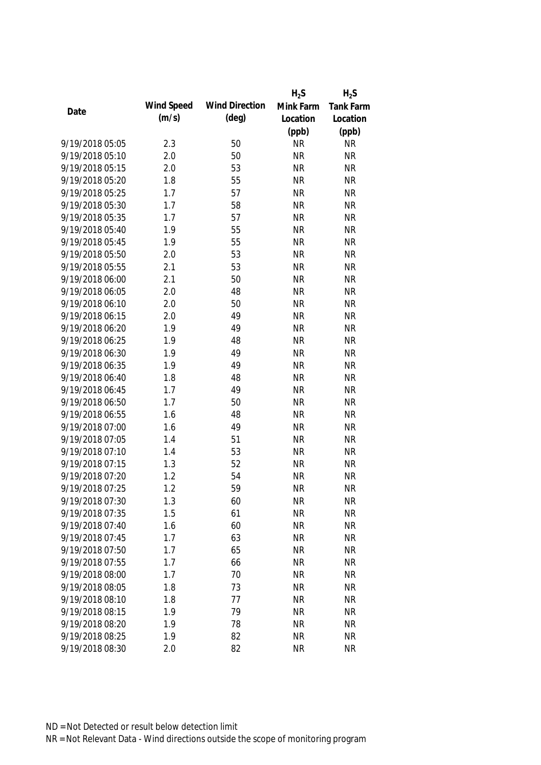|                 |            |                       | $H_2S$    | $H_2S$    |
|-----------------|------------|-----------------------|-----------|-----------|
|                 | Wind Speed | <b>Wind Direction</b> | Mink Farm | Tank Farm |
| Date            | (m/s)      | $(\text{deg})$        | Location  | Location  |
|                 |            |                       | (ppb)     | (ppb)     |
| 9/19/2018 05:05 | 2.3        | 50                    | <b>NR</b> | <b>NR</b> |
| 9/19/2018 05:10 | 2.0        | 50                    | <b>NR</b> | <b>NR</b> |
| 9/19/2018 05:15 | 2.0        | 53                    | <b>NR</b> | <b>NR</b> |
| 9/19/2018 05:20 | 1.8        | 55                    | <b>NR</b> | <b>NR</b> |
| 9/19/2018 05:25 | 1.7        | 57                    | <b>NR</b> | <b>NR</b> |
| 9/19/2018 05:30 | 1.7        | 58                    | <b>NR</b> | <b>NR</b> |
| 9/19/2018 05:35 | 1.7        | 57                    | <b>NR</b> | <b>NR</b> |
| 9/19/2018 05:40 | 1.9        | 55                    | <b>NR</b> | <b>NR</b> |
| 9/19/2018 05:45 | 1.9        | 55                    | <b>NR</b> | <b>NR</b> |
| 9/19/2018 05:50 | 2.0        | 53                    | <b>NR</b> | <b>NR</b> |
| 9/19/2018 05:55 | 2.1        | 53                    | <b>NR</b> | <b>NR</b> |
| 9/19/2018 06:00 | 2.1        | 50                    | <b>NR</b> | <b>NR</b> |
| 9/19/2018 06:05 | 2.0        | 48                    | <b>NR</b> | <b>NR</b> |
| 9/19/2018 06:10 | 2.0        | 50                    | <b>NR</b> | <b>NR</b> |
| 9/19/2018 06:15 | 2.0        | 49                    | <b>NR</b> | <b>NR</b> |
| 9/19/2018 06:20 | 1.9        | 49                    | <b>NR</b> | <b>NR</b> |
| 9/19/2018 06:25 | 1.9        | 48                    | <b>NR</b> | <b>NR</b> |
| 9/19/2018 06:30 | 1.9        | 49                    | <b>NR</b> | <b>NR</b> |
| 9/19/2018 06:35 | 1.9        | 49                    | <b>NR</b> | <b>NR</b> |
| 9/19/2018 06:40 | 1.8        | 48                    | <b>NR</b> | <b>NR</b> |
| 9/19/2018 06:45 | 1.7        | 49                    | <b>NR</b> | <b>NR</b> |
| 9/19/2018 06:50 | 1.7        | 50                    | <b>NR</b> | <b>NR</b> |
| 9/19/2018 06:55 | 1.6        | 48                    | <b>NR</b> | <b>NR</b> |
| 9/19/2018 07:00 | 1.6        | 49                    | <b>NR</b> | <b>NR</b> |
| 9/19/2018 07:05 | 1.4        | 51                    | <b>NR</b> | <b>NR</b> |
| 9/19/2018 07:10 | 1.4        | 53                    | <b>NR</b> | <b>NR</b> |
| 9/19/2018 07:15 | 1.3        | 52                    | <b>NR</b> | <b>NR</b> |
| 9/19/2018 07:20 | 1.2        | 54                    | <b>NR</b> | <b>NR</b> |
| 9/19/2018 07:25 | 1.2        | 59                    | <b>NR</b> | <b>NR</b> |
| 9/19/2018 07:30 | 1.3        | 60                    | <b>NR</b> | <b>NR</b> |
| 9/19/2018 07:35 | 1.5        | 61                    | <b>NR</b> | <b>NR</b> |
| 9/19/2018 07:40 | 1.6        | 60                    | <b>NR</b> | <b>NR</b> |
| 9/19/2018 07:45 | 1.7        | 63                    | <b>NR</b> | <b>NR</b> |
| 9/19/2018 07:50 | 1.7        | 65                    | <b>NR</b> | <b>NR</b> |
| 9/19/2018 07:55 | 1.7        | 66                    | <b>NR</b> | <b>NR</b> |
| 9/19/2018 08:00 | 1.7        | 70                    | <b>NR</b> | <b>NR</b> |
| 9/19/2018 08:05 | 1.8        | 73                    | <b>NR</b> | <b>NR</b> |
| 9/19/2018 08:10 | 1.8        | 77                    | <b>NR</b> | <b>NR</b> |
| 9/19/2018 08:15 | 1.9        | 79                    | <b>NR</b> | <b>NR</b> |
| 9/19/2018 08:20 | 1.9        | 78                    | <b>NR</b> | <b>NR</b> |
| 9/19/2018 08:25 | 1.9        | 82                    | <b>NR</b> | <b>NR</b> |
| 9/19/2018 08:30 | 2.0        | 82                    | <b>NR</b> | <b>NR</b> |
|                 |            |                       |           |           |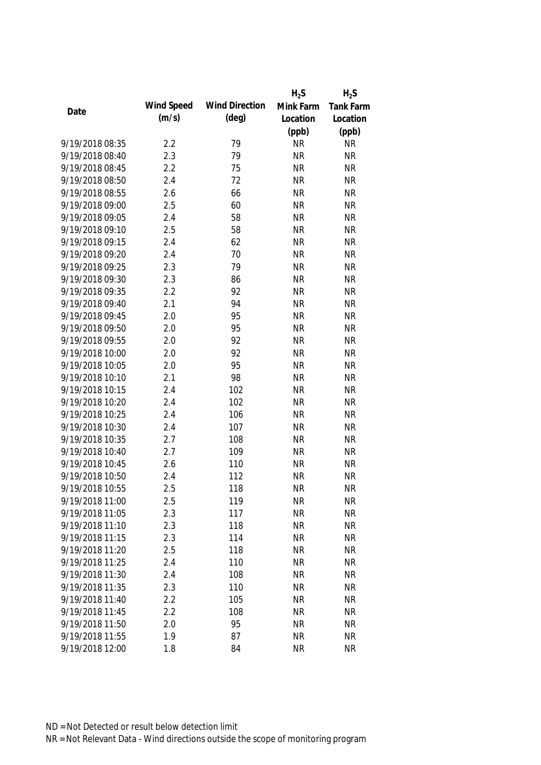|                 |            |                       | $H_2S$    | $H_2S$    |
|-----------------|------------|-----------------------|-----------|-----------|
|                 | Wind Speed | <b>Wind Direction</b> | Mink Farm | Tank Farm |
| Date            | (m/s)      | $(\text{deg})$        | Location  | Location  |
|                 |            |                       | (ppb)     | (ppb)     |
| 9/19/2018 08:35 | 2.2        | 79                    | <b>NR</b> | <b>NR</b> |
| 9/19/2018 08:40 | 2.3        | 79                    | <b>NR</b> | <b>NR</b> |
| 9/19/2018 08:45 | 2.2        | 75                    | <b>NR</b> | <b>NR</b> |
| 9/19/2018 08:50 | 2.4        | 72                    | <b>NR</b> | <b>NR</b> |
| 9/19/2018 08:55 | 2.6        | 66                    | <b>NR</b> | <b>NR</b> |
| 9/19/2018 09:00 | 2.5        | 60                    | <b>NR</b> | <b>NR</b> |
| 9/19/2018 09:05 | 2.4        | 58                    | <b>NR</b> | <b>NR</b> |
| 9/19/2018 09:10 | 2.5        | 58                    | <b>NR</b> | <b>NR</b> |
| 9/19/2018 09:15 | 2.4        | 62                    | <b>NR</b> | <b>NR</b> |
| 9/19/2018 09:20 | 2.4        | 70                    | <b>NR</b> | <b>NR</b> |
| 9/19/2018 09:25 | 2.3        | 79                    | <b>NR</b> | <b>NR</b> |
| 9/19/2018 09:30 | 2.3        | 86                    | <b>NR</b> | <b>NR</b> |
| 9/19/2018 09:35 | 2.2        | 92                    | <b>NR</b> | <b>NR</b> |
| 9/19/2018 09:40 | 2.1        | 94                    | <b>NR</b> | <b>NR</b> |
| 9/19/2018 09:45 | 2.0        | 95                    | <b>NR</b> | <b>NR</b> |
| 9/19/2018 09:50 | 2.0        | 95                    | <b>NR</b> | <b>NR</b> |
| 9/19/2018 09:55 | 2.0        | 92                    | <b>NR</b> | <b>NR</b> |
| 9/19/2018 10:00 | 2.0        | 92                    | <b>NR</b> | <b>NR</b> |
| 9/19/2018 10:05 | 2.0        | 95                    | <b>NR</b> | <b>NR</b> |
| 9/19/2018 10:10 | 2.1        | 98                    | <b>NR</b> | <b>NR</b> |
| 9/19/2018 10:15 | 2.4        | 102                   | <b>NR</b> | <b>NR</b> |
| 9/19/2018 10:20 | 2.4        | 102                   | <b>NR</b> | <b>NR</b> |
| 9/19/2018 10:25 | 2.4        | 106                   | <b>NR</b> | <b>NR</b> |
| 9/19/2018 10:30 | 2.4        | 107                   | <b>NR</b> | <b>NR</b> |
| 9/19/2018 10:35 | 2.7        | 108                   | <b>NR</b> | <b>NR</b> |
| 9/19/2018 10:40 | 2.7        | 109                   | <b>NR</b> | <b>NR</b> |
| 9/19/2018 10:45 | 2.6        | 110                   | <b>NR</b> | <b>NR</b> |
| 9/19/2018 10:50 | 2.4        | 112                   | <b>NR</b> | <b>NR</b> |
| 9/19/2018 10:55 | 2.5        | 118                   | <b>NR</b> | <b>NR</b> |
| 9/19/2018 11:00 | 2.5        | 119                   | <b>NR</b> | <b>NR</b> |
| 9/19/2018 11:05 | 2.3        | 117                   | <b>NR</b> | <b>NR</b> |
| 9/19/2018 11:10 | 2.3        | 118                   | <b>NR</b> | <b>NR</b> |
| 9/19/2018 11:15 | 2.3        | 114                   | <b>NR</b> | <b>NR</b> |
| 9/19/2018 11:20 | 2.5        | 118                   | <b>NR</b> | <b>NR</b> |
| 9/19/2018 11:25 | 2.4        | 110                   | <b>NR</b> | <b>NR</b> |
| 9/19/2018 11:30 | 2.4        | 108                   | <b>NR</b> | <b>NR</b> |
| 9/19/2018 11:35 | 2.3        | 110                   | <b>NR</b> | <b>NR</b> |
| 9/19/2018 11:40 | 2.2        | 105                   | <b>NR</b> | <b>NR</b> |
| 9/19/2018 11:45 | 2.2        | 108                   | <b>NR</b> | <b>NR</b> |
| 9/19/2018 11:50 | 2.0        | 95                    | <b>NR</b> | <b>NR</b> |
| 9/19/2018 11:55 | 1.9        | 87                    | <b>NR</b> | <b>NR</b> |
| 9/19/2018 12:00 | 1.8        | 84                    | <b>NR</b> | <b>NR</b> |
|                 |            |                       |           |           |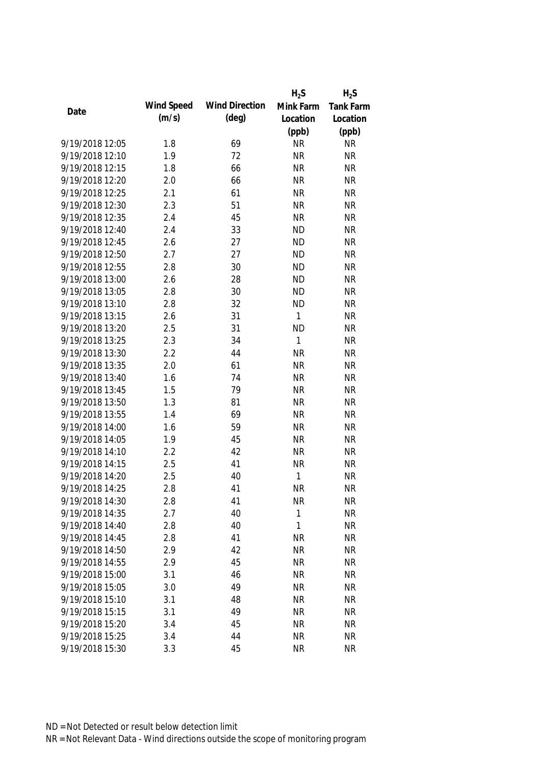|                 |            |                       | $H_2S$       | $H_2S$    |
|-----------------|------------|-----------------------|--------------|-----------|
|                 | Wind Speed | <b>Wind Direction</b> | Mink Farm    | Tank Farm |
| Date            | (m/s)      | $(\text{deg})$        | Location     | Location  |
|                 |            |                       | (ppb)        | (ppb)     |
| 9/19/2018 12:05 | 1.8        | 69                    | <b>NR</b>    | <b>NR</b> |
| 9/19/2018 12:10 | 1.9        | 72                    | <b>NR</b>    | <b>NR</b> |
| 9/19/2018 12:15 | 1.8        | 66                    | <b>NR</b>    | <b>NR</b> |
| 9/19/2018 12:20 | 2.0        | 66                    | <b>NR</b>    | <b>NR</b> |
| 9/19/2018 12:25 | 2.1        | 61                    | <b>NR</b>    | <b>NR</b> |
| 9/19/2018 12:30 | 2.3        | 51                    | <b>NR</b>    | <b>NR</b> |
| 9/19/2018 12:35 | 2.4        | 45                    | <b>NR</b>    | <b>NR</b> |
| 9/19/2018 12:40 | 2.4        | 33                    | <b>ND</b>    | <b>NR</b> |
| 9/19/2018 12:45 | 2.6        | 27                    | <b>ND</b>    | <b>NR</b> |
| 9/19/2018 12:50 | 2.7        | 27                    | <b>ND</b>    | <b>NR</b> |
| 9/19/2018 12:55 | 2.8        | 30                    | <b>ND</b>    | <b>NR</b> |
| 9/19/2018 13:00 | 2.6        | 28                    | <b>ND</b>    | <b>NR</b> |
| 9/19/2018 13:05 | 2.8        | 30                    | <b>ND</b>    | <b>NR</b> |
| 9/19/2018 13:10 | 2.8        | 32                    | <b>ND</b>    | <b>NR</b> |
| 9/19/2018 13:15 | 2.6        | 31                    | 1            | <b>NR</b> |
| 9/19/2018 13:20 | 2.5        | 31                    | <b>ND</b>    | <b>NR</b> |
| 9/19/2018 13:25 | 2.3        | 34                    | 1            | <b>NR</b> |
| 9/19/2018 13:30 | 2.2        | 44                    | <b>NR</b>    | <b>NR</b> |
| 9/19/2018 13:35 | 2.0        | 61                    | <b>NR</b>    | <b>NR</b> |
| 9/19/2018 13:40 | 1.6        | 74                    | <b>NR</b>    | <b>NR</b> |
| 9/19/2018 13:45 | 1.5        | 79                    | <b>NR</b>    | <b>NR</b> |
| 9/19/2018 13:50 | 1.3        | 81                    | <b>NR</b>    | <b>NR</b> |
| 9/19/2018 13:55 | 1.4        | 69                    | <b>NR</b>    | <b>NR</b> |
| 9/19/2018 14:00 | 1.6        | 59                    | <b>NR</b>    | <b>NR</b> |
| 9/19/2018 14:05 | 1.9        | 45                    | <b>NR</b>    | <b>NR</b> |
| 9/19/2018 14:10 | 2.2        | 42                    | <b>NR</b>    | <b>NR</b> |
| 9/19/2018 14:15 | 2.5        | 41                    | <b>NR</b>    | <b>NR</b> |
| 9/19/2018 14:20 | 2.5        | 40                    | 1            | <b>NR</b> |
| 9/19/2018 14:25 | 2.8        | 41                    | <b>NR</b>    | <b>NR</b> |
| 9/19/2018 14:30 | 2.8        | 41                    | <b>NR</b>    | <b>NR</b> |
| 9/19/2018 14:35 | 2.7        | 40                    | $\mathbf{1}$ | <b>NR</b> |
| 9/19/2018 14:40 | 2.8        | 40                    | 1            | <b>NR</b> |
| 9/19/2018 14:45 | 2.8        | 41                    | <b>NR</b>    | <b>NR</b> |
| 9/19/2018 14:50 | 2.9        | 42                    | <b>NR</b>    | <b>NR</b> |
| 9/19/2018 14:55 | 2.9        | 45                    | <b>NR</b>    | <b>NR</b> |
| 9/19/2018 15:00 | 3.1        | 46                    | <b>NR</b>    | <b>NR</b> |
| 9/19/2018 15:05 | 3.0        | 49                    | <b>NR</b>    | <b>NR</b> |
| 9/19/2018 15:10 | 3.1        | 48                    | <b>NR</b>    | <b>NR</b> |
| 9/19/2018 15:15 | 3.1        | 49                    | <b>NR</b>    | <b>NR</b> |
| 9/19/2018 15:20 | 3.4        | 45                    | <b>NR</b>    | <b>NR</b> |
| 9/19/2018 15:25 | 3.4        | 44                    | <b>NR</b>    | <b>NR</b> |
| 9/19/2018 15:30 | 3.3        | 45                    | <b>NR</b>    | <b>NR</b> |
|                 |            |                       |              |           |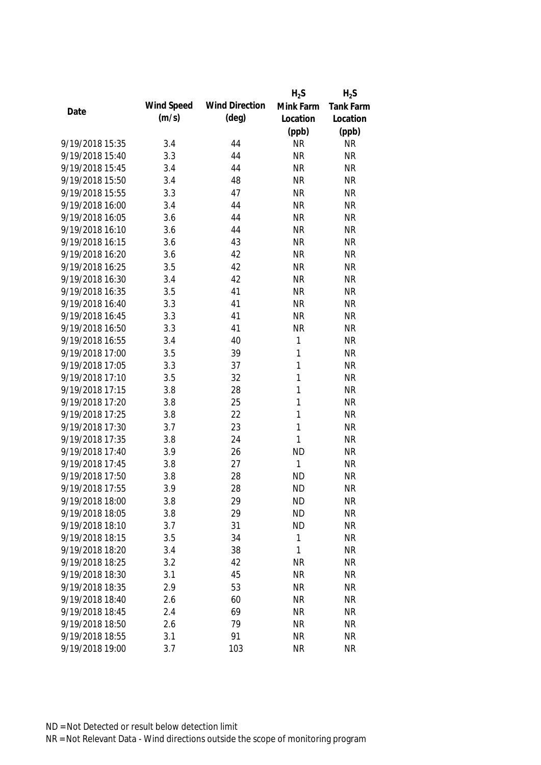|                 |            |                       | $H_2S$       | $H_2S$    |
|-----------------|------------|-----------------------|--------------|-----------|
| Date            | Wind Speed | <b>Wind Direction</b> | Mink Farm    | Tank Farm |
|                 | (m/s)      | $(\text{deg})$        | Location     | Location  |
|                 |            |                       | (ppb)        | (ppb)     |
| 9/19/2018 15:35 | 3.4        | 44                    | <b>NR</b>    | <b>NR</b> |
| 9/19/2018 15:40 | 3.3        | 44                    | <b>NR</b>    | <b>NR</b> |
| 9/19/2018 15:45 | 3.4        | 44                    | <b>NR</b>    | <b>NR</b> |
| 9/19/2018 15:50 | 3.4        | 48                    | <b>NR</b>    | <b>NR</b> |
| 9/19/2018 15:55 | 3.3        | 47                    | <b>NR</b>    | <b>NR</b> |
| 9/19/2018 16:00 | 3.4        | 44                    | <b>NR</b>    | <b>NR</b> |
| 9/19/2018 16:05 | 3.6        | 44                    | <b>NR</b>    | <b>NR</b> |
| 9/19/2018 16:10 | 3.6        | 44                    | <b>NR</b>    | <b>NR</b> |
| 9/19/2018 16:15 | 3.6        | 43                    | <b>NR</b>    | <b>NR</b> |
| 9/19/2018 16:20 | 3.6        | 42                    | <b>NR</b>    | <b>NR</b> |
| 9/19/2018 16:25 | 3.5        | 42                    | <b>NR</b>    | <b>NR</b> |
| 9/19/2018 16:30 | 3.4        | 42                    | <b>NR</b>    | <b>NR</b> |
| 9/19/2018 16:35 | 3.5        | 41                    | <b>NR</b>    | <b>NR</b> |
| 9/19/2018 16:40 | 3.3        | 41                    | <b>NR</b>    | <b>NR</b> |
| 9/19/2018 16:45 | 3.3        | 41                    | <b>NR</b>    | <b>NR</b> |
| 9/19/2018 16:50 | 3.3        | 41                    | <b>NR</b>    | <b>NR</b> |
| 9/19/2018 16:55 | 3.4        | 40                    | $\mathbf{1}$ | <b>NR</b> |
| 9/19/2018 17:00 | 3.5        | 39                    | 1            | <b>NR</b> |
| 9/19/2018 17:05 | 3.3        | 37                    | 1            | <b>NR</b> |
| 9/19/2018 17:10 | 3.5        | 32                    | 1            | <b>NR</b> |
| 9/19/2018 17:15 | 3.8        | 28                    | 1            | <b>NR</b> |
| 9/19/2018 17:20 | 3.8        | 25                    | 1            | <b>NR</b> |
| 9/19/2018 17:25 | 3.8        | 22                    | 1            | <b>NR</b> |
| 9/19/2018 17:30 | 3.7        | 23                    | $\mathbf{1}$ | <b>NR</b> |
| 9/19/2018 17:35 | 3.8        | 24                    | 1            | <b>NR</b> |
| 9/19/2018 17:40 | 3.9        | 26                    | <b>ND</b>    | <b>NR</b> |
| 9/19/2018 17:45 | 3.8        | 27                    | 1            | <b>NR</b> |
| 9/19/2018 17:50 | 3.8        | 28                    | <b>ND</b>    | <b>NR</b> |
| 9/19/2018 17:55 | 3.9        | 28                    | <b>ND</b>    | <b>NR</b> |
| 9/19/2018 18:00 | 3.8        | 29                    | <b>ND</b>    | <b>NR</b> |
| 9/19/2018 18:05 | 3.8        | 29                    | <b>ND</b>    | <b>NR</b> |
| 9/19/2018 18:10 | 3.7        | 31                    | <b>ND</b>    | <b>NR</b> |
| 9/19/2018 18:15 | 3.5        | 34                    | 1            | <b>NR</b> |
| 9/19/2018 18:20 | 3.4        | 38                    | 1            | <b>NR</b> |
| 9/19/2018 18:25 | 3.2        | 42                    | <b>NR</b>    | <b>NR</b> |
| 9/19/2018 18:30 | 3.1        | 45                    | <b>NR</b>    | <b>NR</b> |
| 9/19/2018 18:35 | 2.9        | 53                    | <b>NR</b>    | <b>NR</b> |
| 9/19/2018 18:40 | 2.6        | 60                    | <b>NR</b>    | <b>NR</b> |
| 9/19/2018 18:45 | 2.4        | 69                    | <b>NR</b>    | <b>NR</b> |
| 9/19/2018 18:50 | 2.6        | 79                    | <b>NR</b>    | <b>NR</b> |
| 9/19/2018 18:55 | 3.1        | 91                    | <b>NR</b>    | <b>NR</b> |
| 9/19/2018 19:00 | 3.7        | 103                   | <b>NR</b>    | <b>NR</b> |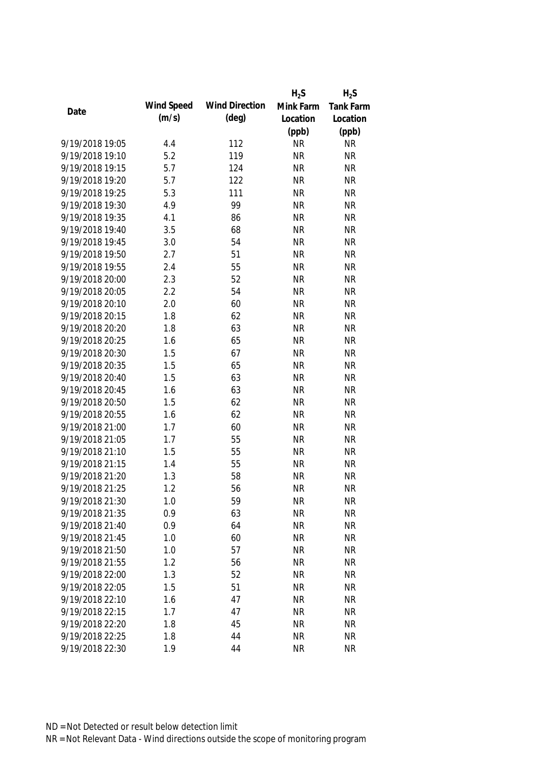|                 |            |                       | $H_2S$    | $H_2S$    |
|-----------------|------------|-----------------------|-----------|-----------|
|                 | Wind Speed | <b>Wind Direction</b> | Mink Farm | Tank Farm |
| Date            | (m/s)      | $(\text{deg})$        | Location  | Location  |
|                 |            |                       | (ppb)     | (ppb)     |
| 9/19/2018 19:05 | 4.4        | 112                   | <b>NR</b> | <b>NR</b> |
| 9/19/2018 19:10 | 5.2        | 119                   | <b>NR</b> | <b>NR</b> |
| 9/19/2018 19:15 | 5.7        | 124                   | <b>NR</b> | <b>NR</b> |
| 9/19/2018 19:20 | 5.7        | 122                   | <b>NR</b> | <b>NR</b> |
| 9/19/2018 19:25 | 5.3        | 111                   | <b>NR</b> | <b>NR</b> |
| 9/19/2018 19:30 | 4.9        | 99                    | <b>NR</b> | <b>NR</b> |
| 9/19/2018 19:35 | 4.1        | 86                    | <b>NR</b> | <b>NR</b> |
| 9/19/2018 19:40 | 3.5        | 68                    | <b>NR</b> | <b>NR</b> |
| 9/19/2018 19:45 | 3.0        | 54                    | <b>NR</b> | <b>NR</b> |
| 9/19/2018 19:50 | 2.7        | 51                    | <b>NR</b> | <b>NR</b> |
| 9/19/2018 19:55 | 2.4        | 55                    | <b>NR</b> | <b>NR</b> |
| 9/19/2018 20:00 | 2.3        | 52                    | <b>NR</b> | <b>NR</b> |
| 9/19/2018 20:05 | 2.2        | 54                    | <b>NR</b> | <b>NR</b> |
| 9/19/2018 20:10 | 2.0        | 60                    | <b>NR</b> | <b>NR</b> |
| 9/19/2018 20:15 | 1.8        | 62                    | <b>NR</b> | <b>NR</b> |
| 9/19/2018 20:20 | 1.8        | 63                    | <b>NR</b> | <b>NR</b> |
| 9/19/2018 20:25 | 1.6        | 65                    | <b>NR</b> | <b>NR</b> |
| 9/19/2018 20:30 | 1.5        | 67                    | <b>NR</b> | <b>NR</b> |
| 9/19/2018 20:35 | 1.5        | 65                    | <b>NR</b> | <b>NR</b> |
| 9/19/2018 20:40 | 1.5        | 63                    | <b>NR</b> | <b>NR</b> |
| 9/19/2018 20:45 | 1.6        | 63                    | <b>NR</b> | <b>NR</b> |
| 9/19/2018 20:50 | 1.5        | 62                    | <b>NR</b> | <b>NR</b> |
| 9/19/2018 20:55 | 1.6        | 62                    | <b>NR</b> | <b>NR</b> |
| 9/19/2018 21:00 | 1.7        | 60                    | <b>NR</b> | <b>NR</b> |
| 9/19/2018 21:05 | 1.7        | 55                    | <b>NR</b> | <b>NR</b> |
| 9/19/2018 21:10 | 1.5        | 55                    | <b>NR</b> | <b>NR</b> |
| 9/19/2018 21:15 | 1.4        | 55                    | <b>NR</b> | <b>NR</b> |
| 9/19/2018 21:20 | 1.3        | 58                    | <b>NR</b> | <b>NR</b> |
| 9/19/2018 21:25 | 1.2        | 56                    | <b>NR</b> | <b>NR</b> |
| 9/19/2018 21:30 | 1.0        | 59                    | <b>NR</b> | <b>NR</b> |
| 9/19/2018 21:35 | 0.9        | 63                    | <b>NR</b> | <b>NR</b> |
| 9/19/2018 21:40 | 0.9        | 64                    | <b>NR</b> | <b>NR</b> |
| 9/19/2018 21:45 | 1.0        | 60                    | <b>NR</b> | <b>NR</b> |
| 9/19/2018 21:50 | 1.0        | 57                    | <b>NR</b> | <b>NR</b> |
| 9/19/2018 21:55 | 1.2        | 56                    | <b>NR</b> | <b>NR</b> |
| 9/19/2018 22:00 | 1.3        | 52                    | <b>NR</b> | <b>NR</b> |
| 9/19/2018 22:05 | 1.5        | 51                    | <b>NR</b> | <b>NR</b> |
| 9/19/2018 22:10 | 1.6        | 47                    | <b>NR</b> | <b>NR</b> |
| 9/19/2018 22:15 | 1.7        | 47                    | <b>NR</b> | <b>NR</b> |
| 9/19/2018 22:20 | 1.8        | 45                    | <b>NR</b> | <b>NR</b> |
| 9/19/2018 22:25 | 1.8        | 44                    | <b>NR</b> | <b>NR</b> |
| 9/19/2018 22:30 | 1.9        | 44                    | <b>NR</b> | <b>NR</b> |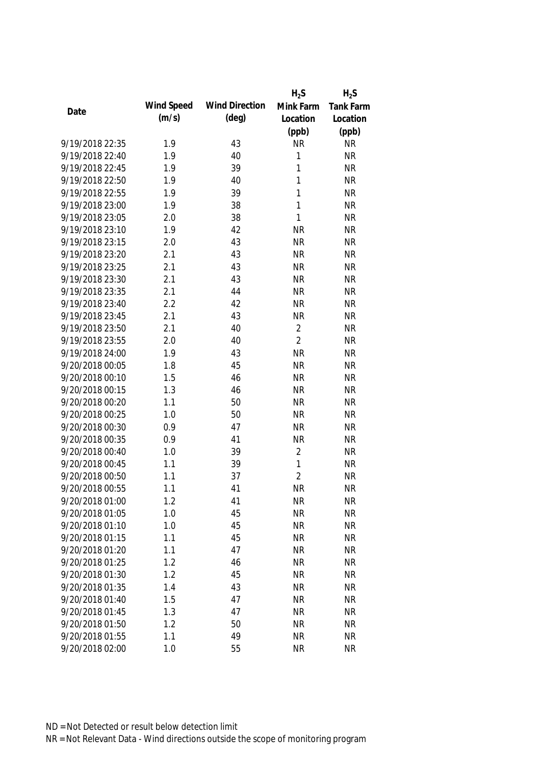|                 |            |                       | $H_2S$         | $H_2S$           |
|-----------------|------------|-----------------------|----------------|------------------|
| Date            | Wind Speed | <b>Wind Direction</b> | Mink Farm      | <b>Tank Farm</b> |
|                 | (m/s)      | $(\text{deg})$        | Location       | Location         |
|                 |            |                       | (ppb)          | (ppb)            |
| 9/19/2018 22:35 | 1.9        | 43                    | <b>NR</b>      | <b>NR</b>        |
| 9/19/2018 22:40 | 1.9        | 40                    | 1              | <b>NR</b>        |
| 9/19/2018 22:45 | 1.9        | 39                    | 1              | <b>NR</b>        |
| 9/19/2018 22:50 | 1.9        | 40                    | 1              | <b>NR</b>        |
| 9/19/2018 22:55 | 1.9        | 39                    | 1              | <b>NR</b>        |
| 9/19/2018 23:00 | 1.9        | 38                    | 1              | <b>NR</b>        |
| 9/19/2018 23:05 | 2.0        | 38                    | $\mathbf{1}$   | <b>NR</b>        |
| 9/19/2018 23:10 | 1.9        | 42                    | <b>NR</b>      | <b>NR</b>        |
| 9/19/2018 23:15 | 2.0        | 43                    | <b>NR</b>      | <b>NR</b>        |
| 9/19/2018 23:20 | 2.1        | 43                    | <b>NR</b>      | <b>NR</b>        |
| 9/19/2018 23:25 | 2.1        | 43                    | <b>NR</b>      | <b>NR</b>        |
| 9/19/2018 23:30 | 2.1        | 43                    | <b>NR</b>      | <b>NR</b>        |
| 9/19/2018 23:35 | 2.1        | 44                    | <b>NR</b>      | <b>NR</b>        |
| 9/19/2018 23:40 | 2.2        | 42                    | <b>NR</b>      | <b>NR</b>        |
| 9/19/2018 23:45 | 2.1        | 43                    | <b>NR</b>      | <b>NR</b>        |
| 9/19/2018 23:50 | 2.1        | 40                    | $\overline{2}$ | <b>NR</b>        |
| 9/19/2018 23:55 | 2.0        | 40                    | $\overline{2}$ | <b>NR</b>        |
| 9/19/2018 24:00 | 1.9        | 43                    | <b>NR</b>      | <b>NR</b>        |
| 9/20/2018 00:05 | 1.8        | 45                    | <b>NR</b>      | <b>NR</b>        |
| 9/20/2018 00:10 | 1.5        | 46                    | <b>NR</b>      | <b>NR</b>        |
| 9/20/2018 00:15 | 1.3        | 46                    | <b>NR</b>      | <b>NR</b>        |
| 9/20/2018 00:20 | 1.1        | 50                    | <b>NR</b>      | <b>NR</b>        |
| 9/20/2018 00:25 | 1.0        | 50                    | <b>NR</b>      | <b>NR</b>        |
| 9/20/2018 00:30 | 0.9        | 47                    | <b>NR</b>      | <b>NR</b>        |
| 9/20/2018 00:35 | 0.9        | 41                    | <b>NR</b>      | <b>NR</b>        |
| 9/20/2018 00:40 | 1.0        | 39                    | $\overline{2}$ | <b>NR</b>        |
| 9/20/2018 00:45 | 1.1        | 39                    | 1              | <b>NR</b>        |
| 9/20/2018 00:50 | 1.1        | 37                    | $\overline{2}$ | <b>NR</b>        |
| 9/20/2018 00:55 | 1.1        | 41                    | <b>NR</b>      | <b>NR</b>        |
| 9/20/2018 01:00 | 1.2        | 41                    | <b>NR</b>      | <b>NR</b>        |
| 9/20/2018 01:05 | 1.0        | 45                    | <b>NR</b>      | <b>NR</b>        |
| 9/20/2018 01:10 | 1.0        | 45                    | <b>NR</b>      | <b>NR</b>        |
| 9/20/2018 01:15 | 1.1        | 45                    | <b>NR</b>      | <b>NR</b>        |
| 9/20/2018 01:20 | 1.1        | 47                    | <b>NR</b>      | <b>NR</b>        |
| 9/20/2018 01:25 | 1.2        | 46                    | <b>NR</b>      | <b>NR</b>        |
| 9/20/2018 01:30 | 1.2        | 45                    | <b>NR</b>      | <b>NR</b>        |
| 9/20/2018 01:35 | 1.4        | 43                    | <b>NR</b>      | <b>NR</b>        |
| 9/20/2018 01:40 | 1.5        | 47                    | <b>NR</b>      | <b>NR</b>        |
| 9/20/2018 01:45 | 1.3        | 47                    | <b>NR</b>      | <b>NR</b>        |
| 9/20/2018 01:50 | 1.2        | 50                    | <b>NR</b>      | <b>NR</b>        |
| 9/20/2018 01:55 | 1.1        | 49                    | <b>NR</b>      | <b>NR</b>        |
| 9/20/2018 02:00 | 1.0        | 55                    | <b>NR</b>      | <b>NR</b>        |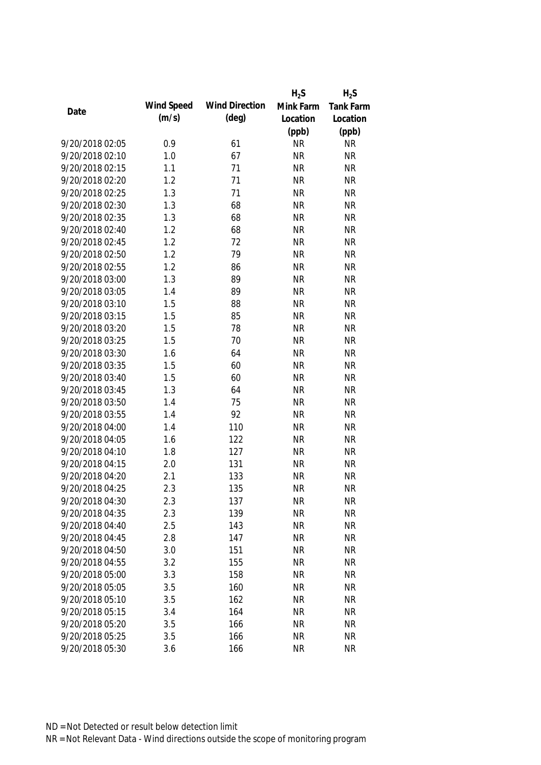|                 |            |                       | $H_2S$    | $H_2S$    |
|-----------------|------------|-----------------------|-----------|-----------|
| Date            | Wind Speed | <b>Wind Direction</b> | Mink Farm | Tank Farm |
|                 | (m/s)      | $(\text{deg})$        | Location  | Location  |
|                 |            |                       | (ppb)     | (ppb)     |
| 9/20/2018 02:05 | 0.9        | 61                    | <b>NR</b> | <b>NR</b> |
| 9/20/2018 02:10 | 1.0        | 67                    | <b>NR</b> | <b>NR</b> |
| 9/20/2018 02:15 | 1.1        | 71                    | <b>NR</b> | <b>NR</b> |
| 9/20/2018 02:20 | 1.2        | 71                    | <b>NR</b> | <b>NR</b> |
| 9/20/2018 02:25 | 1.3        | 71                    | <b>NR</b> | <b>NR</b> |
| 9/20/2018 02:30 | 1.3        | 68                    | <b>NR</b> | <b>NR</b> |
| 9/20/2018 02:35 | 1.3        | 68                    | <b>NR</b> | <b>NR</b> |
| 9/20/2018 02:40 | 1.2        | 68                    | <b>NR</b> | <b>NR</b> |
| 9/20/2018 02:45 | 1.2        | 72                    | <b>NR</b> | <b>NR</b> |
| 9/20/2018 02:50 | 1.2        | 79                    | <b>NR</b> | <b>NR</b> |
| 9/20/2018 02:55 | 1.2        | 86                    | <b>NR</b> | <b>NR</b> |
| 9/20/2018 03:00 | 1.3        | 89                    | <b>NR</b> | <b>NR</b> |
| 9/20/2018 03:05 | 1.4        | 89                    | <b>NR</b> | <b>NR</b> |
| 9/20/2018 03:10 | 1.5        | 88                    | <b>NR</b> | <b>NR</b> |
| 9/20/2018 03:15 | 1.5        | 85                    | <b>NR</b> | <b>NR</b> |
| 9/20/2018 03:20 | 1.5        | 78                    | <b>NR</b> | <b>NR</b> |
| 9/20/2018 03:25 | 1.5        | 70                    | <b>NR</b> | <b>NR</b> |
| 9/20/2018 03:30 | 1.6        | 64                    | <b>NR</b> | <b>NR</b> |
| 9/20/2018 03:35 | 1.5        | 60                    | <b>NR</b> | <b>NR</b> |
| 9/20/2018 03:40 | 1.5        | 60                    | <b>NR</b> | <b>NR</b> |
| 9/20/2018 03:45 | 1.3        | 64                    | <b>NR</b> | <b>NR</b> |
| 9/20/2018 03:50 | 1.4        | 75                    | <b>NR</b> | <b>NR</b> |
| 9/20/2018 03:55 | 1.4        | 92                    | <b>NR</b> | <b>NR</b> |
| 9/20/2018 04:00 | 1.4        | 110                   | <b>NR</b> | <b>NR</b> |
| 9/20/2018 04:05 | 1.6        | 122                   | <b>NR</b> | <b>NR</b> |
| 9/20/2018 04:10 | 1.8        | 127                   | <b>NR</b> | <b>NR</b> |
| 9/20/2018 04:15 | 2.0        | 131                   | <b>NR</b> | <b>NR</b> |
| 9/20/2018 04:20 | 2.1        | 133                   | <b>NR</b> | <b>NR</b> |
| 9/20/2018 04:25 | 2.3        | 135                   | <b>NR</b> | <b>NR</b> |
| 9/20/2018 04:30 | 2.3        | 137                   | <b>NR</b> | <b>NR</b> |
| 9/20/2018 04:35 | 2.3        | 139                   | <b>NR</b> | <b>NR</b> |
| 9/20/2018 04:40 | 2.5        | 143                   | <b>NR</b> | <b>NR</b> |
| 9/20/2018 04:45 | 2.8        | 147                   | <b>NR</b> | <b>NR</b> |
| 9/20/2018 04:50 | 3.0        | 151                   | <b>NR</b> | <b>NR</b> |
| 9/20/2018 04:55 | 3.2        | 155                   | <b>NR</b> | <b>NR</b> |
| 9/20/2018 05:00 | 3.3        | 158                   | <b>NR</b> | <b>NR</b> |
| 9/20/2018 05:05 | 3.5        | 160                   | <b>NR</b> | <b>NR</b> |
| 9/20/2018 05:10 | 3.5        | 162                   | <b>NR</b> | <b>NR</b> |
| 9/20/2018 05:15 | 3.4        | 164                   | <b>NR</b> | <b>NR</b> |
| 9/20/2018 05:20 | 3.5        | 166                   | <b>NR</b> | <b>NR</b> |
| 9/20/2018 05:25 | 3.5        | 166                   | <b>NR</b> | <b>NR</b> |
| 9/20/2018 05:30 | 3.6        | 166                   | <b>NR</b> | <b>NR</b> |
|                 |            |                       |           |           |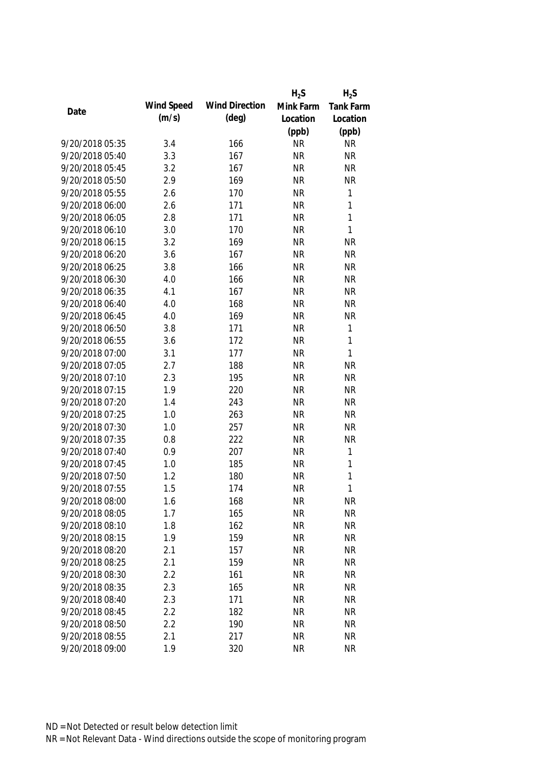|                 |            |                       | $H_2S$    | $H_2S$       |
|-----------------|------------|-----------------------|-----------|--------------|
|                 | Wind Speed | <b>Wind Direction</b> | Mink Farm | Tank Farm    |
| Date            | (m/s)      | $(\text{deg})$        | Location  | Location     |
|                 |            |                       | (ppb)     | (ppb)        |
| 9/20/2018 05:35 | 3.4        | 166                   | <b>NR</b> | <b>NR</b>    |
| 9/20/2018 05:40 | 3.3        | 167                   | <b>NR</b> | <b>NR</b>    |
| 9/20/2018 05:45 | 3.2        | 167                   | <b>NR</b> | <b>NR</b>    |
| 9/20/2018 05:50 | 2.9        | 169                   | <b>NR</b> | <b>NR</b>    |
| 9/20/2018 05:55 | 2.6        | 170                   | <b>NR</b> | 1            |
| 9/20/2018 06:00 | 2.6        | 171                   | <b>NR</b> | 1            |
| 9/20/2018 06:05 | 2.8        | 171                   | <b>NR</b> | $\mathbf{1}$ |
| 9/20/2018 06:10 | 3.0        | 170                   | <b>NR</b> | $\mathbf{1}$ |
| 9/20/2018 06:15 | 3.2        | 169                   | <b>NR</b> | <b>NR</b>    |
| 9/20/2018 06:20 | 3.6        | 167                   | <b>NR</b> | <b>NR</b>    |
| 9/20/2018 06:25 | 3.8        | 166                   | <b>NR</b> | <b>NR</b>    |
| 9/20/2018 06:30 | 4.0        | 166                   | <b>NR</b> | <b>NR</b>    |
| 9/20/2018 06:35 | 4.1        | 167                   | <b>NR</b> | <b>NR</b>    |
| 9/20/2018 06:40 | 4.0        | 168                   | <b>NR</b> | <b>NR</b>    |
| 9/20/2018 06:45 | 4.0        | 169                   | <b>NR</b> | <b>NR</b>    |
| 9/20/2018 06:50 | 3.8        | 171                   | <b>NR</b> | $\mathbf{1}$ |
| 9/20/2018 06:55 | 3.6        | 172                   | <b>NR</b> | 1            |
| 9/20/2018 07:00 | 3.1        | 177                   | <b>NR</b> | $\mathbf{1}$ |
| 9/20/2018 07:05 | 2.7        | 188                   | <b>NR</b> | <b>NR</b>    |
| 9/20/2018 07:10 | 2.3        | 195                   | <b>NR</b> | <b>NR</b>    |
| 9/20/2018 07:15 | 1.9        | 220                   | <b>NR</b> | <b>NR</b>    |
| 9/20/2018 07:20 | 1.4        | 243                   | <b>NR</b> | <b>NR</b>    |
| 9/20/2018 07:25 | 1.0        | 263                   | <b>NR</b> | <b>NR</b>    |
| 9/20/2018 07:30 | 1.0        | 257                   | <b>NR</b> | <b>NR</b>    |
| 9/20/2018 07:35 | 0.8        | 222                   | <b>NR</b> | <b>NR</b>    |
| 9/20/2018 07:40 | 0.9        | 207                   | <b>NR</b> | 1            |
| 9/20/2018 07:45 | 1.0        | 185                   | <b>NR</b> | $\mathbf{1}$ |
| 9/20/2018 07:50 | 1.2        | 180                   | <b>NR</b> | 1            |
| 9/20/2018 07:55 | 1.5        | 174                   | <b>NR</b> | 1            |
| 9/20/2018 08:00 | 1.6        | 168                   | <b>NR</b> | <b>NR</b>    |
| 9/20/2018 08:05 | 1.7        | 165                   | <b>NR</b> | <b>NR</b>    |
| 9/20/2018 08:10 | 1.8        | 162                   | <b>NR</b> | <b>NR</b>    |
| 9/20/2018 08:15 | 1.9        | 159                   | <b>NR</b> | <b>NR</b>    |
| 9/20/2018 08:20 | 2.1        | 157                   | <b>NR</b> | <b>NR</b>    |
| 9/20/2018 08:25 | 2.1        | 159                   | <b>NR</b> | <b>NR</b>    |
| 9/20/2018 08:30 | 2.2        | 161                   | <b>NR</b> | <b>NR</b>    |
| 9/20/2018 08:35 | 2.3        | 165                   | <b>NR</b> | <b>NR</b>    |
| 9/20/2018 08:40 | 2.3        | 171                   | <b>NR</b> | <b>NR</b>    |
| 9/20/2018 08:45 | 2.2        | 182                   | <b>NR</b> | <b>NR</b>    |
| 9/20/2018 08:50 | 2.2        | 190                   | <b>NR</b> | <b>NR</b>    |
| 9/20/2018 08:55 | 2.1        | 217                   | <b>NR</b> | <b>NR</b>    |
| 9/20/2018 09:00 | 1.9        | 320                   | <b>NR</b> | <b>NR</b>    |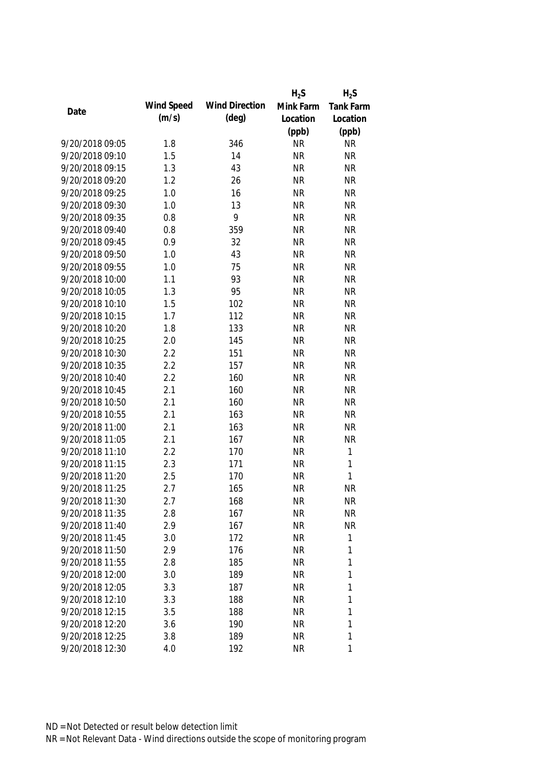|                 |            |                       | $H_2S$    | $H_2S$           |
|-----------------|------------|-----------------------|-----------|------------------|
|                 | Wind Speed | <b>Wind Direction</b> | Mink Farm | <b>Tank Farm</b> |
| Date            | (m/s)      | $(\text{deg})$        | Location  | Location         |
|                 |            |                       | (ppb)     | (ppb)            |
| 9/20/2018 09:05 | 1.8        | 346                   | <b>NR</b> | <b>NR</b>        |
| 9/20/2018 09:10 | 1.5        | 14                    | <b>NR</b> | <b>NR</b>        |
| 9/20/2018 09:15 | 1.3        | 43                    | <b>NR</b> | <b>NR</b>        |
| 9/20/2018 09:20 | 1.2        | 26                    | <b>NR</b> | <b>NR</b>        |
| 9/20/2018 09:25 | 1.0        | 16                    | <b>NR</b> | <b>NR</b>        |
| 9/20/2018 09:30 | 1.0        | 13                    | <b>NR</b> | <b>NR</b>        |
| 9/20/2018 09:35 | 0.8        | 9                     | <b>NR</b> | <b>NR</b>        |
| 9/20/2018 09:40 | 0.8        | 359                   | <b>NR</b> | <b>NR</b>        |
| 9/20/2018 09:45 | 0.9        | 32                    | <b>NR</b> | <b>NR</b>        |
| 9/20/2018 09:50 | 1.0        | 43                    | <b>NR</b> | <b>NR</b>        |
| 9/20/2018 09:55 | 1.0        | 75                    | <b>NR</b> | <b>NR</b>        |
| 9/20/2018 10:00 | 1.1        | 93                    | <b>NR</b> | <b>NR</b>        |
| 9/20/2018 10:05 | 1.3        | 95                    | <b>NR</b> | <b>NR</b>        |
| 9/20/2018 10:10 | 1.5        | 102                   | <b>NR</b> | <b>NR</b>        |
| 9/20/2018 10:15 | 1.7        | 112                   | <b>NR</b> | <b>NR</b>        |
| 9/20/2018 10:20 | 1.8        | 133                   | <b>NR</b> | <b>NR</b>        |
| 9/20/2018 10:25 | 2.0        | 145                   | <b>NR</b> | <b>NR</b>        |
| 9/20/2018 10:30 | 2.2        | 151                   | <b>NR</b> | <b>NR</b>        |
| 9/20/2018 10:35 | 2.2        | 157                   | <b>NR</b> | <b>NR</b>        |
| 9/20/2018 10:40 | 2.2        | 160                   | <b>NR</b> | <b>NR</b>        |
| 9/20/2018 10:45 | 2.1        | 160                   | <b>NR</b> | <b>NR</b>        |
| 9/20/2018 10:50 | 2.1        | 160                   | <b>NR</b> | <b>NR</b>        |
| 9/20/2018 10:55 | 2.1        | 163                   | <b>NR</b> | <b>NR</b>        |
| 9/20/2018 11:00 | 2.1        | 163                   | <b>NR</b> | <b>NR</b>        |
| 9/20/2018 11:05 | 2.1        | 167                   | <b>NR</b> | <b>NR</b>        |
| 9/20/2018 11:10 | 2.2        | 170                   | <b>NR</b> | $\mathbf{1}$     |
| 9/20/2018 11:15 | 2.3        | 171                   | <b>NR</b> | $\mathbf{1}$     |
| 9/20/2018 11:20 | 2.5        | 170                   | <b>NR</b> | $\mathbf{1}$     |
| 9/20/2018 11:25 | 2.7        | 165                   | <b>NR</b> | <b>NR</b>        |
| 9/20/2018 11:30 | 2.7        | 168                   | <b>NR</b> | NR               |
| 9/20/2018 11:35 | 2.8        | 167                   | <b>NR</b> | <b>NR</b>        |
| 9/20/2018 11:40 | 2.9        | 167                   | <b>NR</b> | <b>NR</b>        |
| 9/20/2018 11:45 | 3.0        | 172                   | <b>NR</b> | 1                |
| 9/20/2018 11:50 | 2.9        | 176                   | <b>NR</b> | 1                |
| 9/20/2018 11:55 | 2.8        | 185                   | <b>NR</b> | 1                |
| 9/20/2018 12:00 | 3.0        | 189                   | <b>NR</b> | 1                |
| 9/20/2018 12:05 | 3.3        | 187                   | <b>NR</b> | 1                |
| 9/20/2018 12:10 | 3.3        | 188                   | <b>NR</b> | 1                |
| 9/20/2018 12:15 | 3.5        | 188                   | <b>NR</b> | 1                |
| 9/20/2018 12:20 |            | 190                   | <b>NR</b> | 1                |
|                 | 3.6        |                       |           | 1                |
| 9/20/2018 12:25 | 3.8        | 189                   | <b>NR</b> |                  |
| 9/20/2018 12:30 | 4.0        | 192                   | <b>NR</b> | 1                |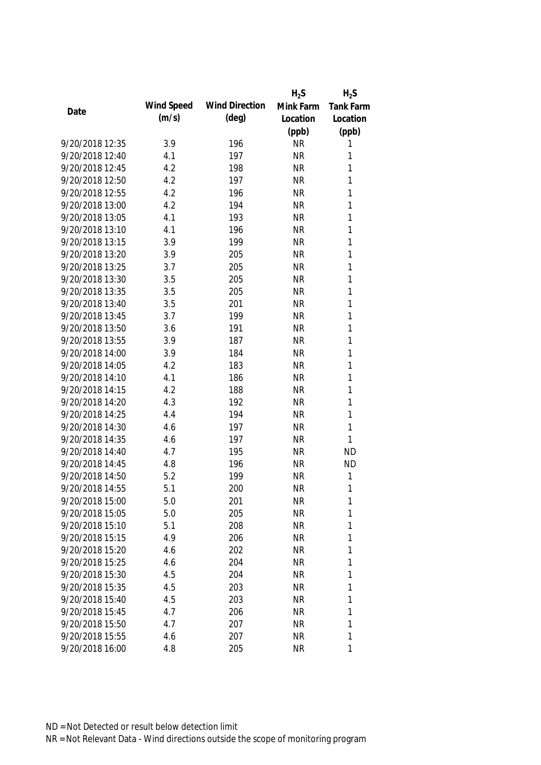|                 |            |                       | $H_2S$    | $H_2S$    |
|-----------------|------------|-----------------------|-----------|-----------|
| Date            | Wind Speed | <b>Wind Direction</b> | Mink Farm | Tank Farm |
|                 | (m/s)      | $(\text{deg})$        | Location  | Location  |
|                 |            |                       | (ppb)     | (ppb)     |
| 9/20/2018 12:35 | 3.9        | 196                   | <b>NR</b> | 1         |
| 9/20/2018 12:40 | 4.1        | 197                   | <b>NR</b> | 1         |
| 9/20/2018 12:45 | 4.2        | 198                   | <b>NR</b> | 1         |
| 9/20/2018 12:50 | 4.2        | 197                   | <b>NR</b> | 1         |
| 9/20/2018 12:55 | 4.2        | 196                   | <b>NR</b> | 1         |
| 9/20/2018 13:00 | 4.2        | 194                   | <b>NR</b> | 1         |
| 9/20/2018 13:05 | 4.1        | 193                   | <b>NR</b> | 1         |
| 9/20/2018 13:10 | 4.1        | 196                   | <b>NR</b> | 1         |
| 9/20/2018 13:15 | 3.9        | 199                   | <b>NR</b> | 1         |
| 9/20/2018 13:20 | 3.9        | 205                   | <b>NR</b> | 1         |
| 9/20/2018 13:25 | 3.7        | 205                   | <b>NR</b> | 1         |
| 9/20/2018 13:30 | 3.5        | 205                   | <b>NR</b> | 1         |
| 9/20/2018 13:35 | 3.5        | 205                   | <b>NR</b> | 1         |
| 9/20/2018 13:40 | 3.5        | 201                   | <b>NR</b> | 1         |
| 9/20/2018 13:45 | 3.7        | 199                   | <b>NR</b> | 1         |
| 9/20/2018 13:50 | 3.6        | 191                   | <b>NR</b> | 1         |
| 9/20/2018 13:55 | 3.9        | 187                   | <b>NR</b> | 1         |
| 9/20/2018 14:00 | 3.9        | 184                   | <b>NR</b> | 1         |
| 9/20/2018 14:05 | 4.2        | 183                   | <b>NR</b> | 1         |
| 9/20/2018 14:10 | 4.1        | 186                   | <b>NR</b> | 1         |
| 9/20/2018 14:15 | 4.2        | 188                   | <b>NR</b> | 1         |
| 9/20/2018 14:20 | 4.3        | 192                   | <b>NR</b> | 1         |
| 9/20/2018 14:25 | 4.4        | 194                   | <b>NR</b> | 1         |
| 9/20/2018 14:30 | 4.6        | 197                   | <b>NR</b> | 1         |
| 9/20/2018 14:35 | 4.6        | 197                   | <b>NR</b> | 1         |
| 9/20/2018 14:40 | 4.7        | 195                   | <b>NR</b> | <b>ND</b> |
| 9/20/2018 14:45 | 4.8        | 196                   | <b>NR</b> | <b>ND</b> |
| 9/20/2018 14:50 | 5.2        | 199                   | <b>NR</b> | 1         |
| 9/20/2018 14:55 | 5.1        | 200                   | <b>NR</b> | 1         |
| 9/20/2018 15:00 | 5.0        | 201                   | <b>NR</b> | 1         |
| 9/20/2018 15:05 | 5.0        | 205                   | <b>NR</b> | 1         |
| 9/20/2018 15:10 | 5.1        | 208                   | <b>NR</b> | 1         |
| 9/20/2018 15:15 | 4.9        | 206                   | <b>NR</b> | 1         |
| 9/20/2018 15:20 | 4.6        | 202                   | <b>NR</b> | 1         |
| 9/20/2018 15:25 | 4.6        | 204                   | <b>NR</b> | 1         |
| 9/20/2018 15:30 | 4.5        | 204                   | <b>NR</b> | 1         |
| 9/20/2018 15:35 | 4.5        | 203                   | <b>NR</b> | 1         |
| 9/20/2018 15:40 | 4.5        | 203                   | <b>NR</b> | 1         |
| 9/20/2018 15:45 | 4.7        | 206                   | <b>NR</b> | 1         |
| 9/20/2018 15:50 | 4.7        |                       | <b>NR</b> |           |
|                 |            | 207                   |           | 1<br>1    |
| 9/20/2018 15:55 | 4.6        | 207                   | <b>NR</b> |           |
| 9/20/2018 16:00 | 4.8        | 205                   | <b>NR</b> | 1         |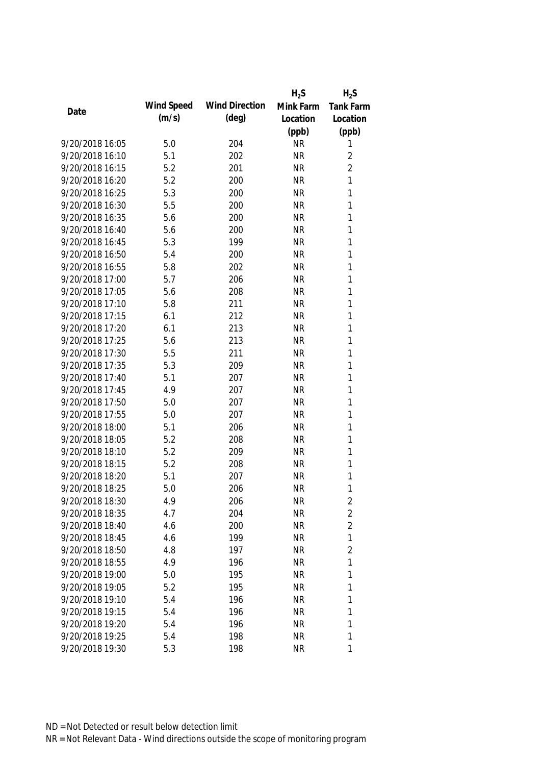|                 |            |                       | $H_2S$    | $H_2S$           |
|-----------------|------------|-----------------------|-----------|------------------|
| Date            | Wind Speed | <b>Wind Direction</b> | Mink Farm | <b>Tank Farm</b> |
|                 | (m/s)      | (deg)                 | Location  | Location         |
|                 |            |                       | (ppb)     | (ppb)            |
| 9/20/2018 16:05 | 5.0        | 204                   | <b>NR</b> | 1                |
| 9/20/2018 16:10 | 5.1        | 202                   | <b>NR</b> | $\overline{2}$   |
| 9/20/2018 16:15 | 5.2        | 201                   | <b>NR</b> | $\overline{2}$   |
| 9/20/2018 16:20 | 5.2        | 200                   | <b>NR</b> | 1                |
| 9/20/2018 16:25 | 5.3        | 200                   | <b>NR</b> | 1                |
| 9/20/2018 16:30 | 5.5        | 200                   | <b>NR</b> | 1                |
| 9/20/2018 16:35 | 5.6        | 200                   | <b>NR</b> | 1                |
| 9/20/2018 16:40 | 5.6        | 200                   | <b>NR</b> | 1                |
| 9/20/2018 16:45 | 5.3        | 199                   | <b>NR</b> | 1                |
| 9/20/2018 16:50 | 5.4        | 200                   | <b>NR</b> | 1                |
| 9/20/2018 16:55 | 5.8        | 202                   | <b>NR</b> | $\mathbf{1}$     |
| 9/20/2018 17:00 | 5.7        | 206                   | <b>NR</b> | 1                |
| 9/20/2018 17:05 | 5.6        | 208                   | <b>NR</b> | 1                |
| 9/20/2018 17:10 | 5.8        | 211                   | <b>NR</b> | 1                |
| 9/20/2018 17:15 | 6.1        | 212                   | <b>NR</b> | $\mathbf{1}$     |
| 9/20/2018 17:20 | 6.1        | 213                   | <b>NR</b> | $\mathbf{1}$     |
| 9/20/2018 17:25 | 5.6        | 213                   | <b>NR</b> | 1                |
| 9/20/2018 17:30 | 5.5        | 211                   | <b>NR</b> | 1                |
| 9/20/2018 17:35 | 5.3        | 209                   | <b>NR</b> | 1                |
| 9/20/2018 17:40 | 5.1        | 207                   | <b>NR</b> | 1                |
| 9/20/2018 17:45 | 4.9        | 207                   | <b>NR</b> | 1                |
| 9/20/2018 17:50 | 5.0        | 207                   | <b>NR</b> | 1                |
| 9/20/2018 17:55 | 5.0        | 207                   | <b>NR</b> | $\mathbf{1}$     |
| 9/20/2018 18:00 | 5.1        | 206                   | <b>NR</b> | 1                |
| 9/20/2018 18:05 | 5.2        | 208                   | <b>NR</b> | 1                |
| 9/20/2018 18:10 | 5.2        | 209                   | <b>NR</b> | 1                |
| 9/20/2018 18:15 | 5.2        | 208                   | <b>NR</b> | 1                |
| 9/20/2018 18:20 | 5.1        | 207                   | <b>NR</b> | 1                |
| 9/20/2018 18:25 | 5.0        | 206                   | <b>NR</b> | 1                |
| 9/20/2018 18:30 | 4.9        | 206                   | <b>NR</b> | 2                |
| 9/20/2018 18:35 | 4.7        | 204                   | <b>NR</b> | $\overline{2}$   |
| 9/20/2018 18:40 | 4.6        | 200                   | <b>NR</b> | $\overline{2}$   |
| 9/20/2018 18:45 | 4.6        | 199                   | <b>NR</b> | 1                |
| 9/20/2018 18:50 | 4.8        | 197                   | <b>NR</b> | $\overline{2}$   |
| 9/20/2018 18:55 | 4.9        | 196                   | <b>NR</b> | 1                |
| 9/20/2018 19:00 | 5.0        | 195                   | <b>NR</b> | 1                |
| 9/20/2018 19:05 | 5.2        | 195                   | <b>NR</b> | 1                |
| 9/20/2018 19:10 | 5.4        | 196                   | <b>NR</b> | 1                |
| 9/20/2018 19:15 | 5.4        | 196                   | <b>NR</b> | 1                |
| 9/20/2018 19:20 | 5.4        | 196                   | <b>NR</b> | 1                |
| 9/20/2018 19:25 | 5.4        | 198                   | <b>NR</b> | 1                |
| 9/20/2018 19:30 | 5.3        | 198                   | <b>NR</b> | 1                |
|                 |            |                       |           |                  |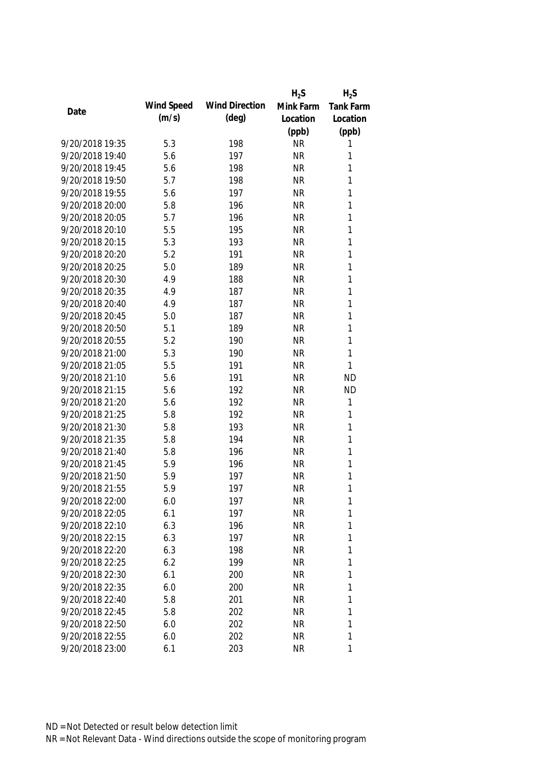|                 |            |                       | $H_2S$    | $H_2S$       |
|-----------------|------------|-----------------------|-----------|--------------|
| Date            | Wind Speed | <b>Wind Direction</b> | Mink Farm | Tank Farm    |
|                 | (m/s)      | (deg)                 | Location  | Location     |
|                 |            |                       | (ppb)     | (ppb)        |
| 9/20/2018 19:35 | 5.3        | 198                   | <b>NR</b> | 1            |
| 9/20/2018 19:40 | 5.6        | 197                   | <b>NR</b> | 1            |
| 9/20/2018 19:45 | 5.6        | 198                   | <b>NR</b> | 1            |
| 9/20/2018 19:50 | 5.7        | 198                   | <b>NR</b> | 1            |
| 9/20/2018 19:55 | 5.6        | 197                   | <b>NR</b> | 1            |
| 9/20/2018 20:00 | 5.8        | 196                   | <b>NR</b> | 1            |
| 9/20/2018 20:05 | 5.7        | 196                   | <b>NR</b> | $\mathbf{1}$ |
| 9/20/2018 20:10 | 5.5        | 195                   | <b>NR</b> | $\mathbf{1}$ |
| 9/20/2018 20:15 | 5.3        | 193                   | <b>NR</b> | $\mathbf{1}$ |
| 9/20/2018 20:20 | 5.2        | 191                   | <b>NR</b> | 1            |
| 9/20/2018 20:25 | 5.0        | 189                   | <b>NR</b> | 1            |
| 9/20/2018 20:30 | 4.9        | 188                   | <b>NR</b> | 1            |
| 9/20/2018 20:35 | 4.9        | 187                   | <b>NR</b> | 1            |
| 9/20/2018 20:40 | 4.9        | 187                   | <b>NR</b> | $\mathbf{1}$ |
| 9/20/2018 20:45 | 5.0        | 187                   | <b>NR</b> | $\mathbf{1}$ |
| 9/20/2018 20:50 | 5.1        | 189                   | <b>NR</b> | $\mathbf{1}$ |
| 9/20/2018 20:55 | 5.2        | 190                   | <b>NR</b> | $\mathbf{1}$ |
| 9/20/2018 21:00 | 5.3        | 190                   | <b>NR</b> | $\mathbf{1}$ |
| 9/20/2018 21:05 | 5.5        | 191                   | <b>NR</b> | $\mathbf{1}$ |
| 9/20/2018 21:10 | 5.6        | 191                   | <b>NR</b> | <b>ND</b>    |
| 9/20/2018 21:15 | 5.6        | 192                   | <b>NR</b> | <b>ND</b>    |
| 9/20/2018 21:20 | 5.6        | 192                   | <b>NR</b> | $\mathbf{1}$ |
| 9/20/2018 21:25 | 5.8        | 192                   | <b>NR</b> | $\mathbf{1}$ |
| 9/20/2018 21:30 | 5.8        | 193                   | <b>NR</b> | 1            |
| 9/20/2018 21:35 | 5.8        | 194                   | <b>NR</b> | 1            |
| 9/20/2018 21:40 | 5.8        | 196                   | <b>NR</b> | 1            |
| 9/20/2018 21:45 | 5.9        | 196                   | <b>NR</b> | 1            |
| 9/20/2018 21:50 | 5.9        | 197                   | <b>NR</b> | 1            |
| 9/20/2018 21:55 | 5.9        | 197                   | <b>NR</b> | 1            |
| 9/20/2018 22:00 | 6.0        | 197                   | <b>NR</b> | 1            |
| 9/20/2018 22:05 | 6.1        | 197                   | <b>NR</b> | 1            |
| 9/20/2018 22:10 | 6.3        | 196                   | <b>NR</b> | 1            |
| 9/20/2018 22:15 | 6.3        | 197                   | <b>NR</b> | 1            |
| 9/20/2018 22:20 | 6.3        | 198                   | <b>NR</b> | 1            |
| 9/20/2018 22:25 | 6.2        | 199                   | <b>NR</b> | 1            |
| 9/20/2018 22:30 | 6.1        | 200                   | <b>NR</b> | 1            |
| 9/20/2018 22:35 | 6.0        | 200                   | <b>NR</b> | 1            |
| 9/20/2018 22:40 | 5.8        | 201                   | <b>NR</b> | 1            |
| 9/20/2018 22:45 | 5.8        | 202                   | <b>NR</b> | 1            |
| 9/20/2018 22:50 | 6.0        | 202                   | <b>NR</b> | 1            |
| 9/20/2018 22:55 | 6.0        | 202                   | <b>NR</b> | 1            |
| 9/20/2018 23:00 | 6.1        | 203                   | <b>NR</b> | 1            |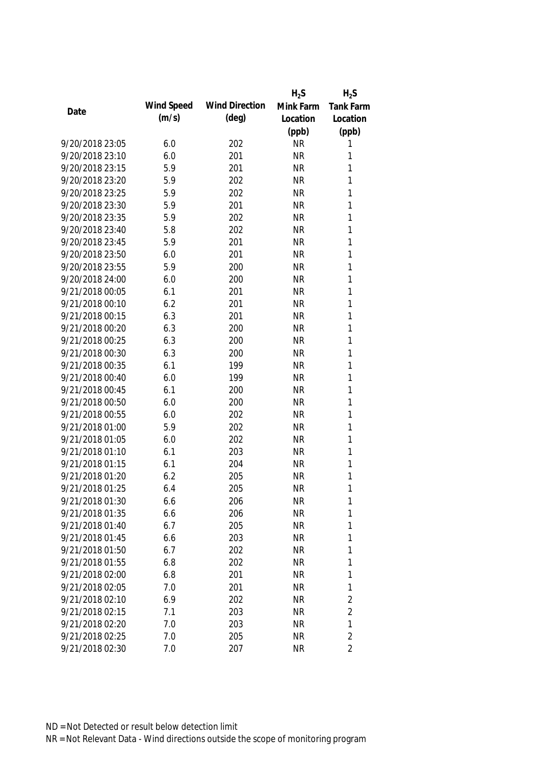|                 |            |                       | $H_2S$    | $H_2S$           |
|-----------------|------------|-----------------------|-----------|------------------|
|                 | Wind Speed | <b>Wind Direction</b> | Mink Farm | <b>Tank Farm</b> |
| Date            | (m/s)      | (deg)                 | Location  | Location         |
|                 |            |                       | (ppb)     | (ppb)            |
| 9/20/2018 23:05 | 6.0        | 202                   | <b>NR</b> | 1                |
| 9/20/2018 23:10 | 6.0        | 201                   | <b>NR</b> | 1                |
| 9/20/2018 23:15 | 5.9        | 201                   | <b>NR</b> | 1                |
| 9/20/2018 23:20 | 5.9        | 202                   | <b>NR</b> | 1                |
| 9/20/2018 23:25 | 5.9        | 202                   | <b>NR</b> | 1                |
| 9/20/2018 23:30 | 5.9        | 201                   | <b>NR</b> | 1                |
| 9/20/2018 23:35 | 5.9        | 202                   | <b>NR</b> | 1                |
| 9/20/2018 23:40 | 5.8        | 202                   | <b>NR</b> | 1                |
| 9/20/2018 23:45 | 5.9        | 201                   | <b>NR</b> | $\mathbf{1}$     |
| 9/20/2018 23:50 | 6.0        | 201                   | <b>NR</b> | 1                |
| 9/20/2018 23:55 | 5.9        | 200                   | <b>NR</b> | 1                |
| 9/20/2018 24:00 | 6.0        | 200                   | <b>NR</b> | 1                |
| 9/21/2018 00:05 | 6.1        | 201                   | <b>NR</b> | 1                |
| 9/21/2018 00:10 | 6.2        | 201                   | <b>NR</b> | $\mathbf{1}$     |
| 9/21/2018 00:15 | 6.3        | 201                   | <b>NR</b> | $\mathbf{1}$     |
| 9/21/2018 00:20 | 6.3        | 200                   | <b>NR</b> | 1                |
| 9/21/2018 00:25 | 6.3        | 200                   | <b>NR</b> | 1                |
| 9/21/2018 00:30 | 6.3        | 200                   | <b>NR</b> | $\mathbf{1}$     |
| 9/21/2018 00:35 | 6.1        | 199                   | <b>NR</b> | 1                |
| 9/21/2018 00:40 | 6.0        | 199                   | <b>NR</b> | 1                |
| 9/21/2018 00:45 | 6.1        | 200                   | <b>NR</b> | 1                |
| 9/21/2018 00:50 | 6.0        | 200                   | <b>NR</b> | $\mathbf{1}$     |
| 9/21/2018 00:55 | 6.0        | 202                   | <b>NR</b> | $\mathbf{1}$     |
| 9/21/2018 01:00 | 5.9        | 202                   | <b>NR</b> | 1                |
| 9/21/2018 01:05 | 6.0        | 202                   | <b>NR</b> | 1                |
| 9/21/2018 01:10 | 6.1        | 203                   | <b>NR</b> | 1                |
| 9/21/2018 01:15 | 6.1        | 204                   | <b>NR</b> | 1                |
| 9/21/2018 01:20 | 6.2        | 205                   | <b>NR</b> | 1                |
| 9/21/2018 01:25 | 6.4        | 205                   | <b>NR</b> | 1                |
| 9/21/2018 01:30 | 6.6        | 206                   | <b>NR</b> | 1                |
| 9/21/2018 01:35 | 6.6        | 206                   | <b>NR</b> | 1                |
| 9/21/2018 01:40 | 6.7        | 205                   | <b>NR</b> | 1                |
| 9/21/2018 01:45 | 6.6        | 203                   | <b>NR</b> | 1                |
| 9/21/2018 01:50 | 6.7        | 202                   | <b>NR</b> | 1                |
| 9/21/2018 01:55 | 6.8        | 202                   | <b>NR</b> | 1                |
| 9/21/2018 02:00 | 6.8        | 201                   | <b>NR</b> | 1                |
| 9/21/2018 02:05 | 7.0        | 201                   | <b>NR</b> | 1                |
| 9/21/2018 02:10 | 6.9        | 202                   | <b>NR</b> | 2                |
| 9/21/2018 02:15 | 7.1        | 203                   | <b>NR</b> | $\overline{2}$   |
| 9/21/2018 02:20 | 7.0        | 203                   | <b>NR</b> | 1                |
| 9/21/2018 02:25 | 7.0        | 205                   | <b>NR</b> | $\overline{2}$   |
| 9/21/2018 02:30 | 7.0        | 207                   | <b>NR</b> | $\overline{2}$   |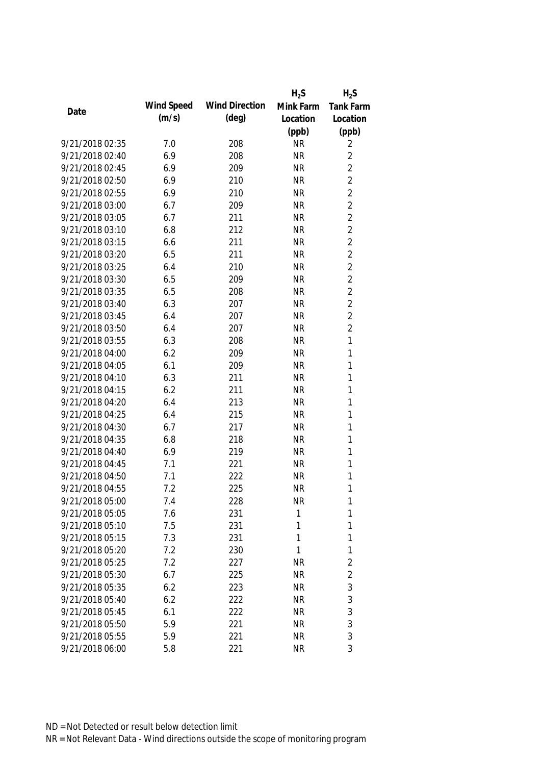|                 |            |                       | $H_2S$    | $H_2S$           |
|-----------------|------------|-----------------------|-----------|------------------|
| Date            | Wind Speed | <b>Wind Direction</b> | Mink Farm | <b>Tank Farm</b> |
|                 | (m/s)      | $(\text{deg})$        | Location  | Location         |
|                 |            |                       | (ppb)     | (ppb)            |
| 9/21/2018 02:35 | 7.0        | 208                   | <b>NR</b> | 2                |
| 9/21/2018 02:40 | 6.9        | 208                   | <b>NR</b> | $\overline{2}$   |
| 9/21/2018 02:45 | 6.9        | 209                   | <b>NR</b> | $\overline{2}$   |
| 9/21/2018 02:50 | 6.9        | 210                   | <b>NR</b> | $\overline{2}$   |
| 9/21/2018 02:55 | 6.9        | 210                   | <b>NR</b> | $\overline{2}$   |
| 9/21/2018 03:00 | 6.7        | 209                   | <b>NR</b> | $\overline{2}$   |
| 9/21/2018 03:05 | 6.7        | 211                   | <b>NR</b> | $\overline{2}$   |
| 9/21/2018 03:10 | 6.8        | 212                   | <b>NR</b> | $\overline{2}$   |
| 9/21/2018 03:15 | 6.6        | 211                   | <b>NR</b> | $\overline{2}$   |
| 9/21/2018 03:20 | 6.5        | 211                   | <b>NR</b> | $\overline{2}$   |
| 9/21/2018 03:25 | 6.4        | 210                   | <b>NR</b> | $\overline{2}$   |
| 9/21/2018 03:30 | 6.5        | 209                   | <b>NR</b> | $\overline{2}$   |
| 9/21/2018 03:35 | 6.5        | 208                   | <b>NR</b> | $\overline{2}$   |
| 9/21/2018 03:40 | 6.3        | 207                   | <b>NR</b> | $\overline{2}$   |
| 9/21/2018 03:45 | 6.4        | 207                   | <b>NR</b> | $\overline{2}$   |
| 9/21/2018 03:50 | 6.4        | 207                   | <b>NR</b> | $\overline{2}$   |
| 9/21/2018 03:55 | 6.3        | 208                   | <b>NR</b> | 1                |
| 9/21/2018 04:00 | 6.2        | 209                   | <b>NR</b> | 1                |
| 9/21/2018 04:05 | 6.1        | 209                   | <b>NR</b> | $\mathbf{1}$     |
| 9/21/2018 04:10 | 6.3        | 211                   | <b>NR</b> | 1                |
| 9/21/2018 04:15 | 6.2        | 211                   | <b>NR</b> | 1                |
| 9/21/2018 04:20 | 6.4        | 213                   | <b>NR</b> | 1                |
| 9/21/2018 04:25 | 6.4        | 215                   | <b>NR</b> | 1                |
| 9/21/2018 04:30 | 6.7        | 217                   | <b>NR</b> | 1                |
| 9/21/2018 04:35 | 6.8        | 218                   | <b>NR</b> | 1                |
| 9/21/2018 04:40 | 6.9        | 219                   | <b>NR</b> | 1                |
| 9/21/2018 04:45 | 7.1        | 221                   | <b>NR</b> | 1                |
| 9/21/2018 04:50 | 7.1        | 222                   | <b>NR</b> | 1                |
| 9/21/2018 04:55 | 7.2        | 225                   | <b>NR</b> | 1                |
| 9/21/2018 05:00 | 7.4        | 228                   | <b>NR</b> | 1                |
| 9/21/2018 05:05 | 7.6        | 231                   | 1         | 1                |
| 9/21/2018 05:10 | 7.5        | 231                   | 1         | 1                |
| 9/21/2018 05:15 | 7.3        | 231                   | 1         | 1                |
| 9/21/2018 05:20 | 7.2        | 230                   | 1         | $\mathbf{1}$     |
| 9/21/2018 05:25 | 7.2        | 227                   | <b>NR</b> | $\overline{2}$   |
| 9/21/2018 05:30 | 6.7        | 225                   | <b>NR</b> | $\overline{2}$   |
| 9/21/2018 05:35 | 6.2        | 223                   | <b>NR</b> | $\mathfrak{Z}$   |
| 9/21/2018 05:40 | 6.2        | 222                   | <b>NR</b> | $\mathfrak{Z}$   |
| 9/21/2018 05:45 | 6.1        | 222                   | <b>NR</b> | 3                |
| 9/21/2018 05:50 | 5.9        | 221                   | <b>NR</b> | 3                |
| 9/21/2018 05:55 | 5.9        | 221                   | <b>NR</b> | 3                |
| 9/21/2018 06:00 | 5.8        | 221                   | <b>NR</b> | 3                |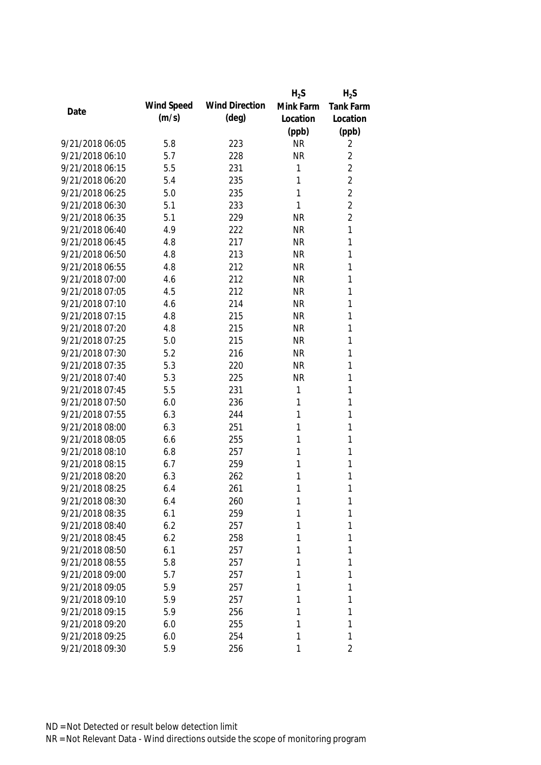| Wind Speed<br><b>Wind Direction</b><br>Mink Farm<br>Date<br>(m/s)<br>$(\text{deg})$<br>Location<br>(ppb)<br>9/21/2018 06:05<br>5.8<br>223<br><b>NR</b><br>9/21/2018 06:10<br>5.7<br>228<br><b>NR</b><br>9/21/2018 06:15<br>5.5<br>231<br>1<br>9/21/2018 06:20<br>5.4<br>235<br>1<br>1<br>9/21/2018 06:25<br>5.0<br>235<br>1<br>9/21/2018 06:30<br>5.1<br>233 | <b>Tank Farm</b><br>Location<br>(ppb)<br>2<br>$\overline{2}$<br>$\overline{2}$<br>$\overline{2}$<br>$\overline{2}$<br>$\overline{2}$<br>$\overline{2}$<br>1<br>1<br>1<br>1<br>1<br>1 |
|--------------------------------------------------------------------------------------------------------------------------------------------------------------------------------------------------------------------------------------------------------------------------------------------------------------------------------------------------------------|--------------------------------------------------------------------------------------------------------------------------------------------------------------------------------------|
|                                                                                                                                                                                                                                                                                                                                                              |                                                                                                                                                                                      |
|                                                                                                                                                                                                                                                                                                                                                              |                                                                                                                                                                                      |
|                                                                                                                                                                                                                                                                                                                                                              |                                                                                                                                                                                      |
|                                                                                                                                                                                                                                                                                                                                                              |                                                                                                                                                                                      |
|                                                                                                                                                                                                                                                                                                                                                              |                                                                                                                                                                                      |
|                                                                                                                                                                                                                                                                                                                                                              |                                                                                                                                                                                      |
|                                                                                                                                                                                                                                                                                                                                                              |                                                                                                                                                                                      |
|                                                                                                                                                                                                                                                                                                                                                              |                                                                                                                                                                                      |
|                                                                                                                                                                                                                                                                                                                                                              |                                                                                                                                                                                      |
| 9/21/2018 06:35<br>5.1<br>229<br><b>NR</b>                                                                                                                                                                                                                                                                                                                   |                                                                                                                                                                                      |
| 9/21/2018 06:40<br>4.9<br>222<br><b>NR</b>                                                                                                                                                                                                                                                                                                                   |                                                                                                                                                                                      |
| 9/21/2018 06:45<br>4.8<br>217<br><b>NR</b>                                                                                                                                                                                                                                                                                                                   |                                                                                                                                                                                      |
| 9/21/2018 06:50<br>4.8<br>213<br><b>NR</b>                                                                                                                                                                                                                                                                                                                   |                                                                                                                                                                                      |
| 9/21/2018 06:55<br>4.8<br>212<br><b>NR</b>                                                                                                                                                                                                                                                                                                                   |                                                                                                                                                                                      |
| 9/21/2018 07:00<br>4.6<br>212<br><b>NR</b>                                                                                                                                                                                                                                                                                                                   |                                                                                                                                                                                      |
| 9/21/2018 07:05<br>4.5<br>212<br><b>NR</b>                                                                                                                                                                                                                                                                                                                   |                                                                                                                                                                                      |
| 9/21/2018 07:10<br>4.6<br>214<br><b>NR</b>                                                                                                                                                                                                                                                                                                                   | 1                                                                                                                                                                                    |
| 9/21/2018 07:15<br>4.8<br>215<br><b>NR</b>                                                                                                                                                                                                                                                                                                                   | 1                                                                                                                                                                                    |
| 9/21/2018 07:20<br>4.8<br>215<br><b>NR</b>                                                                                                                                                                                                                                                                                                                   | 1                                                                                                                                                                                    |
| 9/21/2018 07:25<br>5.0<br>215<br><b>NR</b>                                                                                                                                                                                                                                                                                                                   | 1                                                                                                                                                                                    |
| 9/21/2018 07:30<br>5.2<br>216<br><b>NR</b>                                                                                                                                                                                                                                                                                                                   | 1                                                                                                                                                                                    |
| 9/21/2018 07:35<br>5.3<br>220<br><b>NR</b>                                                                                                                                                                                                                                                                                                                   | 1                                                                                                                                                                                    |
| 9/21/2018 07:40<br>5.3<br>225<br><b>NR</b>                                                                                                                                                                                                                                                                                                                   | 1                                                                                                                                                                                    |
| 9/21/2018 07:45<br>5.5<br>231<br>1                                                                                                                                                                                                                                                                                                                           | 1                                                                                                                                                                                    |
| 9/21/2018 07:50<br>6.0<br>236<br>1                                                                                                                                                                                                                                                                                                                           | 1                                                                                                                                                                                    |
| 9/21/2018 07:55<br>1<br>6.3<br>244                                                                                                                                                                                                                                                                                                                           | 1                                                                                                                                                                                    |
| 9/21/2018 08:00<br>1<br>6.3<br>251                                                                                                                                                                                                                                                                                                                           | 1                                                                                                                                                                                    |
| 1<br>9/21/2018 08:05<br>6.6<br>255                                                                                                                                                                                                                                                                                                                           | 1                                                                                                                                                                                    |
| 9/21/2018 08:10<br>1<br>6.8<br>257                                                                                                                                                                                                                                                                                                                           | 1                                                                                                                                                                                    |
| 9/21/2018 08:15<br>6.7<br>259<br>1                                                                                                                                                                                                                                                                                                                           | 1                                                                                                                                                                                    |
| 9/21/2018 08:20<br>6.3<br>262<br>1                                                                                                                                                                                                                                                                                                                           | 1                                                                                                                                                                                    |
| 1<br>9/21/2018 08:25<br>6.4<br>261                                                                                                                                                                                                                                                                                                                           | 1                                                                                                                                                                                    |
| 9/21/2018 08:30<br>6.4<br>260<br>1                                                                                                                                                                                                                                                                                                                           | 1                                                                                                                                                                                    |
| 1<br>9/21/2018 08:35<br>6.1<br>259                                                                                                                                                                                                                                                                                                                           | 1                                                                                                                                                                                    |
| 9/21/2018 08:40<br>6.2<br>1<br>257                                                                                                                                                                                                                                                                                                                           | 1                                                                                                                                                                                    |
| 9/21/2018 08:45<br>1<br>6.2<br>258                                                                                                                                                                                                                                                                                                                           | 1                                                                                                                                                                                    |
| 9/21/2018 08:50<br>1<br>6.1<br>257                                                                                                                                                                                                                                                                                                                           | 1                                                                                                                                                                                    |
| 9/21/2018 08:55<br>5.8<br>257<br>1                                                                                                                                                                                                                                                                                                                           | 1                                                                                                                                                                                    |
| 9/21/2018 09:00<br>5.7<br>257<br>1                                                                                                                                                                                                                                                                                                                           | 1                                                                                                                                                                                    |
| 9/21/2018 09:05<br>5.9<br>257<br>1                                                                                                                                                                                                                                                                                                                           | 1                                                                                                                                                                                    |
| 9/21/2018 09:10<br>257<br>1<br>5.9                                                                                                                                                                                                                                                                                                                           | 1                                                                                                                                                                                    |
| 9/21/2018 09:15<br>256<br>1<br>5.9                                                                                                                                                                                                                                                                                                                           | 1                                                                                                                                                                                    |
| 9/21/2018 09:20<br>1<br>6.0<br>255                                                                                                                                                                                                                                                                                                                           | 1                                                                                                                                                                                    |
| 9/21/2018 09:25<br>254<br>1<br>6.0                                                                                                                                                                                                                                                                                                                           | 1                                                                                                                                                                                    |
| 9/21/2018 09:30<br>5.9<br>256<br>1                                                                                                                                                                                                                                                                                                                           | $\overline{2}$                                                                                                                                                                       |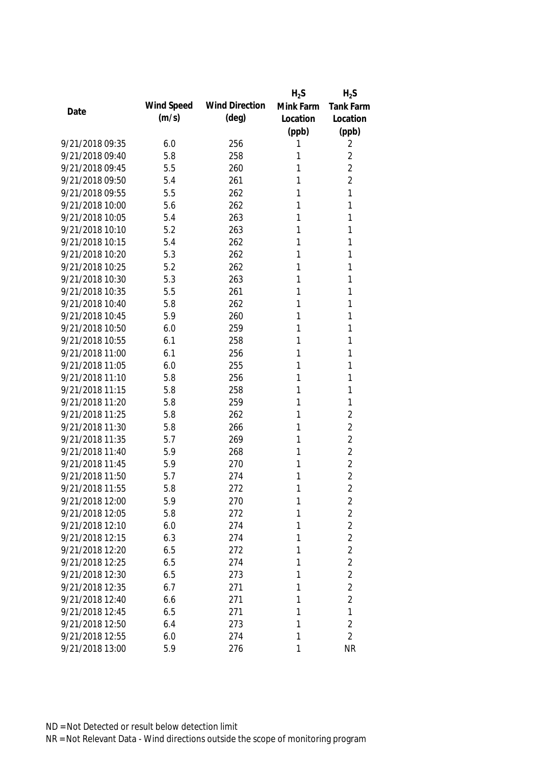|                 |            |                       | $H_2S$    | $H_2S$         |
|-----------------|------------|-----------------------|-----------|----------------|
| Date            | Wind Speed | <b>Wind Direction</b> | Mink Farm | Tank Farm      |
|                 | (m/s)      | $(\text{deg})$        | Location  | Location       |
|                 |            |                       | (ppb)     | (ppb)          |
| 9/21/2018 09:35 | 6.0        | 256                   | 1         | 2              |
| 9/21/2018 09:40 | 5.8        | 258                   | 1         | $\overline{2}$ |
| 9/21/2018 09:45 | 5.5        | 260                   | 1         | $\overline{2}$ |
| 9/21/2018 09:50 | 5.4        | 261                   | 1         | $\overline{2}$ |
| 9/21/2018 09:55 | 5.5        | 262                   | 1         | 1              |
| 9/21/2018 10:00 | 5.6        | 262                   | 1         | 1              |
| 9/21/2018 10:05 | 5.4        | 263                   | 1         | 1              |
| 9/21/2018 10:10 | 5.2        | 263                   | 1         | 1              |
| 9/21/2018 10:15 | 5.4        | 262                   | 1         | 1              |
| 9/21/2018 10:20 | 5.3        | 262                   | 1         | 1              |
| 9/21/2018 10:25 | 5.2        | 262                   | 1         | 1              |
| 9/21/2018 10:30 | 5.3        | 263                   | 1         | 1              |
| 9/21/2018 10:35 | 5.5        | 261                   | 1         | 1              |
| 9/21/2018 10:40 | 5.8        | 262                   | 1         | 1              |
| 9/21/2018 10:45 | 5.9        | 260                   | 1         | 1              |
| 9/21/2018 10:50 | 6.0        | 259                   | 1         | 1              |
| 9/21/2018 10:55 | 6.1        | 258                   | 1         | 1              |
| 9/21/2018 11:00 | 6.1        | 256                   | 1         | 1              |
| 9/21/2018 11:05 | 6.0        | 255                   | 1         | 1              |
| 9/21/2018 11:10 | 5.8        | 256                   | 1         | 1              |
| 9/21/2018 11:15 | 5.8        | 258                   | 1         | 1              |
| 9/21/2018 11:20 | 5.8        | 259                   | 1         | 1              |
| 9/21/2018 11:25 | 5.8        | 262                   | 1         | $\overline{2}$ |
| 9/21/2018 11:30 | 5.8        | 266                   | 1         | $\overline{2}$ |
| 9/21/2018 11:35 | 5.7        | 269                   | 1         | $\overline{2}$ |
| 9/21/2018 11:40 | 5.9        | 268                   | 1         | $\overline{2}$ |
| 9/21/2018 11:45 | 5.9        | 270                   | 1         | $\overline{2}$ |
| 9/21/2018 11:50 | 5.7        | 274                   | 1         | $\overline{2}$ |
| 9/21/2018 11:55 | 5.8        | 272                   | 1         | $\overline{2}$ |
| 9/21/2018 12:00 | 5.9        | 270                   | 1         | $\overline{c}$ |
| 9/21/2018 12:05 | 5.8        | 272                   | 1         | $\overline{2}$ |
| 9/21/2018 12:10 | 6.0        | 274                   | 1         | $\overline{2}$ |
| 9/21/2018 12:15 | 6.3        | 274                   | 1         | $\overline{2}$ |
| 9/21/2018 12:20 | 6.5        | 272                   | 1         | $\overline{2}$ |
| 9/21/2018 12:25 | 6.5        | 274                   | 1         | $\overline{2}$ |
| 9/21/2018 12:30 | 6.5        | 273                   | 1         | $\overline{2}$ |
| 9/21/2018 12:35 | 6.7        | 271                   | 1         | $\overline{2}$ |
| 9/21/2018 12:40 | 6.6        | 271                   | 1         | $\overline{2}$ |
| 9/21/2018 12:45 | 6.5        | 271                   | 1         | $\mathbf{1}$   |
| 9/21/2018 12:50 | 6.4        | 273                   | 1         | $\overline{2}$ |
| 9/21/2018 12:55 | 6.0        | 274                   | 1         | $\overline{2}$ |
| 9/21/2018 13:00 | 5.9        | 276                   | 1         | <b>NR</b>      |
|                 |            |                       |           |                |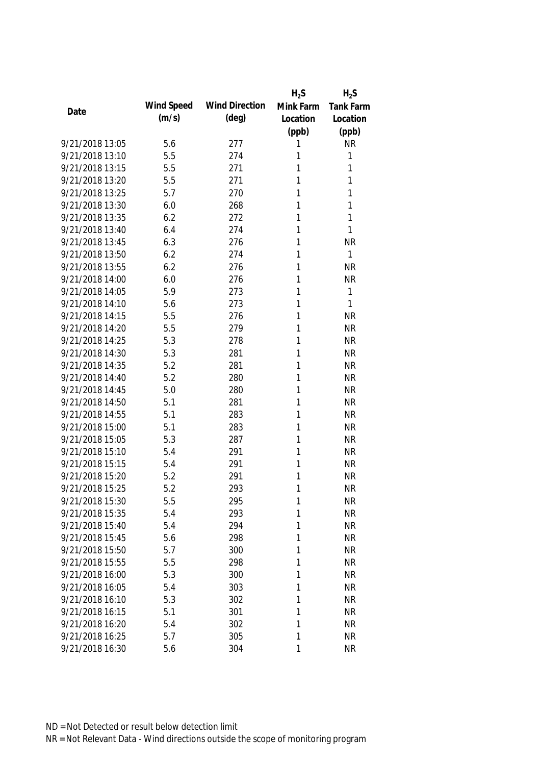|                 |            |                       | $H_2S$    | $H_2S$       |
|-----------------|------------|-----------------------|-----------|--------------|
| Date            | Wind Speed | <b>Wind Direction</b> | Mink Farm | Tank Farm    |
|                 | (m/s)      | $(\text{deg})$        | Location  | Location     |
|                 |            |                       | (ppb)     | (ppb)        |
| 9/21/2018 13:05 | 5.6        | 277                   | 1         | <b>NR</b>    |
| 9/21/2018 13:10 | 5.5        | 274                   | 1         | 1            |
| 9/21/2018 13:15 | 5.5        | 271                   | 1         | 1            |
| 9/21/2018 13:20 | 5.5        | 271                   | 1         | 1            |
| 9/21/2018 13:25 | 5.7        | 270                   | 1         | 1            |
| 9/21/2018 13:30 | 6.0        | 268                   | 1         | 1            |
| 9/21/2018 13:35 | 6.2        | 272                   | 1         | 1            |
| 9/21/2018 13:40 | 6.4        | 274                   | 1         | 1            |
| 9/21/2018 13:45 | 6.3        | 276                   | 1         | <b>NR</b>    |
| 9/21/2018 13:50 | 6.2        | 274                   | 1         | 1            |
| 9/21/2018 13:55 | 6.2        | 276                   | 1         | <b>NR</b>    |
| 9/21/2018 14:00 | 6.0        | 276                   | 1         | <b>NR</b>    |
| 9/21/2018 14:05 | 5.9        | 273                   | 1         | 1            |
| 9/21/2018 14:10 | 5.6        | 273                   | 1         | $\mathbf{1}$ |
| 9/21/2018 14:15 | 5.5        | 276                   | 1         | <b>NR</b>    |
| 9/21/2018 14:20 | 5.5        | 279                   | 1         | <b>NR</b>    |
| 9/21/2018 14:25 | 5.3        | 278                   | 1         | <b>NR</b>    |
| 9/21/2018 14:30 | 5.3        | 281                   | 1         | <b>NR</b>    |
| 9/21/2018 14:35 | 5.2        | 281                   | 1         | <b>NR</b>    |
| 9/21/2018 14:40 | 5.2        | 280                   | 1         | <b>NR</b>    |
| 9/21/2018 14:45 | 5.0        | 280                   | 1         | <b>NR</b>    |
| 9/21/2018 14:50 | 5.1        | 281                   | 1         | <b>NR</b>    |
| 9/21/2018 14:55 | 5.1        | 283                   | 1         | <b>NR</b>    |
| 9/21/2018 15:00 | 5.1        | 283                   | 1         | <b>NR</b>    |
| 9/21/2018 15:05 | 5.3        | 287                   | 1         | <b>NR</b>    |
| 9/21/2018 15:10 | 5.4        | 291                   | 1         | <b>NR</b>    |
| 9/21/2018 15:15 | 5.4        | 291                   | 1         | <b>NR</b>    |
| 9/21/2018 15:20 | 5.2        | 291                   | 1         | <b>NR</b>    |
| 9/21/2018 15:25 | 5.2        | 293                   | 1         | <b>NR</b>    |
| 9/21/2018 15:30 | 5.5        | 295                   | 1         | <b>NR</b>    |
| 9/21/2018 15:35 | 5.4        | 293                   | 1         | <b>NR</b>    |
| 9/21/2018 15:40 | 5.4        | 294                   | 1         | <b>NR</b>    |
| 9/21/2018 15:45 | 5.6        | 298                   | 1         | <b>NR</b>    |
| 9/21/2018 15:50 | 5.7        | 300                   | 1         | <b>NR</b>    |
| 9/21/2018 15:55 | 5.5        | 298                   | 1         | <b>NR</b>    |
| 9/21/2018 16:00 | 5.3        | 300                   | 1         | <b>NR</b>    |
| 9/21/2018 16:05 | 5.4        | 303                   | 1         | <b>NR</b>    |
| 9/21/2018 16:10 | 5.3        | 302                   | 1         | <b>NR</b>    |
| 9/21/2018 16:15 | 5.1        | 301                   | 1         | <b>NR</b>    |
| 9/21/2018 16:20 | 5.4        | 302                   | 1         | <b>NR</b>    |
| 9/21/2018 16:25 | 5.7        | 305                   | 1         | <b>NR</b>    |
| 9/21/2018 16:30 | 5.6        | 304                   | 1         | <b>NR</b>    |
|                 |            |                       |           |              |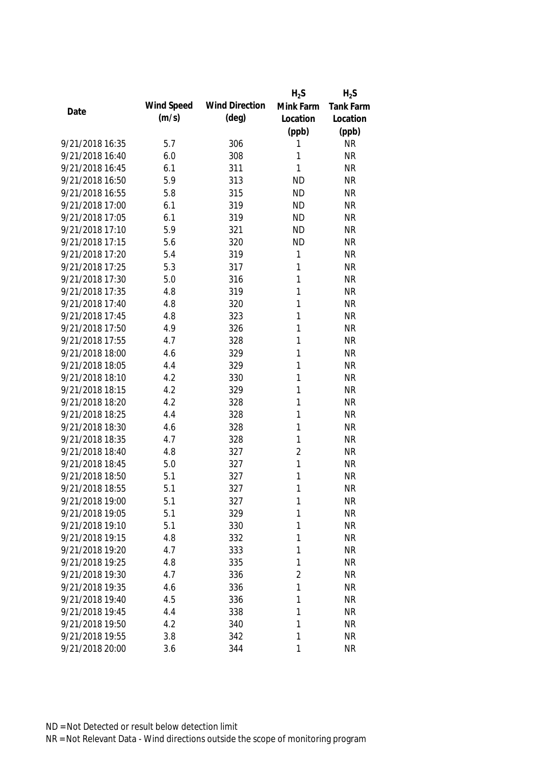|                 |            |                       | $H_2S$         | $H_2S$    |
|-----------------|------------|-----------------------|----------------|-----------|
| Date            | Wind Speed | <b>Wind Direction</b> | Mink Farm      | Tank Farm |
|                 | (m/s)      | $(\text{deg})$        | Location       | Location  |
|                 |            |                       | (ppb)          | (ppb)     |
| 9/21/2018 16:35 | 5.7        | 306                   | 1              | <b>NR</b> |
| 9/21/2018 16:40 | 6.0        | 308                   | 1              | <b>NR</b> |
| 9/21/2018 16:45 | 6.1        | 311                   | 1              | <b>NR</b> |
| 9/21/2018 16:50 | 5.9        | 313                   | <b>ND</b>      | <b>NR</b> |
| 9/21/2018 16:55 | 5.8        | 315                   | <b>ND</b>      | <b>NR</b> |
| 9/21/2018 17:00 | 6.1        | 319                   | <b>ND</b>      | <b>NR</b> |
| 9/21/2018 17:05 | 6.1        | 319                   | <b>ND</b>      | <b>NR</b> |
| 9/21/2018 17:10 | 5.9        | 321                   | <b>ND</b>      | <b>NR</b> |
| 9/21/2018 17:15 | 5.6        | 320                   | <b>ND</b>      | <b>NR</b> |
| 9/21/2018 17:20 | 5.4        | 319                   | 1              | <b>NR</b> |
| 9/21/2018 17:25 | 5.3        | 317                   | 1              | <b>NR</b> |
| 9/21/2018 17:30 | 5.0        | 316                   | 1              | <b>NR</b> |
| 9/21/2018 17:35 | 4.8        | 319                   | 1              | <b>NR</b> |
| 9/21/2018 17:40 | 4.8        | 320                   | 1              | <b>NR</b> |
| 9/21/2018 17:45 | 4.8        | 323                   | 1              | <b>NR</b> |
| 9/21/2018 17:50 | 4.9        | 326                   | 1              | <b>NR</b> |
| 9/21/2018 17:55 | 4.7        | 328                   | 1              | <b>NR</b> |
| 9/21/2018 18:00 | 4.6        | 329                   | 1              | <b>NR</b> |
| 9/21/2018 18:05 | 4.4        | 329                   | 1              | <b>NR</b> |
| 9/21/2018 18:10 | 4.2        | 330                   | 1              | <b>NR</b> |
| 9/21/2018 18:15 | 4.2        | 329                   | 1              | <b>NR</b> |
| 9/21/2018 18:20 | 4.2        | 328                   | 1              | <b>NR</b> |
| 9/21/2018 18:25 | 4.4        | 328                   | 1              | <b>NR</b> |
| 9/21/2018 18:30 | 4.6        | 328                   | 1              | <b>NR</b> |
| 9/21/2018 18:35 | 4.7        | 328                   | 1              | <b>NR</b> |
| 9/21/2018 18:40 | 4.8        | 327                   | $\overline{2}$ | <b>NR</b> |
| 9/21/2018 18:45 | 5.0        | 327                   | $\mathbf{1}$   | <b>NR</b> |
| 9/21/2018 18:50 | 5.1        | 327                   | 1              | <b>NR</b> |
| 9/21/2018 18:55 | 5.1        | 327                   | 1              | <b>NR</b> |
| 9/21/2018 19:00 | 5.1        | 327                   | 1              | <b>NR</b> |
| 9/21/2018 19:05 | 5.1        | 329                   | 1              | <b>NR</b> |
| 9/21/2018 19:10 | 5.1        | 330                   | 1              | <b>NR</b> |
| 9/21/2018 19:15 | 4.8        | 332                   | 1              | <b>NR</b> |
| 9/21/2018 19:20 | 4.7        | 333                   | 1              | <b>NR</b> |
| 9/21/2018 19:25 | 4.8        | 335                   | 1              | <b>NR</b> |
| 9/21/2018 19:30 | 4.7        | 336                   | $\overline{2}$ | <b>NR</b> |
| 9/21/2018 19:35 | 4.6        | 336                   | 1              | <b>NR</b> |
| 9/21/2018 19:40 | 4.5        | 336                   | 1              | <b>NR</b> |
| 9/21/2018 19:45 | 4.4        | 338                   | 1              | <b>NR</b> |
| 9/21/2018 19:50 | 4.2        | 340                   | 1              | <b>NR</b> |
| 9/21/2018 19:55 | 3.8        | 342                   | 1              | <b>NR</b> |
| 9/21/2018 20:00 | 3.6        | 344                   | 1              | <b>NR</b> |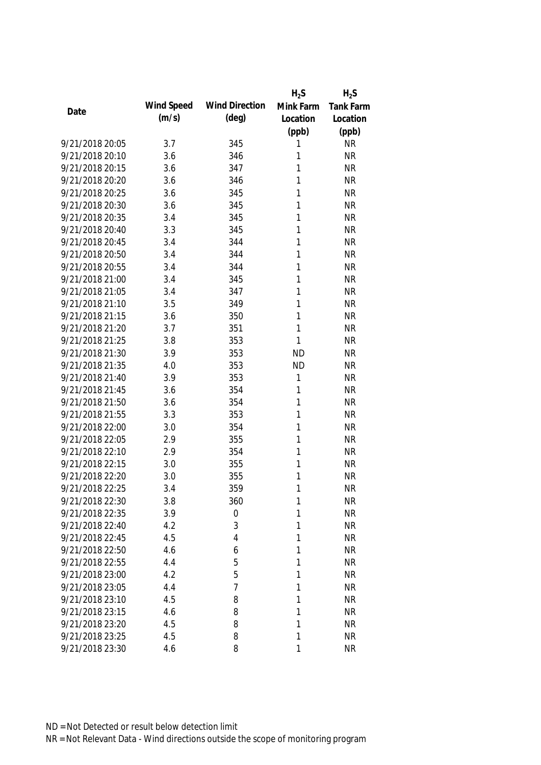|                 |            |                       | $H_2S$    | $H_2S$           |
|-----------------|------------|-----------------------|-----------|------------------|
| Date            | Wind Speed | <b>Wind Direction</b> | Mink Farm | <b>Tank Farm</b> |
|                 | (m/s)      | $(\text{deg})$        | Location  | Location         |
|                 |            |                       | (ppb)     | (ppb)            |
| 9/21/2018 20:05 | 3.7        | 345                   | 1         | <b>NR</b>        |
| 9/21/2018 20:10 | 3.6        | 346                   | 1         | <b>NR</b>        |
| 9/21/2018 20:15 | 3.6        | 347                   | 1         | <b>NR</b>        |
| 9/21/2018 20:20 | 3.6        | 346                   | 1         | <b>NR</b>        |
| 9/21/2018 20:25 | 3.6        | 345                   | 1         | <b>NR</b>        |
| 9/21/2018 20:30 | 3.6        | 345                   | 1         | <b>NR</b>        |
| 9/21/2018 20:35 | 3.4        | 345                   | 1         | <b>NR</b>        |
| 9/21/2018 20:40 | 3.3        | 345                   | 1         | <b>NR</b>        |
| 9/21/2018 20:45 | 3.4        | 344                   | 1         | <b>NR</b>        |
| 9/21/2018 20:50 | 3.4        | 344                   | 1         | <b>NR</b>        |
| 9/21/2018 20:55 | 3.4        | 344                   | 1         | <b>NR</b>        |
| 9/21/2018 21:00 | 3.4        | 345                   | 1         | <b>NR</b>        |
| 9/21/2018 21:05 | 3.4        | 347                   | 1         | <b>NR</b>        |
| 9/21/2018 21:10 | 3.5        | 349                   | 1         | <b>NR</b>        |
| 9/21/2018 21:15 | 3.6        | 350                   | 1         | <b>NR</b>        |
| 9/21/2018 21:20 | 3.7        | 351                   | 1         | <b>NR</b>        |
| 9/21/2018 21:25 | 3.8        | 353                   | 1         | <b>NR</b>        |
| 9/21/2018 21:30 | 3.9        | 353                   | <b>ND</b> | <b>NR</b>        |
| 9/21/2018 21:35 | 4.0        | 353                   | <b>ND</b> | <b>NR</b>        |
| 9/21/2018 21:40 | 3.9        | 353                   | 1         | <b>NR</b>        |
| 9/21/2018 21:45 | 3.6        | 354                   | 1         | <b>NR</b>        |
| 9/21/2018 21:50 | 3.6        | 354                   | 1         | <b>NR</b>        |
| 9/21/2018 21:55 | 3.3        | 353                   | 1         | <b>NR</b>        |
| 9/21/2018 22:00 | 3.0        | 354                   | 1         | <b>NR</b>        |
| 9/21/2018 22:05 | 2.9        | 355                   | 1         | <b>NR</b>        |
| 9/21/2018 22:10 | 2.9        | 354                   | 1         | <b>NR</b>        |
| 9/21/2018 22:15 | 3.0        | 355                   | 1         | <b>NR</b>        |
| 9/21/2018 22:20 | 3.0        | 355                   | 1         | <b>NR</b>        |
| 9/21/2018 22:25 | 3.4        | 359                   | 1         | <b>NR</b>        |
| 9/21/2018 22:30 | 3.8        | 360                   | 1         | NR               |
| 9/21/2018 22:35 | 3.9        | 0                     | 1         | <b>NR</b>        |
| 9/21/2018 22:40 | 4.2        | 3                     | 1         | <b>NR</b>        |
| 9/21/2018 22:45 | 4.5        | 4                     | 1         | <b>NR</b>        |
| 9/21/2018 22:50 | 4.6        | 6                     | 1         | <b>NR</b>        |
| 9/21/2018 22:55 | 4.4        | 5                     | 1         | <b>NR</b>        |
| 9/21/2018 23:00 | 4.2        | 5                     | 1         | <b>NR</b>        |
| 9/21/2018 23:05 | 4.4        | 7                     | 1         | <b>NR</b>        |
| 9/21/2018 23:10 | 4.5        | 8                     | 1         | <b>NR</b>        |
| 9/21/2018 23:15 | 4.6        | 8                     | 1         | <b>NR</b>        |
| 9/21/2018 23:20 | 4.5        | 8                     | 1         | <b>NR</b>        |
| 9/21/2018 23:25 | 4.5        | 8                     | 1         | <b>NR</b>        |
| 9/21/2018 23:30 | 4.6        | 8                     | 1         | <b>NR</b>        |
|                 |            |                       |           |                  |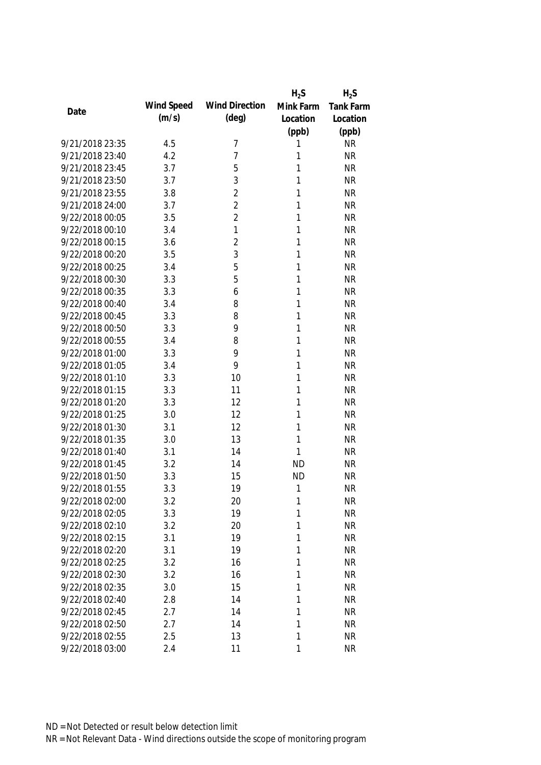|                 |            |                       | $H_2S$       | $H_2S$           |
|-----------------|------------|-----------------------|--------------|------------------|
| Date            | Wind Speed | <b>Wind Direction</b> | Mink Farm    | <b>Tank Farm</b> |
|                 | (m/s)      | $(\text{deg})$        | Location     | Location         |
|                 |            |                       | (ppb)        | (ppb)            |
| 9/21/2018 23:35 | 4.5        | 7                     | 1            | <b>NR</b>        |
| 9/21/2018 23:40 | 4.2        | 7                     | 1            | <b>NR</b>        |
| 9/21/2018 23:45 | 3.7        | 5                     | 1            | <b>NR</b>        |
| 9/21/2018 23:50 | 3.7        | 3                     | 1            | <b>NR</b>        |
| 9/21/2018 23:55 | 3.8        | $\overline{2}$        | 1            | <b>NR</b>        |
| 9/21/2018 24:00 | 3.7        | $\overline{2}$        | 1            | <b>NR</b>        |
| 9/22/2018 00:05 | 3.5        | $\overline{2}$        | 1            | <b>NR</b>        |
| 9/22/2018 00:10 | 3.4        | 1                     | 1            | <b>NR</b>        |
| 9/22/2018 00:15 | 3.6        | $\overline{2}$        | 1            | <b>NR</b>        |
| 9/22/2018 00:20 | 3.5        | 3                     | 1            | <b>NR</b>        |
| 9/22/2018 00:25 | 3.4        | 5                     | 1            | <b>NR</b>        |
| 9/22/2018 00:30 | 3.3        | 5                     | 1            | <b>NR</b>        |
| 9/22/2018 00:35 | 3.3        | 6                     | 1            | <b>NR</b>        |
| 9/22/2018 00:40 | 3.4        | 8                     | 1            | <b>NR</b>        |
| 9/22/2018 00:45 | 3.3        | 8                     | 1            | <b>NR</b>        |
| 9/22/2018 00:50 | 3.3        | 9                     | 1            | <b>NR</b>        |
| 9/22/2018 00:55 | 3.4        | 8                     | 1            | <b>NR</b>        |
| 9/22/2018 01:00 | 3.3        | 9                     | 1            | <b>NR</b>        |
| 9/22/2018 01:05 | 3.4        | 9                     | 1            | <b>NR</b>        |
| 9/22/2018 01:10 | 3.3        | 10                    | 1            | <b>NR</b>        |
| 9/22/2018 01:15 | 3.3        | 11                    | 1            | <b>NR</b>        |
| 9/22/2018 01:20 | 3.3        | 12                    | 1            | <b>NR</b>        |
| 9/22/2018 01:25 | 3.0        | 12                    | 1            | <b>NR</b>        |
| 9/22/2018 01:30 | 3.1        | 12                    | 1            | <b>NR</b>        |
| 9/22/2018 01:35 | 3.0        | 13                    | 1            | <b>NR</b>        |
| 9/22/2018 01:40 | 3.1        | 14                    | 1            | <b>NR</b>        |
| 9/22/2018 01:45 | 3.2        | 14                    | <b>ND</b>    | <b>NR</b>        |
| 9/22/2018 01:50 | 3.3        | 15                    | <b>ND</b>    | <b>NR</b>        |
| 9/22/2018 01:55 | 3.3        | 19                    | $\mathbf{1}$ | <b>NR</b>        |
| 9/22/2018 02:00 | 3.2        | 20                    | 1            | <b>NR</b>        |
| 9/22/2018 02:05 | 3.3        | 19                    | 1            | <b>NR</b>        |
| 9/22/2018 02:10 | 3.2        | 20                    | 1            | <b>NR</b>        |
| 9/22/2018 02:15 | 3.1        | 19                    | 1            | <b>NR</b>        |
| 9/22/2018 02:20 | 3.1        | 19                    | 1            | <b>NR</b>        |
| 9/22/2018 02:25 | 3.2        | 16                    | 1            | <b>NR</b>        |
| 9/22/2018 02:30 | 3.2        | 16                    | 1            | <b>NR</b>        |
| 9/22/2018 02:35 | 3.0        | 15                    | 1            | <b>NR</b>        |
| 9/22/2018 02:40 | 2.8        | 14                    | 1            | <b>NR</b>        |
| 9/22/2018 02:45 | 2.7        | 14                    | 1            | <b>NR</b>        |
| 9/22/2018 02:50 | 2.7        | 14                    | 1            | <b>NR</b>        |
| 9/22/2018 02:55 | 2.5        | 13                    | 1            | <b>NR</b>        |
| 9/22/2018 03:00 | 2.4        | 11                    | 1            | <b>NR</b>        |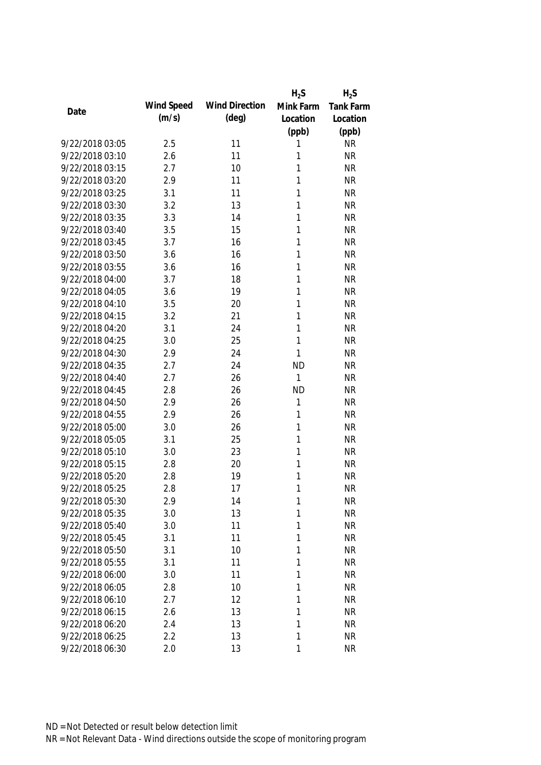|                 |            |                       | $H_2S$    | $H_2S$    |
|-----------------|------------|-----------------------|-----------|-----------|
| Date            | Wind Speed | <b>Wind Direction</b> | Mink Farm | Tank Farm |
|                 | (m/s)      | $(\text{deg})$        | Location  | Location  |
|                 |            |                       | (ppb)     | (ppb)     |
| 9/22/2018 03:05 | 2.5        | 11                    | 1         | <b>NR</b> |
| 9/22/2018 03:10 | 2.6        | 11                    | 1         | <b>NR</b> |
| 9/22/2018 03:15 | 2.7        | 10                    | 1         | <b>NR</b> |
| 9/22/2018 03:20 | 2.9        | 11                    | 1         | <b>NR</b> |
| 9/22/2018 03:25 | 3.1        | 11                    | 1         | <b>NR</b> |
| 9/22/2018 03:30 | 3.2        | 13                    | 1         | <b>NR</b> |
| 9/22/2018 03:35 | 3.3        | 14                    | 1         | <b>NR</b> |
| 9/22/2018 03:40 | 3.5        | 15                    | 1         | <b>NR</b> |
| 9/22/2018 03:45 | 3.7        | 16                    | 1         | <b>NR</b> |
| 9/22/2018 03:50 | 3.6        | 16                    | 1         | <b>NR</b> |
| 9/22/2018 03:55 | 3.6        | 16                    | 1         | <b>NR</b> |
| 9/22/2018 04:00 | 3.7        | 18                    | 1         | <b>NR</b> |
| 9/22/2018 04:05 | 3.6        | 19                    | 1         | <b>NR</b> |
| 9/22/2018 04:10 | 3.5        | 20                    | 1         | <b>NR</b> |
| 9/22/2018 04:15 | 3.2        | 21                    | 1         | <b>NR</b> |
| 9/22/2018 04:20 | 3.1        | 24                    | 1         | <b>NR</b> |
| 9/22/2018 04:25 | 3.0        | 25                    | 1         | <b>NR</b> |
| 9/22/2018 04:30 | 2.9        | 24                    | 1         | <b>NR</b> |
| 9/22/2018 04:35 | 2.7        | 24                    | <b>ND</b> | <b>NR</b> |
| 9/22/2018 04:40 | 2.7        | 26                    | 1         | <b>NR</b> |
| 9/22/2018 04:45 | 2.8        | 26                    | <b>ND</b> | <b>NR</b> |
| 9/22/2018 04:50 | 2.9        | 26                    | 1         | <b>NR</b> |
| 9/22/2018 04:55 | 2.9        | 26                    | 1         | <b>NR</b> |
| 9/22/2018 05:00 | 3.0        | 26                    | 1         | <b>NR</b> |
| 9/22/2018 05:05 | 3.1        | 25                    | 1         | <b>NR</b> |
| 9/22/2018 05:10 | 3.0        | 23                    | 1         | <b>NR</b> |
| 9/22/2018 05:15 | 2.8        | 20                    | 1         | <b>NR</b> |
| 9/22/2018 05:20 | 2.8        | 19                    | 1         | <b>NR</b> |
| 9/22/2018 05:25 | 2.8        | 17                    | 1         | <b>NR</b> |
| 9/22/2018 05:30 | 2.9        | 14                    | 1         | <b>NR</b> |
| 9/22/2018 05:35 | 3.0        | 13                    | 1         | <b>NR</b> |
| 9/22/2018 05:40 | 3.0        | 11                    | 1         | <b>NR</b> |
| 9/22/2018 05:45 | 3.1        | 11                    | 1         | <b>NR</b> |
| 9/22/2018 05:50 | 3.1        | 10                    | 1         | <b>NR</b> |
| 9/22/2018 05:55 | 3.1        | 11                    | 1         | <b>NR</b> |
| 9/22/2018 06:00 | 3.0        | 11                    | 1         | <b>NR</b> |
| 9/22/2018 06:05 | 2.8        | 10                    | 1         | <b>NR</b> |
| 9/22/2018 06:10 | 2.7        | 12                    | 1         | <b>NR</b> |
| 9/22/2018 06:15 | 2.6        | 13                    | 1         | <b>NR</b> |
| 9/22/2018 06:20 |            |                       | 1         |           |
|                 | 2.4        | 13                    |           | <b>NR</b> |
| 9/22/2018 06:25 | 2.2        | 13                    | 1         | <b>NR</b> |
| 9/22/2018 06:30 | 2.0        | 13                    | 1         | <b>NR</b> |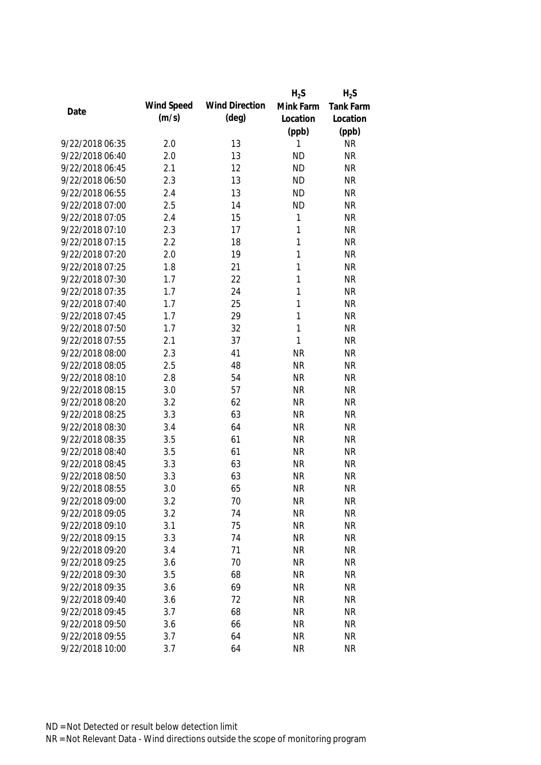|                 |            |                       | $H_2S$       | $H_2S$           |
|-----------------|------------|-----------------------|--------------|------------------|
| Date            | Wind Speed | <b>Wind Direction</b> | Mink Farm    | <b>Tank Farm</b> |
|                 | (m/s)      | $(\text{deg})$        | Location     | Location         |
|                 |            |                       | (ppb)        | (ppb)            |
| 9/22/2018 06:35 | 2.0        | 13                    | 1            | <b>NR</b>        |
| 9/22/2018 06:40 | 2.0        | 13                    | <b>ND</b>    | <b>NR</b>        |
| 9/22/2018 06:45 | 2.1        | 12                    | <b>ND</b>    | <b>NR</b>        |
| 9/22/2018 06:50 | 2.3        | 13                    | <b>ND</b>    | <b>NR</b>        |
| 9/22/2018 06:55 | 2.4        | 13                    | <b>ND</b>    | <b>NR</b>        |
| 9/22/2018 07:00 | 2.5        | 14                    | <b>ND</b>    | <b>NR</b>        |
| 9/22/2018 07:05 | 2.4        | 15                    | $\mathbf{1}$ | <b>NR</b>        |
| 9/22/2018 07:10 | 2.3        | 17                    | $\mathbf{1}$ | <b>NR</b>        |
| 9/22/2018 07:15 | 2.2        | 18                    | $\mathbf{1}$ | <b>NR</b>        |
| 9/22/2018 07:20 | 2.0        | 19                    | 1            | <b>NR</b>        |
| 9/22/2018 07:25 | 1.8        | 21                    | 1            | <b>NR</b>        |
| 9/22/2018 07:30 | 1.7        | 22                    | 1            | <b>NR</b>        |
| 9/22/2018 07:35 | 1.7        | 24                    | 1            | <b>NR</b>        |
| 9/22/2018 07:40 | 1.7        | 25                    | 1            | <b>NR</b>        |
| 9/22/2018 07:45 | 1.7        | 29                    | 1            | <b>NR</b>        |
| 9/22/2018 07:50 | 1.7        | 32                    | $\mathbf{1}$ | <b>NR</b>        |
| 9/22/2018 07:55 | 2.1        | 37                    | 1            | <b>NR</b>        |
| 9/22/2018 08:00 | 2.3        | 41                    | <b>NR</b>    | <b>NR</b>        |
| 9/22/2018 08:05 | 2.5        | 48                    | <b>NR</b>    | <b>NR</b>        |
| 9/22/2018 08:10 | 2.8        | 54                    | <b>NR</b>    | <b>NR</b>        |
| 9/22/2018 08:15 | 3.0        | 57                    | <b>NR</b>    | <b>NR</b>        |
| 9/22/2018 08:20 | 3.2        | 62                    | <b>NR</b>    | <b>NR</b>        |
| 9/22/2018 08:25 | 3.3        | 63                    | <b>NR</b>    | <b>NR</b>        |
| 9/22/2018 08:30 | 3.4        | 64                    | <b>NR</b>    | <b>NR</b>        |
| 9/22/2018 08:35 | 3.5        | 61                    | <b>NR</b>    | <b>NR</b>        |
| 9/22/2018 08:40 | 3.5        | 61                    | <b>NR</b>    | <b>NR</b>        |
| 9/22/2018 08:45 | 3.3        | 63                    | <b>NR</b>    | <b>NR</b>        |
| 9/22/2018 08:50 | 3.3        | 63                    | <b>NR</b>    | <b>NR</b>        |
| 9/22/2018 08:55 | 3.0        | 65                    | <b>NR</b>    | <b>NR</b>        |
| 9/22/2018 09:00 | 3.2        | 70                    | <b>NR</b>    | <b>NR</b>        |
| 9/22/2018 09:05 | 3.2        | 74                    | <b>NR</b>    | <b>NR</b>        |
| 9/22/2018 09:10 | 3.1        | 75                    | <b>NR</b>    | <b>NR</b>        |
| 9/22/2018 09:15 | 3.3        | 74                    | <b>NR</b>    | <b>NR</b>        |
| 9/22/2018 09:20 | 3.4        | 71                    | <b>NR</b>    | <b>NR</b>        |
| 9/22/2018 09:25 | 3.6        | 70                    | <b>NR</b>    | <b>NR</b>        |
| 9/22/2018 09:30 | 3.5        | 68                    | <b>NR</b>    | <b>NR</b>        |
| 9/22/2018 09:35 | 3.6        | 69                    | <b>NR</b>    | <b>NR</b>        |
| 9/22/2018 09:40 | 3.6        | 72                    | <b>NR</b>    | <b>NR</b>        |
| 9/22/2018 09:45 | 3.7        | 68                    | <b>NR</b>    | <b>NR</b>        |
| 9/22/2018 09:50 | 3.6        | 66                    | <b>NR</b>    | <b>NR</b>        |
| 9/22/2018 09:55 | 3.7        | 64                    | <b>NR</b>    | <b>NR</b>        |
| 9/22/2018 10:00 | 3.7        | 64                    | <b>NR</b>    | <b>NR</b>        |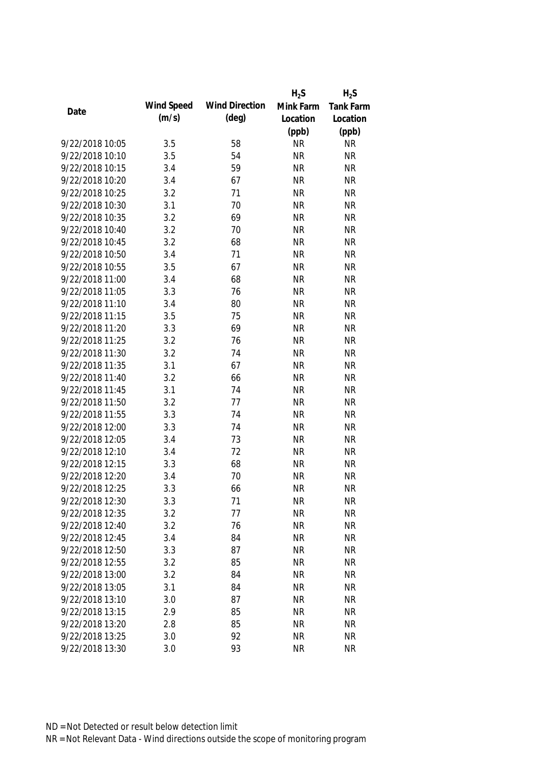|                 |            |                       | $H_2S$    | $H_2S$    |
|-----------------|------------|-----------------------|-----------|-----------|
|                 | Wind Speed | <b>Wind Direction</b> | Mink Farm | Tank Farm |
| Date            | (m/s)      | $(\text{deg})$        | Location  | Location  |
|                 |            |                       | (ppb)     | (ppb)     |
| 9/22/2018 10:05 | 3.5        | 58                    | <b>NR</b> | <b>NR</b> |
| 9/22/2018 10:10 | 3.5        | 54                    | <b>NR</b> | <b>NR</b> |
| 9/22/2018 10:15 | 3.4        | 59                    | <b>NR</b> | <b>NR</b> |
| 9/22/2018 10:20 | 3.4        | 67                    | <b>NR</b> | <b>NR</b> |
| 9/22/2018 10:25 | 3.2        | 71                    | <b>NR</b> | <b>NR</b> |
| 9/22/2018 10:30 | 3.1        | 70                    | <b>NR</b> | <b>NR</b> |
| 9/22/2018 10:35 | 3.2        | 69                    | <b>NR</b> | <b>NR</b> |
| 9/22/2018 10:40 | 3.2        | 70                    | <b>NR</b> | <b>NR</b> |
| 9/22/2018 10:45 | 3.2        | 68                    | <b>NR</b> | <b>NR</b> |
| 9/22/2018 10:50 | 3.4        | 71                    | <b>NR</b> | <b>NR</b> |
| 9/22/2018 10:55 | 3.5        | 67                    | <b>NR</b> | <b>NR</b> |
| 9/22/2018 11:00 | 3.4        | 68                    | <b>NR</b> | <b>NR</b> |
| 9/22/2018 11:05 | 3.3        | 76                    | <b>NR</b> | <b>NR</b> |
| 9/22/2018 11:10 | 3.4        | 80                    | <b>NR</b> | <b>NR</b> |
| 9/22/2018 11:15 | 3.5        | 75                    | <b>NR</b> | <b>NR</b> |
| 9/22/2018 11:20 | 3.3        | 69                    | <b>NR</b> | <b>NR</b> |
| 9/22/2018 11:25 | 3.2        | 76                    | <b>NR</b> | <b>NR</b> |
| 9/22/2018 11:30 | 3.2        | 74                    | <b>NR</b> | <b>NR</b> |
| 9/22/2018 11:35 | 3.1        | 67                    | <b>NR</b> | <b>NR</b> |
| 9/22/2018 11:40 | 3.2        | 66                    | <b>NR</b> | <b>NR</b> |
| 9/22/2018 11:45 | 3.1        | 74                    | <b>NR</b> | <b>NR</b> |
| 9/22/2018 11:50 | 3.2        | 77                    | <b>NR</b> | <b>NR</b> |
| 9/22/2018 11:55 | 3.3        | 74                    | <b>NR</b> | <b>NR</b> |
| 9/22/2018 12:00 | 3.3        | 74                    | <b>NR</b> | <b>NR</b> |
| 9/22/2018 12:05 | 3.4        | 73                    | <b>NR</b> | <b>NR</b> |
| 9/22/2018 12:10 | 3.4        | 72                    | <b>NR</b> | <b>NR</b> |
| 9/22/2018 12:15 | 3.3        | 68                    | <b>NR</b> | <b>NR</b> |
| 9/22/2018 12:20 | 3.4        | 70                    | <b>NR</b> | <b>NR</b> |
| 9/22/2018 12:25 | 3.3        | 66                    | <b>NR</b> | <b>NR</b> |
| 9/22/2018 12:30 | 3.3        | 71                    | <b>NR</b> | <b>NR</b> |
| 9/22/2018 12:35 | 3.2        | 77                    | <b>NR</b> | <b>NR</b> |
| 9/22/2018 12:40 | 3.2        | 76                    | <b>NR</b> | <b>NR</b> |
| 9/22/2018 12:45 | 3.4        | 84                    | <b>NR</b> | <b>NR</b> |
| 9/22/2018 12:50 | 3.3        | 87                    | <b>NR</b> | <b>NR</b> |
| 9/22/2018 12:55 | 3.2        | 85                    | <b>NR</b> | <b>NR</b> |
| 9/22/2018 13:00 | 3.2        | 84                    | <b>NR</b> | <b>NR</b> |
| 9/22/2018 13:05 | 3.1        | 84                    | <b>NR</b> | <b>NR</b> |
| 9/22/2018 13:10 | 3.0        | 87                    | <b>NR</b> | <b>NR</b> |
| 9/22/2018 13:15 | 2.9        | 85                    | <b>NR</b> | <b>NR</b> |
|                 |            |                       |           |           |
| 9/22/2018 13:20 | 2.8        | 85                    | <b>NR</b> | <b>NR</b> |
| 9/22/2018 13:25 | 3.0        | 92                    | <b>NR</b> | <b>NR</b> |
| 9/22/2018 13:30 | 3.0        | 93                    | <b>NR</b> | <b>NR</b> |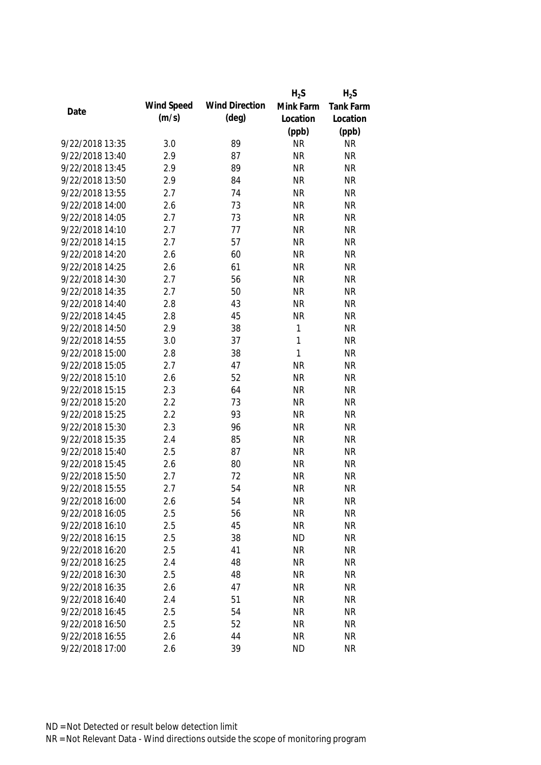|                 |            |                       | $H_2S$       | $H_2S$    |
|-----------------|------------|-----------------------|--------------|-----------|
|                 | Wind Speed | <b>Wind Direction</b> | Mink Farm    | Tank Farm |
| Date            | (m/s)      | $(\text{deg})$        | Location     | Location  |
|                 |            |                       | (ppb)        | (ppb)     |
| 9/22/2018 13:35 | 3.0        | 89                    | <b>NR</b>    | <b>NR</b> |
| 9/22/2018 13:40 | 2.9        | 87                    | <b>NR</b>    | <b>NR</b> |
| 9/22/2018 13:45 | 2.9        | 89                    | <b>NR</b>    | <b>NR</b> |
| 9/22/2018 13:50 | 2.9        | 84                    | <b>NR</b>    | <b>NR</b> |
| 9/22/2018 13:55 | 2.7        | 74                    | <b>NR</b>    | <b>NR</b> |
| 9/22/2018 14:00 | 2.6        | 73                    | <b>NR</b>    | <b>NR</b> |
| 9/22/2018 14:05 | 2.7        | 73                    | <b>NR</b>    | <b>NR</b> |
| 9/22/2018 14:10 | 2.7        | 77                    | <b>NR</b>    | <b>NR</b> |
| 9/22/2018 14:15 | 2.7        | 57                    | <b>NR</b>    | <b>NR</b> |
| 9/22/2018 14:20 | 2.6        | 60                    | <b>NR</b>    | <b>NR</b> |
| 9/22/2018 14:25 | 2.6        | 61                    | <b>NR</b>    | <b>NR</b> |
| 9/22/2018 14:30 | 2.7        | 56                    | <b>NR</b>    | <b>NR</b> |
| 9/22/2018 14:35 | 2.7        | 50                    | <b>NR</b>    | <b>NR</b> |
| 9/22/2018 14:40 | 2.8        | 43                    | <b>NR</b>    | <b>NR</b> |
| 9/22/2018 14:45 | 2.8        | 45                    | <b>NR</b>    | <b>NR</b> |
| 9/22/2018 14:50 | 2.9        | 38                    | $\mathbf{1}$ | <b>NR</b> |
| 9/22/2018 14:55 | 3.0        | 37                    | 1            | <b>NR</b> |
| 9/22/2018 15:00 | 2.8        | 38                    | $\mathbf{1}$ | <b>NR</b> |
| 9/22/2018 15:05 | 2.7        | 47                    | <b>NR</b>    | <b>NR</b> |
| 9/22/2018 15:10 | 2.6        | 52                    | <b>NR</b>    | <b>NR</b> |
| 9/22/2018 15:15 | 2.3        | 64                    | <b>NR</b>    | <b>NR</b> |
| 9/22/2018 15:20 | 2.2        | 73                    | <b>NR</b>    | <b>NR</b> |
| 9/22/2018 15:25 | 2.2        | 93                    | <b>NR</b>    | <b>NR</b> |
| 9/22/2018 15:30 | 2.3        | 96                    | <b>NR</b>    | <b>NR</b> |
| 9/22/2018 15:35 | 2.4        | 85                    | <b>NR</b>    | <b>NR</b> |
| 9/22/2018 15:40 | 2.5        | 87                    | <b>NR</b>    | <b>NR</b> |
| 9/22/2018 15:45 | 2.6        | 80                    | <b>NR</b>    | <b>NR</b> |
| 9/22/2018 15:50 | 2.7        | 72                    | <b>NR</b>    | <b>NR</b> |
| 9/22/2018 15:55 | 2.7        | 54                    | <b>NR</b>    | <b>NR</b> |
| 9/22/2018 16:00 | 2.6        | 54                    | <b>NR</b>    | <b>NR</b> |
| 9/22/2018 16:05 | 2.5        | 56                    | <b>NR</b>    | <b>NR</b> |
| 9/22/2018 16:10 | 2.5        | 45                    | <b>NR</b>    | <b>NR</b> |
| 9/22/2018 16:15 | 2.5        | 38                    | <b>ND</b>    | <b>NR</b> |
| 9/22/2018 16:20 | 2.5        | 41                    | <b>NR</b>    | <b>NR</b> |
| 9/22/2018 16:25 | 2.4        | 48                    | <b>NR</b>    | <b>NR</b> |
| 9/22/2018 16:30 | 2.5        | 48                    | <b>NR</b>    | <b>NR</b> |
| 9/22/2018 16:35 | 2.6        | 47                    | <b>NR</b>    | <b>NR</b> |
| 9/22/2018 16:40 | 2.4        | 51                    | <b>NR</b>    | <b>NR</b> |
| 9/22/2018 16:45 | 2.5        | 54                    | <b>NR</b>    | <b>NR</b> |
| 9/22/2018 16:50 | 2.5        | 52                    | <b>NR</b>    | <b>NR</b> |
| 9/22/2018 16:55 | 2.6        | 44                    | <b>NR</b>    | <b>NR</b> |
| 9/22/2018 17:00 | 2.6        | 39                    | <b>ND</b>    | <b>NR</b> |
|                 |            |                       |              |           |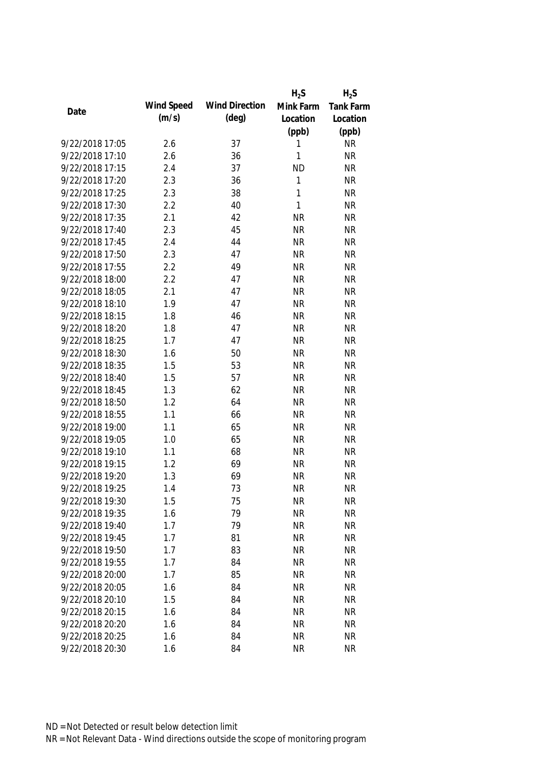|                 |            |                       | $H_2S$       | $H_2S$           |
|-----------------|------------|-----------------------|--------------|------------------|
|                 | Wind Speed | <b>Wind Direction</b> | Mink Farm    | <b>Tank Farm</b> |
| Date            | (m/s)      | $(\text{deg})$        | Location     | Location         |
|                 |            |                       | (ppb)        | (ppb)            |
| 9/22/2018 17:05 | 2.6        | 37                    | 1            | <b>NR</b>        |
| 9/22/2018 17:10 | 2.6        | 36                    | 1            | <b>NR</b>        |
| 9/22/2018 17:15 | 2.4        | 37                    | <b>ND</b>    | <b>NR</b>        |
| 9/22/2018 17:20 | 2.3        | 36                    | 1            | <b>NR</b>        |
| 9/22/2018 17:25 | 2.3        | 38                    | 1            | <b>NR</b>        |
| 9/22/2018 17:30 | 2.2        | 40                    | $\mathbf{1}$ | <b>NR</b>        |
| 9/22/2018 17:35 | 2.1        | 42                    | <b>NR</b>    | <b>NR</b>        |
| 9/22/2018 17:40 | 2.3        | 45                    | <b>NR</b>    | <b>NR</b>        |
| 9/22/2018 17:45 | 2.4        | 44                    | <b>NR</b>    | <b>NR</b>        |
| 9/22/2018 17:50 | 2.3        | 47                    | <b>NR</b>    | <b>NR</b>        |
| 9/22/2018 17:55 | 2.2        | 49                    | <b>NR</b>    | <b>NR</b>        |
| 9/22/2018 18:00 | 2.2        | 47                    | <b>NR</b>    | <b>NR</b>        |
| 9/22/2018 18:05 | 2.1        | 47                    | <b>NR</b>    | <b>NR</b>        |
| 9/22/2018 18:10 | 1.9        | 47                    | <b>NR</b>    | <b>NR</b>        |
| 9/22/2018 18:15 | 1.8        | 46                    | <b>NR</b>    | <b>NR</b>        |
| 9/22/2018 18:20 | 1.8        | 47                    | <b>NR</b>    | <b>NR</b>        |
| 9/22/2018 18:25 | 1.7        | 47                    | <b>NR</b>    | <b>NR</b>        |
| 9/22/2018 18:30 | 1.6        | 50                    | <b>NR</b>    | <b>NR</b>        |
| 9/22/2018 18:35 | 1.5        | 53                    | <b>NR</b>    | <b>NR</b>        |
| 9/22/2018 18:40 | 1.5        | 57                    | <b>NR</b>    | <b>NR</b>        |
| 9/22/2018 18:45 | 1.3        | 62                    | <b>NR</b>    | <b>NR</b>        |
| 9/22/2018 18:50 | 1.2        | 64                    | <b>NR</b>    | <b>NR</b>        |
| 9/22/2018 18:55 | 1.1        | 66                    | <b>NR</b>    | <b>NR</b>        |
| 9/22/2018 19:00 | 1.1        | 65                    | <b>NR</b>    | <b>NR</b>        |
| 9/22/2018 19:05 | 1.0        | 65                    | <b>NR</b>    | <b>NR</b>        |
| 9/22/2018 19:10 | 1.1        | 68                    | <b>NR</b>    | <b>NR</b>        |
| 9/22/2018 19:15 | 1.2        | 69                    | <b>NR</b>    | <b>NR</b>        |
| 9/22/2018 19:20 | 1.3        | 69                    | <b>NR</b>    | <b>NR</b>        |
| 9/22/2018 19:25 | 1.4        | 73                    | <b>NR</b>    | <b>NR</b>        |
| 9/22/2018 19:30 | 1.5        | 75                    | <b>NR</b>    | <b>NR</b>        |
| 9/22/2018 19:35 | 1.6        | 79                    | <b>NR</b>    | <b>NR</b>        |
| 9/22/2018 19:40 | 1.7        | 79                    | <b>NR</b>    | <b>NR</b>        |
| 9/22/2018 19:45 | 1.7        | 81                    | <b>NR</b>    | <b>NR</b>        |
| 9/22/2018 19:50 | 1.7        | 83                    | <b>NR</b>    | <b>NR</b>        |
| 9/22/2018 19:55 | 1.7        | 84                    | <b>NR</b>    | <b>NR</b>        |
| 9/22/2018 20:00 | 1.7        | 85                    | <b>NR</b>    | <b>NR</b>        |
| 9/22/2018 20:05 | 1.6        | 84                    | <b>NR</b>    | <b>NR</b>        |
| 9/22/2018 20:10 | 1.5        | 84                    | <b>NR</b>    | <b>NR</b>        |
| 9/22/2018 20:15 | 1.6        | 84                    | <b>NR</b>    | <b>NR</b>        |
|                 |            |                       |              |                  |
| 9/22/2018 20:20 | 1.6        | 84                    | <b>NR</b>    | <b>NR</b>        |
| 9/22/2018 20:25 | 1.6        | 84                    | <b>NR</b>    | <b>NR</b>        |
| 9/22/2018 20:30 | 1.6        | 84                    | <b>NR</b>    | <b>NR</b>        |